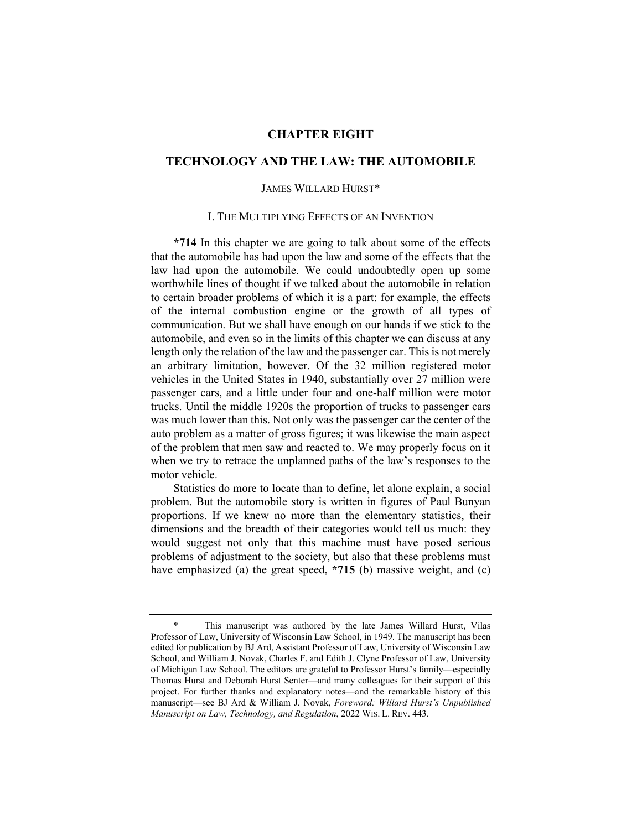# **CHAPTER EIGHT**

# **TECHNOLOGY AND THE LAW: THE AUTOMOBILE**

## JAMES WILLARD HURST\*

#### I. THE MULTIPLYING EFFECTS OF AN INVENTION

**\*714** In this chapter we are going to talk about some of the effects that the automobile has had upon the law and some of the effects that the law had upon the automobile. We could undoubtedly open up some worthwhile lines of thought if we talked about the automobile in relation to certain broader problems of which it is a part: for example, the effects of the internal combustion engine or the growth of all types of communication. But we shall have enough on our hands if we stick to the automobile, and even so in the limits of this chapter we can discuss at any length only the relation of the law and the passenger car. This is not merely an arbitrary limitation, however. Of the 32 million registered motor vehicles in the United States in 1940, substantially over 27 million were passenger cars, and a little under four and one-half million were motor trucks. Until the middle 1920s the proportion of trucks to passenger cars was much lower than this. Not only was the passenger car the center of the auto problem as a matter of gross figures; it was likewise the main aspect of the problem that men saw and reacted to. We may properly focus on it when we try to retrace the unplanned paths of the law's responses to the motor vehicle.

Statistics do more to locate than to define, let alone explain, a social problem. But the automobile story is written in figures of Paul Bunyan proportions. If we knew no more than the elementary statistics, their dimensions and the breadth of their categories would tell us much: they would suggest not only that this machine must have posed serious problems of adjustment to the society, but also that these problems must have emphasized (a) the great speed, **\*715** (b) massive weight, and (c)

<sup>\*</sup> This manuscript was authored by the late James Willard Hurst, Vilas Professor of Law, University of Wisconsin Law School, in 1949. The manuscript has been edited for publication by BJ Ard, Assistant Professor of Law, University of Wisconsin Law School, and William J. Novak, Charles F. and Edith J. Clyne Professor of Law, University of Michigan Law School. The editors are grateful to Professor Hurst's family—especially Thomas Hurst and Deborah Hurst Senter—and many colleagues for their support of this project. For further thanks and explanatory notes—and the remarkable history of this manuscript—see BJ Ard & William J. Novak, *Foreword: Willard Hurst's Unpublished Manuscript on Law, Technology, and Regulation*, 2022 WIS. L. REV. 443.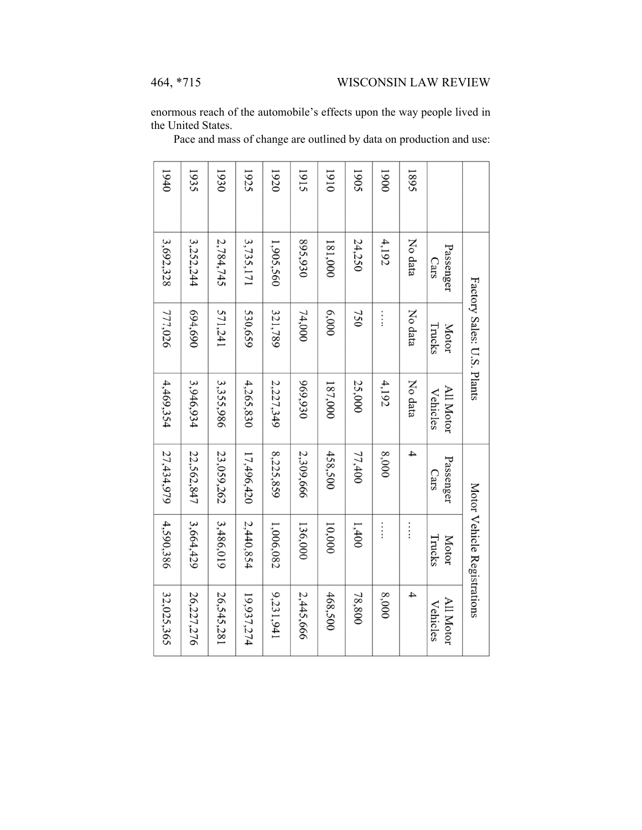enormous reach of the automobile's effects upon the way people lived in the United States.

Pace and mass of change are outlined by data on production and use:

|      |                   | Factory Sales: U.S. Plants |                       |                   | Motor Vehicle Registrations |                       |
|------|-------------------|----------------------------|-----------------------|-------------------|-----------------------------|-----------------------|
|      | Passenger<br>Cars | Trucks<br><b>Motor</b>     | All Motor<br>Vehicles | Passenger<br>Cats | <b>Motor</b><br>Trucks      | All Motor<br>Vehicles |
| 1895 | No data           | No data                    | No data               | 4                 | $\vdots$                    | 4                     |
| 0061 | 4,192             | $\vdots$                   | 4,192                 | 8,000             | $\vdots$                    | 8,000                 |
| 1905 | 24,250            | 750                        | 25,000                | 77,400            | 1,400                       | 78,800                |
| 1910 | 181,000           | 6,000                      | 187,000               | 458,500           | 10,000                      | 468,500               |
| 1915 | 895,930           | 74,000                     | 969,930               | 2,309,666         | 136,000                     | 2,445,666             |
| 1920 | 1,905,560         | 321,789                    | 2,227,349             | 8,225,859         | 1,006,082                   | 9,231,941             |
| 1925 | 3,735,171         | 530,659                    | 4,265,830             | 17,496,420        | 2,440,854                   | 19,937,274            |
| 1930 | 2,784,745         | 571,241                    | 3,355,986             | 23,059,262        | 3,486,019                   | 26,545,281            |
| 1935 | 3,252,244         | 694,690                    | 3,946,934             | 22,562,847        | 3,664,429                   | 26,227,276            |
| 1940 | 3,692,328         | 777,026                    | 4,469,354             | 27,434,979        | 4,590,386                   | 32,025,365            |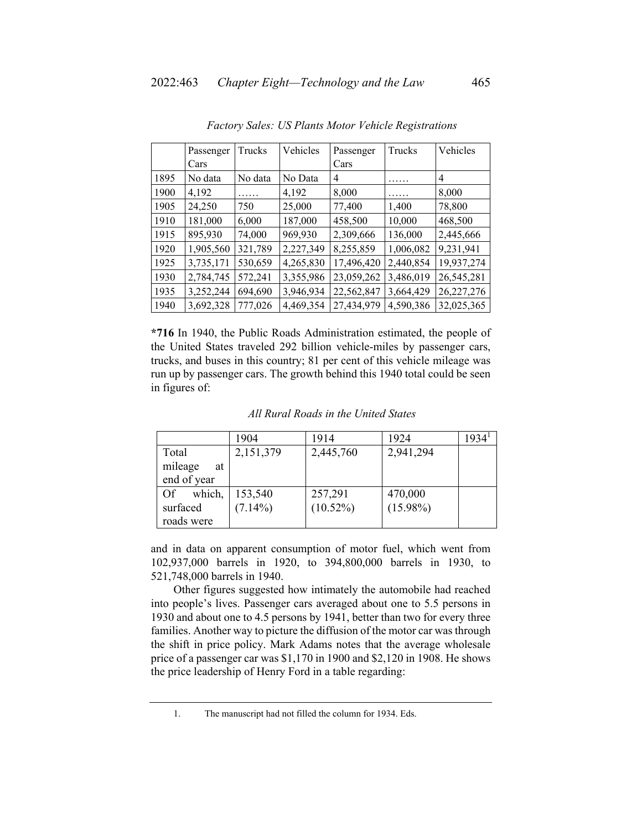|      | Passenger | Trucks  | Vehicles  | Passenger  | Trucks    | Vehicles   |
|------|-----------|---------|-----------|------------|-----------|------------|
|      | Cars      |         |           | Cars       |           |            |
| 1895 | No data   | No data | No Data   | 4          | .         | 4          |
| 1900 | 4,192     | .       | 4,192     | 8,000      | .         | 8,000      |
| 1905 | 24,250    | 750     | 25,000    | 77,400     | 1,400     | 78,800     |
| 1910 | 181,000   | 6,000   | 187,000   | 458,500    | 10,000    | 468,500    |
| 1915 | 895,930   | 74,000  | 969,930   | 2,309,666  | 136,000   | 2,445,666  |
| 1920 | 1,905,560 | 321,789 | 2,227,349 | 8,255,859  | 1,006,082 | 9,231,941  |
| 1925 | 3,735,171 | 530,659 | 4,265,830 | 17,496,420 | 2,440,854 | 19,937,274 |
| 1930 | 2,784,745 | 572,241 | 3,355,986 | 23,059,262 | 3,486,019 | 26,545,281 |
| 1935 | 3,252,244 | 694,690 | 3,946,934 | 22,562,847 | 3,664,429 | 26,227,276 |
| 1940 | 3,692,328 | 777,026 | 4,469,354 | 27,434,979 | 4,590,386 | 32,025,365 |

*Factory Sales: US Plants Motor Vehicle Registrations* 

**\*716** In 1940, the Public Roads Administration estimated, the people of the United States traveled 292 billion vehicle-miles by passenger cars, trucks, and buses in this country; 81 per cent of this vehicle mileage was run up by passenger cars. The growth behind this 1940 total could be seen in figures of:

|               | 1904       | 1914        | 1924        | 1934 <sup>1</sup> |
|---------------|------------|-------------|-------------|-------------------|
| Total         | 2,151,379  | 2,445,760   | 2,941,294   |                   |
| mileage<br>at |            |             |             |                   |
| end of year   |            |             |             |                   |
| which,<br>Of  | 153,540    | 257,291     | 470,000     |                   |
| surfaced      | $(7.14\%)$ | $(10.52\%)$ | $(15.98\%)$ |                   |
| roads were    |            |             |             |                   |

*All Rural Roads in the United States* 

and in data on apparent consumption of motor fuel, which went from 102,937,000 barrels in 1920, to 394,800,000 barrels in 1930, to 521,748,000 barrels in 1940.

Other figures suggested how intimately the automobile had reached into people's lives. Passenger cars averaged about one to 5.5 persons in 1930 and about one to 4.5 persons by 1941, better than two for every three families. Another way to picture the diffusion of the motor car was through the shift in price policy. Mark Adams notes that the average wholesale price of a passenger car was \$1,170 in 1900 and \$2,120 in 1908. He shows the price leadership of Henry Ford in a table regarding:

 <sup>1.</sup> The manuscript had not filled the column for 1934. Eds.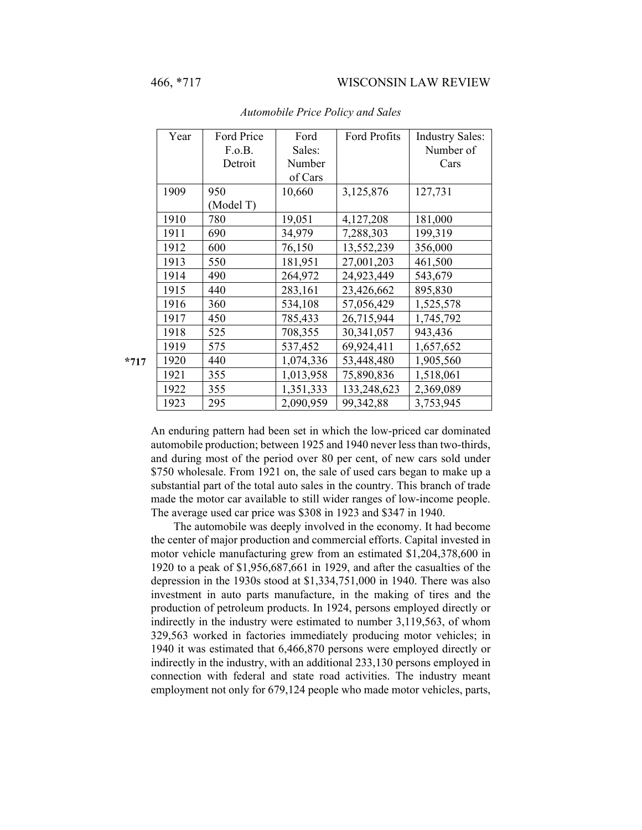| Year | Ford Price | Ford      | Ford Profits | <b>Industry Sales:</b> |
|------|------------|-----------|--------------|------------------------|
|      | F.o.B.     | Sales:    |              | Number of              |
|      | Detroit    | Number    |              | Cars                   |
|      |            | of Cars   |              |                        |
| 1909 | 950        | 10,660    | 3,125,876    | 127,731                |
|      | (Model T)  |           |              |                        |
| 1910 | 780        | 19,051    | 4,127,208    | 181,000                |
| 1911 | 690        | 34,979    | 7,288,303    | 199,319                |
| 1912 | 600        | 76,150    | 13,552,239   | 356,000                |
| 1913 | 550        | 181,951   | 27,001,203   | 461,500                |
| 1914 | 490        | 264,972   | 24,923,449   | 543,679                |
| 1915 | 440        | 283,161   | 23,426,662   | 895,830                |
| 1916 | 360        | 534,108   | 57,056,429   | 1,525,578              |
| 1917 | 450        | 785,433   | 26,715,944   | 1,745,792              |
| 1918 | 525        | 708,355   | 30,341,057   | 943,436                |
| 1919 | 575        | 537,452   | 69,924,411   | 1,657,652              |
| 1920 | 440        | 1,074,336 | 53,448,480   | 1,905,560              |
| 1921 | 355        | 1,013,958 | 75,890,836   | 1,518,061              |
| 1922 | 355        | 1,351,333 | 133,248,623  | 2,369,089              |
| 1923 | 295        | 2,090,959 | 99,342,88    | 3,753,945              |

*Automobile Price Policy and Sales* 

An enduring pattern had been set in which the low-priced car dominated automobile production; between 1925 and 1940 never less than two-thirds, and during most of the period over 80 per cent, of new cars sold under \$750 wholesale. From 1921 on, the sale of used cars began to make up a substantial part of the total auto sales in the country. This branch of trade made the motor car available to still wider ranges of low-income people. The average used car price was \$308 in 1923 and \$347 in 1940.

The automobile was deeply involved in the economy. It had become the center of major production and commercial efforts. Capital invested in motor vehicle manufacturing grew from an estimated \$1,204,378,600 in 1920 to a peak of \$1,956,687,661 in 1929, and after the casualties of the depression in the 1930s stood at \$1,334,751,000 in 1940. There was also investment in auto parts manufacture, in the making of tires and the production of petroleum products. In 1924, persons employed directly or indirectly in the industry were estimated to number 3,119,563, of whom 329,563 worked in factories immediately producing motor vehicles; in 1940 it was estimated that 6,466,870 persons were employed directly or indirectly in the industry, with an additional 233,130 persons employed in connection with federal and state road activities. The industry meant employment not only for 679,124 people who made motor vehicles, parts,

**\*717**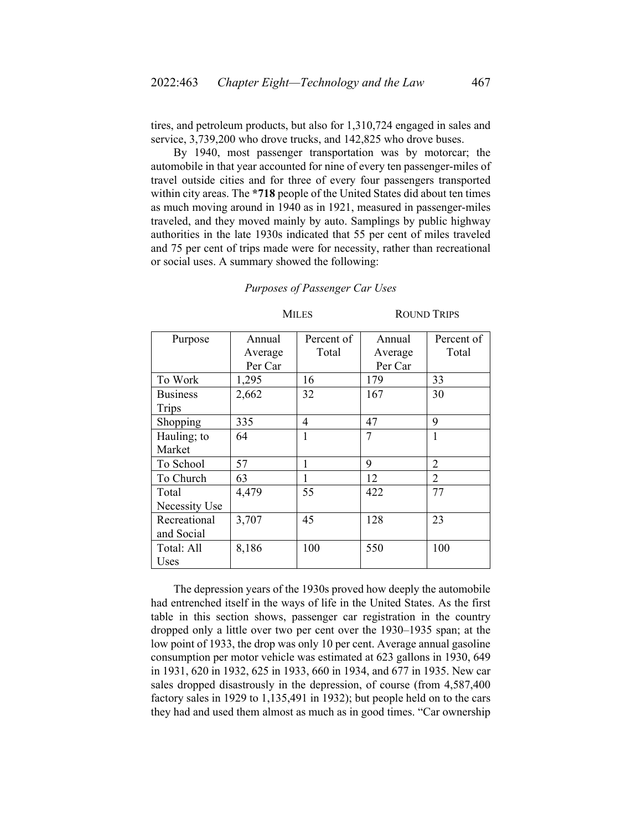tires, and petroleum products, but also for 1,310,724 engaged in sales and service, 3,739,200 who drove trucks, and 142,825 who drove buses.

By 1940, most passenger transportation was by motorcar; the automobile in that year accounted for nine of every ten passenger-miles of travel outside cities and for three of every four passengers transported within city areas. The **\*718** people of the United States did about ten times as much moving around in 1940 as in 1921, measured in passenger-miles traveled, and they moved mainly by auto. Samplings by public highway authorities in the late 1930s indicated that 55 per cent of miles traveled and 75 per cent of trips made were for necessity, rather than recreational or social uses. A summary showed the following:

| Purpose         | Annual  | Percent of | Annual  | Percent of     |
|-----------------|---------|------------|---------|----------------|
|                 | Average | Total      | Average | Total          |
|                 | Per Car |            | Per Car |                |
| To Work         | 1,295   | 16         | 179     | 33             |
| <b>Business</b> | 2,662   | 32         | 167     | 30             |
| Trips           |         |            |         |                |
| Shopping        | 335     | 4          | 47      | 9              |
| Hauling; to     | 64      | 1          | 7       | 1              |
| Market          |         |            |         |                |
| To School       | 57      |            | 9       | 2              |
| To Church       | 63      |            | 12      | $\overline{2}$ |
| Total           | 4,479   | 55         | 422     | 77             |
| Necessity Use   |         |            |         |                |
| Recreational    | 3,707   | 45         | 128     | 23             |
| and Social      |         |            |         |                |
| Total: All      | 8,186   | 100        | 550     | 100            |
| Uses            |         |            |         |                |

*Purposes of Passenger Car Uses* 

MILES ROUND TRIPS

The depression years of the 1930s proved how deeply the automobile had entrenched itself in the ways of life in the United States. As the first table in this section shows, passenger car registration in the country dropped only a little over two per cent over the 1930–1935 span; at the low point of 1933, the drop was only 10 per cent. Average annual gasoline consumption per motor vehicle was estimated at 623 gallons in 1930, 649 in 1931, 620 in 1932, 625 in 1933, 660 in 1934, and 677 in 1935. New car sales dropped disastrously in the depression, of course (from 4,587,400 factory sales in 1929 to 1,135,491 in 1932); but people held on to the cars they had and used them almost as much as in good times. "Car ownership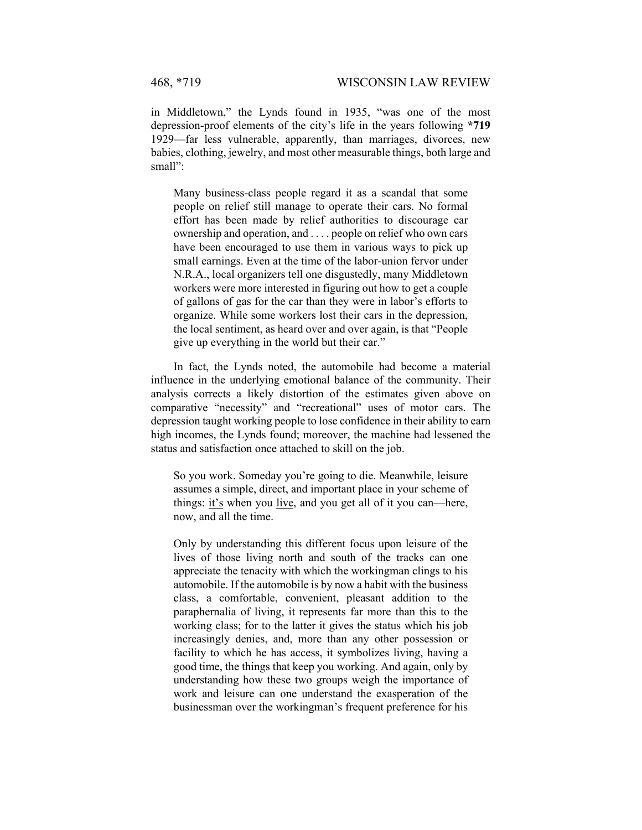in Middletown," the Lynds found in 1935, "was one of the most depression-proof elements of the city's life in the years following **\*719**  1929—far less vulnerable, apparently, than marriages, divorces, new babies, clothing, jewelry, and most other measurable things, both large and small":

Many business-class people regard it as a scandal that some people on relief still manage to operate their cars. No formal effort has been made by relief authorities to discourage car ownership and operation, and . . . . people on relief who own cars have been encouraged to use them in various ways to pick up small earnings. Even at the time of the labor-union fervor under N.R.A., local organizers tell one disgustedly, many Middletown workers were more interested in figuring out how to get a couple of gallons of gas for the car than they were in labor's efforts to organize. While some workers lost their cars in the depression, the local sentiment, as heard over and over again, is that "People give up everything in the world but their car."

In fact, the Lynds noted, the automobile had become a material influence in the underlying emotional balance of the community. Their analysis corrects a likely distortion of the estimates given above on comparative "necessity" and "recreational" uses of motor cars. The depression taught working people to lose confidence in their ability to earn high incomes, the Lynds found; moreover, the machine had lessened the status and satisfaction once attached to skill on the job.

So you work. Someday you're going to die. Meanwhile, leisure assumes a simple, direct, and important place in your scheme of things: it's when you live, and you get all of it you can—here, now, and all the time.

Only by understanding this different focus upon leisure of the lives of those living north and south of the tracks can one appreciate the tenacity with which the workingman clings to his automobile. If the automobile is by now a habit with the business class, a comfortable, convenient, pleasant addition to the paraphernalia of living, it represents far more than this to the working class; for to the latter it gives the status which his job increasingly denies, and, more than any other possession or facility to which he has access, it symbolizes living, having a good time, the things that keep you working. And again, only by understanding how these two groups weigh the importance of work and leisure can one understand the exasperation of the businessman over the workingman's frequent preference for his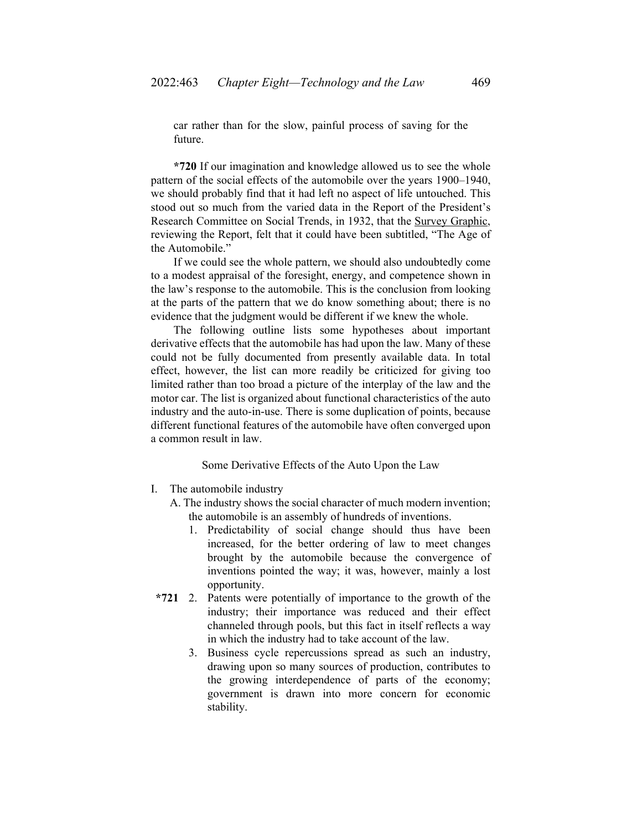car rather than for the slow, painful process of saving for the future.

**\*720** If our imagination and knowledge allowed us to see the whole pattern of the social effects of the automobile over the years 1900–1940, we should probably find that it had left no aspect of life untouched. This stood out so much from the varied data in the Report of the President's Research Committee on Social Trends, in 1932, that the Survey Graphic, reviewing the Report, felt that it could have been subtitled, "The Age of the Automobile."

If we could see the whole pattern, we should also undoubtedly come to a modest appraisal of the foresight, energy, and competence shown in the law's response to the automobile. This is the conclusion from looking at the parts of the pattern that we do know something about; there is no evidence that the judgment would be different if we knew the whole.

The following outline lists some hypotheses about important derivative effects that the automobile has had upon the law. Many of these could not be fully documented from presently available data. In total effect, however, the list can more readily be criticized for giving too limited rather than too broad a picture of the interplay of the law and the motor car. The list is organized about functional characteristics of the auto industry and the auto-in-use. There is some duplication of points, because different functional features of the automobile have often converged upon a common result in law.

#### Some Derivative Effects of the Auto Upon the Law

- I. The automobile industry
	- A. The industry shows the social character of much modern invention; the automobile is an assembly of hundreds of inventions.
		- 1. Predictability of social change should thus have been increased, for the better ordering of law to meet changes brought by the automobile because the convergence of inventions pointed the way; it was, however, mainly a lost opportunity.
- **\*721** 2. Patents were potentially of importance to the growth of the industry; their importance was reduced and their effect channeled through pools, but this fact in itself reflects a way in which the industry had to take account of the law.
	- 3. Business cycle repercussions spread as such an industry, drawing upon so many sources of production, contributes to the growing interdependence of parts of the economy; government is drawn into more concern for economic stability.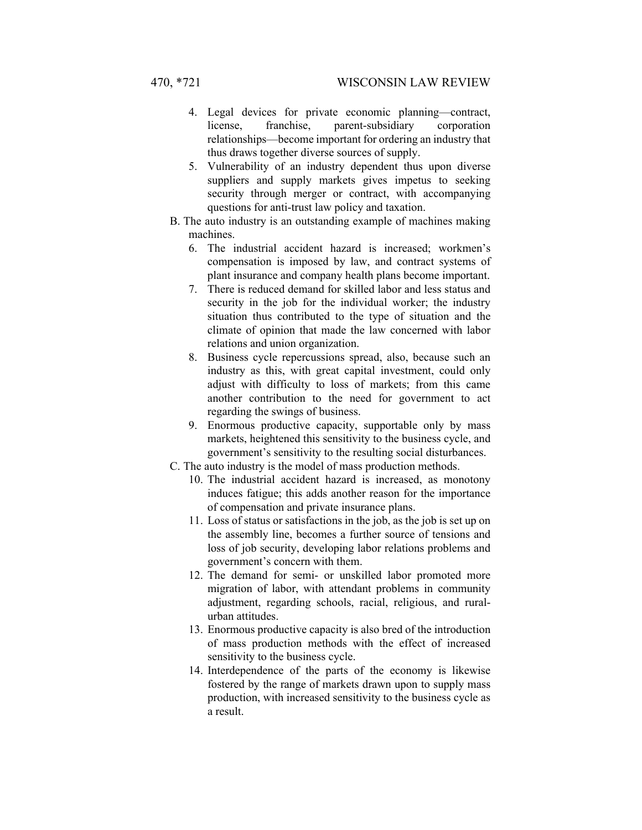- 4. Legal devices for private economic planning—contract, license, franchise, parent-subsidiary corporation relationships—become important for ordering an industry that thus draws together diverse sources of supply.
- 5. Vulnerability of an industry dependent thus upon diverse suppliers and supply markets gives impetus to seeking security through merger or contract, with accompanying questions for anti-trust law policy and taxation.
- B. The auto industry is an outstanding example of machines making machines.
	- 6. The industrial accident hazard is increased; workmen's compensation is imposed by law, and contract systems of plant insurance and company health plans become important.
	- 7. There is reduced demand for skilled labor and less status and security in the job for the individual worker; the industry situation thus contributed to the type of situation and the climate of opinion that made the law concerned with labor relations and union organization.
	- 8. Business cycle repercussions spread, also, because such an industry as this, with great capital investment, could only adjust with difficulty to loss of markets; from this came another contribution to the need for government to act regarding the swings of business.
	- 9. Enormous productive capacity, supportable only by mass markets, heightened this sensitivity to the business cycle, and government's sensitivity to the resulting social disturbances.
- C. The auto industry is the model of mass production methods.
	- 10. The industrial accident hazard is increased, as monotony induces fatigue; this adds another reason for the importance of compensation and private insurance plans.
	- 11. Loss of status or satisfactions in the job, as the job is set up on the assembly line, becomes a further source of tensions and loss of job security, developing labor relations problems and government's concern with them.
	- 12. The demand for semi- or unskilled labor promoted more migration of labor, with attendant problems in community adjustment, regarding schools, racial, religious, and ruralurban attitudes.
	- 13. Enormous productive capacity is also bred of the introduction of mass production methods with the effect of increased sensitivity to the business cycle.
	- 14. Interdependence of the parts of the economy is likewise fostered by the range of markets drawn upon to supply mass production, with increased sensitivity to the business cycle as a result.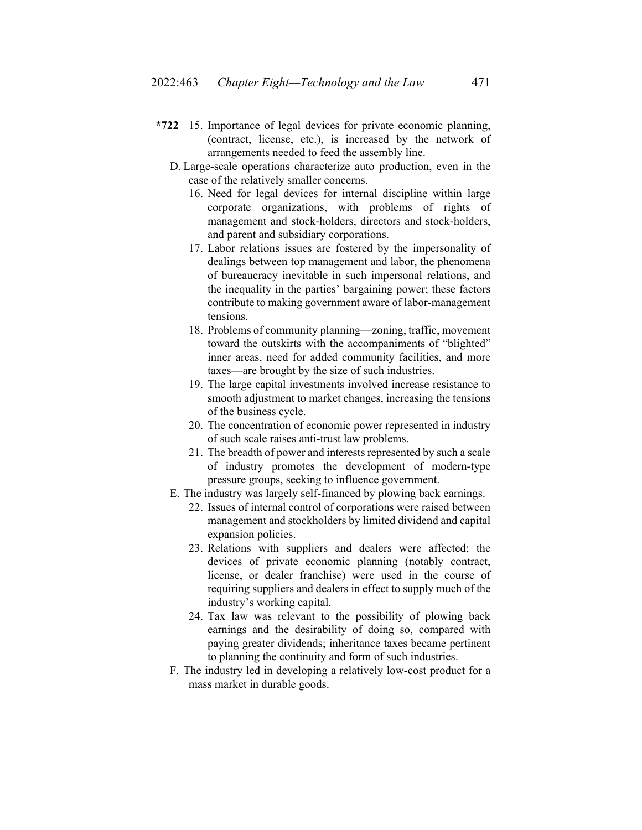- **\*722** 15. Importance of legal devices for private economic planning, (contract, license, etc.), is increased by the network of arrangements needed to feed the assembly line.
	- D. Large-scale operations characterize auto production, even in the case of the relatively smaller concerns.
		- 16. Need for legal devices for internal discipline within large corporate organizations, with problems of rights of management and stock-holders, directors and stock-holders, and parent and subsidiary corporations.
		- 17. Labor relations issues are fostered by the impersonality of dealings between top management and labor, the phenomena of bureaucracy inevitable in such impersonal relations, and the inequality in the parties' bargaining power; these factors contribute to making government aware of labor-management tensions.
		- 18. Problems of community planning—zoning, traffic, movement toward the outskirts with the accompaniments of "blighted" inner areas, need for added community facilities, and more taxes—are brought by the size of such industries.
		- 19. The large capital investments involved increase resistance to smooth adjustment to market changes, increasing the tensions of the business cycle.
		- 20. The concentration of economic power represented in industry of such scale raises anti-trust law problems.
		- 21. The breadth of power and interests represented by such a scale of industry promotes the development of modern-type pressure groups, seeking to influence government.
	- E. The industry was largely self-financed by plowing back earnings.
		- 22. Issues of internal control of corporations were raised between management and stockholders by limited dividend and capital expansion policies.
		- 23. Relations with suppliers and dealers were affected; the devices of private economic planning (notably contract, license, or dealer franchise) were used in the course of requiring suppliers and dealers in effect to supply much of the industry's working capital.
		- 24. Tax law was relevant to the possibility of plowing back earnings and the desirability of doing so, compared with paying greater dividends; inheritance taxes became pertinent to planning the continuity and form of such industries.
	- F. The industry led in developing a relatively low-cost product for a mass market in durable goods.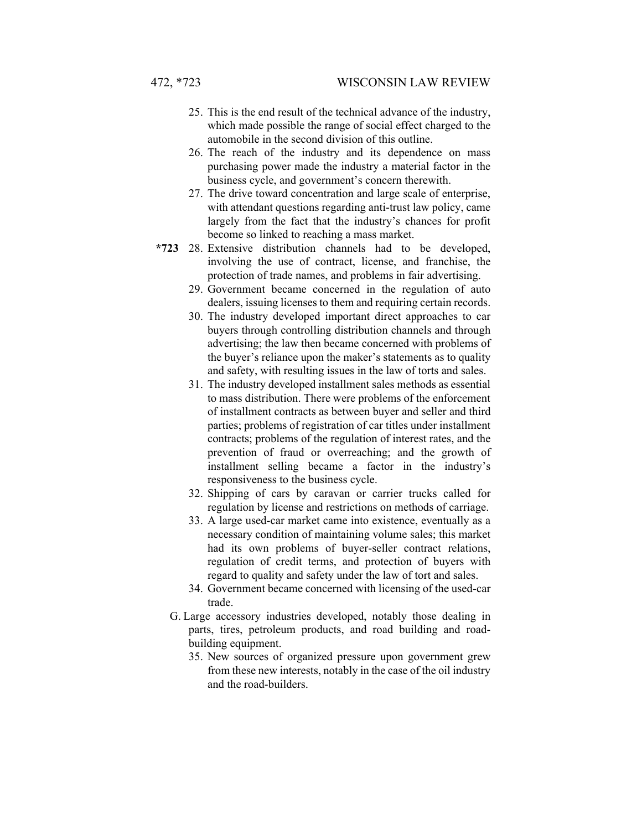- 25. This is the end result of the technical advance of the industry, which made possible the range of social effect charged to the automobile in the second division of this outline.
- 26. The reach of the industry and its dependence on mass purchasing power made the industry a material factor in the business cycle, and government's concern therewith.
- 27. The drive toward concentration and large scale of enterprise, with attendant questions regarding anti-trust law policy, came largely from the fact that the industry's chances for profit become so linked to reaching a mass market.
- **\*723** 28. Extensive distribution channels had to be developed, involving the use of contract, license, and franchise, the protection of trade names, and problems in fair advertising.
	- 29. Government became concerned in the regulation of auto dealers, issuing licenses to them and requiring certain records.
	- 30. The industry developed important direct approaches to car buyers through controlling distribution channels and through advertising; the law then became concerned with problems of the buyer's reliance upon the maker's statements as to quality and safety, with resulting issues in the law of torts and sales.
	- 31. The industry developed installment sales methods as essential to mass distribution. There were problems of the enforcement of installment contracts as between buyer and seller and third parties; problems of registration of car titles under installment contracts; problems of the regulation of interest rates, and the prevention of fraud or overreaching; and the growth of installment selling became a factor in the industry's responsiveness to the business cycle.
	- 32. Shipping of cars by caravan or carrier trucks called for regulation by license and restrictions on methods of carriage.
	- 33. A large used-car market came into existence, eventually as a necessary condition of maintaining volume sales; this market had its own problems of buyer-seller contract relations, regulation of credit terms, and protection of buyers with regard to quality and safety under the law of tort and sales.
	- 34. Government became concerned with licensing of the used-car trade.
	- G. Large accessory industries developed, notably those dealing in parts, tires, petroleum products, and road building and roadbuilding equipment.
		- 35. New sources of organized pressure upon government grew from these new interests, notably in the case of the oil industry and the road-builders.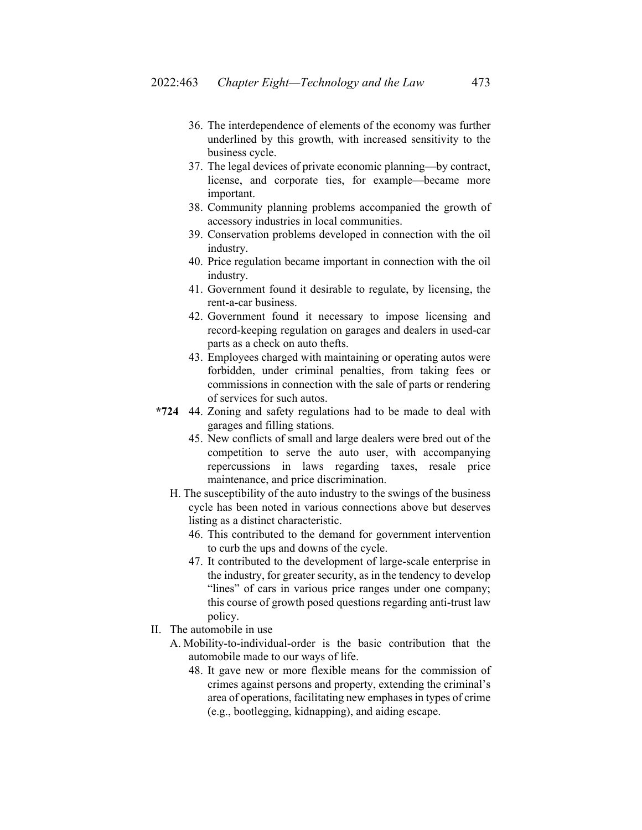- 36. The interdependence of elements of the economy was further underlined by this growth, with increased sensitivity to the business cycle.
- 37. The legal devices of private economic planning—by contract, license, and corporate ties, for example—became more important.
- 38. Community planning problems accompanied the growth of accessory industries in local communities.
- 39. Conservation problems developed in connection with the oil industry.
- 40. Price regulation became important in connection with the oil industry.
- 41. Government found it desirable to regulate, by licensing, the rent-a-car business.
- 42. Government found it necessary to impose licensing and record-keeping regulation on garages and dealers in used-car parts as a check on auto thefts.
- 43. Employees charged with maintaining or operating autos were forbidden, under criminal penalties, from taking fees or commissions in connection with the sale of parts or rendering of services for such autos.
- **\*724** 44. Zoning and safety regulations had to be made to deal with garages and filling stations.
	- 45. New conflicts of small and large dealers were bred out of the competition to serve the auto user, with accompanying repercussions in laws regarding taxes, resale price maintenance, and price discrimination.
	- H. The susceptibility of the auto industry to the swings of the business cycle has been noted in various connections above but deserves listing as a distinct characteristic.
		- 46. This contributed to the demand for government intervention to curb the ups and downs of the cycle.
		- 47. It contributed to the development of large-scale enterprise in the industry, for greater security, as in the tendency to develop "lines" of cars in various price ranges under one company; this course of growth posed questions regarding anti-trust law policy.
- II. The automobile in use
	- A. Mobility-to-individual-order is the basic contribution that the automobile made to our ways of life.
		- 48. It gave new or more flexible means for the commission of crimes against persons and property, extending the criminal's area of operations, facilitating new emphases in types of crime (e.g., bootlegging, kidnapping), and aiding escape.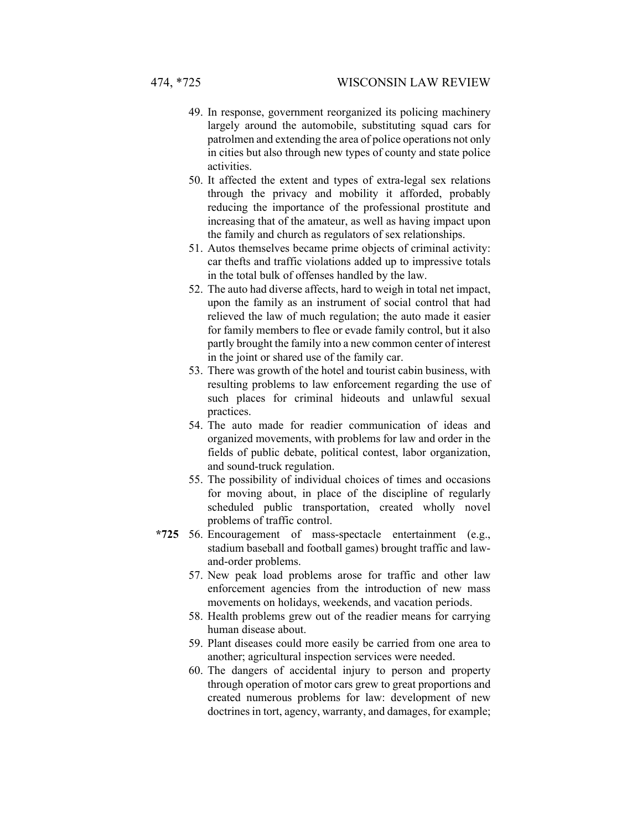- 49. In response, government reorganized its policing machinery largely around the automobile, substituting squad cars for patrolmen and extending the area of police operations not only in cities but also through new types of county and state police activities.
- 50. It affected the extent and types of extra-legal sex relations through the privacy and mobility it afforded, probably reducing the importance of the professional prostitute and increasing that of the amateur, as well as having impact upon the family and church as regulators of sex relationships.
- 51. Autos themselves became prime objects of criminal activity: car thefts and traffic violations added up to impressive totals in the total bulk of offenses handled by the law.
- 52. The auto had diverse affects, hard to weigh in total net impact, upon the family as an instrument of social control that had relieved the law of much regulation; the auto made it easier for family members to flee or evade family control, but it also partly brought the family into a new common center of interest in the joint or shared use of the family car.
- 53. There was growth of the hotel and tourist cabin business, with resulting problems to law enforcement regarding the use of such places for criminal hideouts and unlawful sexual practices.
- 54. The auto made for readier communication of ideas and organized movements, with problems for law and order in the fields of public debate, political contest, labor organization, and sound-truck regulation.
- 55. The possibility of individual choices of times and occasions for moving about, in place of the discipline of regularly scheduled public transportation, created wholly novel problems of traffic control.
- **\*725** 56. Encouragement of mass-spectacle entertainment (e.g., stadium baseball and football games) brought traffic and lawand-order problems.
	- 57. New peak load problems arose for traffic and other law enforcement agencies from the introduction of new mass movements on holidays, weekends, and vacation periods.
	- 58. Health problems grew out of the readier means for carrying human disease about.
	- 59. Plant diseases could more easily be carried from one area to another; agricultural inspection services were needed.
	- 60. The dangers of accidental injury to person and property through operation of motor cars grew to great proportions and created numerous problems for law: development of new doctrines in tort, agency, warranty, and damages, for example;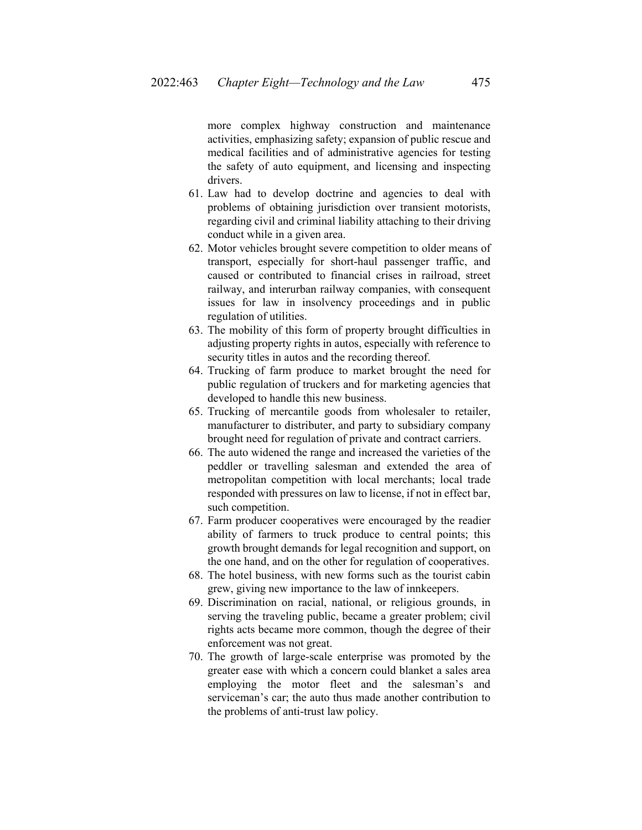more complex highway construction and maintenance activities, emphasizing safety; expansion of public rescue and medical facilities and of administrative agencies for testing the safety of auto equipment, and licensing and inspecting drivers.

- 61. Law had to develop doctrine and agencies to deal with problems of obtaining jurisdiction over transient motorists, regarding civil and criminal liability attaching to their driving conduct while in a given area.
- 62. Motor vehicles brought severe competition to older means of transport, especially for short-haul passenger traffic, and caused or contributed to financial crises in railroad, street railway, and interurban railway companies, with consequent issues for law in insolvency proceedings and in public regulation of utilities.
- 63. The mobility of this form of property brought difficulties in adjusting property rights in autos, especially with reference to security titles in autos and the recording thereof.
- 64. Trucking of farm produce to market brought the need for public regulation of truckers and for marketing agencies that developed to handle this new business.
- 65. Trucking of mercantile goods from wholesaler to retailer, manufacturer to distributer, and party to subsidiary company brought need for regulation of private and contract carriers.
- 66. The auto widened the range and increased the varieties of the peddler or travelling salesman and extended the area of metropolitan competition with local merchants; local trade responded with pressures on law to license, if not in effect bar, such competition.
- 67. Farm producer cooperatives were encouraged by the readier ability of farmers to truck produce to central points; this growth brought demands for legal recognition and support, on the one hand, and on the other for regulation of cooperatives.
- 68. The hotel business, with new forms such as the tourist cabin grew, giving new importance to the law of innkeepers.
- 69. Discrimination on racial, national, or religious grounds, in serving the traveling public, became a greater problem; civil rights acts became more common, though the degree of their enforcement was not great.
- 70. The growth of large-scale enterprise was promoted by the greater ease with which a concern could blanket a sales area employing the motor fleet and the salesman's and serviceman's car; the auto thus made another contribution to the problems of anti-trust law policy.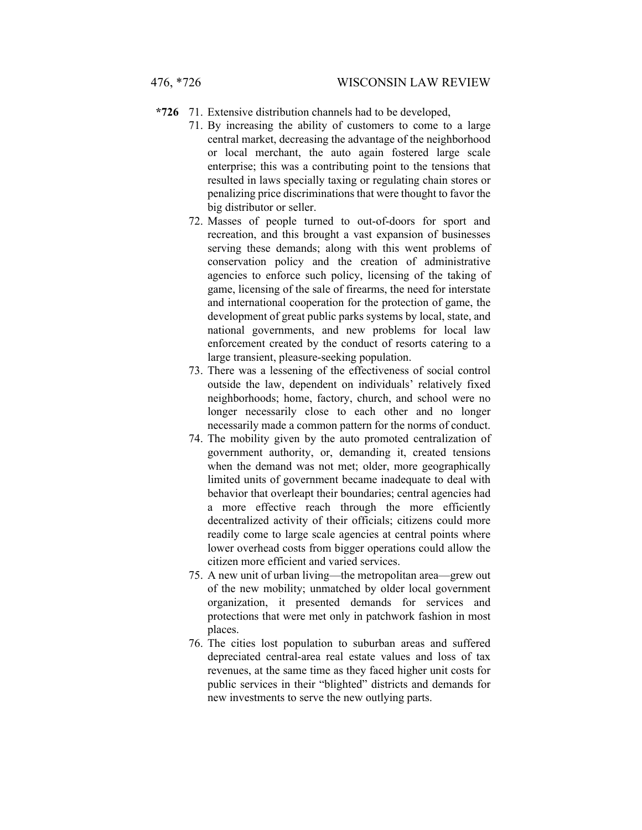- **\*726** 71. Extensive distribution channels had to be developed,
	- 71. By increasing the ability of customers to come to a large central market, decreasing the advantage of the neighborhood or local merchant, the auto again fostered large scale enterprise; this was a contributing point to the tensions that resulted in laws specially taxing or regulating chain stores or penalizing price discriminations that were thought to favor the big distributor or seller.
	- 72. Masses of people turned to out-of-doors for sport and recreation, and this brought a vast expansion of businesses serving these demands; along with this went problems of conservation policy and the creation of administrative agencies to enforce such policy, licensing of the taking of game, licensing of the sale of firearms, the need for interstate and international cooperation for the protection of game, the development of great public parks systems by local, state, and national governments, and new problems for local law enforcement created by the conduct of resorts catering to a large transient, pleasure-seeking population.
	- 73. There was a lessening of the effectiveness of social control outside the law, dependent on individuals' relatively fixed neighborhoods; home, factory, church, and school were no longer necessarily close to each other and no longer necessarily made a common pattern for the norms of conduct.
	- 74. The mobility given by the auto promoted centralization of government authority, or, demanding it, created tensions when the demand was not met; older, more geographically limited units of government became inadequate to deal with behavior that overleapt their boundaries; central agencies had a more effective reach through the more efficiently decentralized activity of their officials; citizens could more readily come to large scale agencies at central points where lower overhead costs from bigger operations could allow the citizen more efficient and varied services.
	- 75. A new unit of urban living—the metropolitan area—grew out of the new mobility; unmatched by older local government organization, it presented demands for services and protections that were met only in patchwork fashion in most places.
	- 76. The cities lost population to suburban areas and suffered depreciated central-area real estate values and loss of tax revenues, at the same time as they faced higher unit costs for public services in their "blighted" districts and demands for new investments to serve the new outlying parts.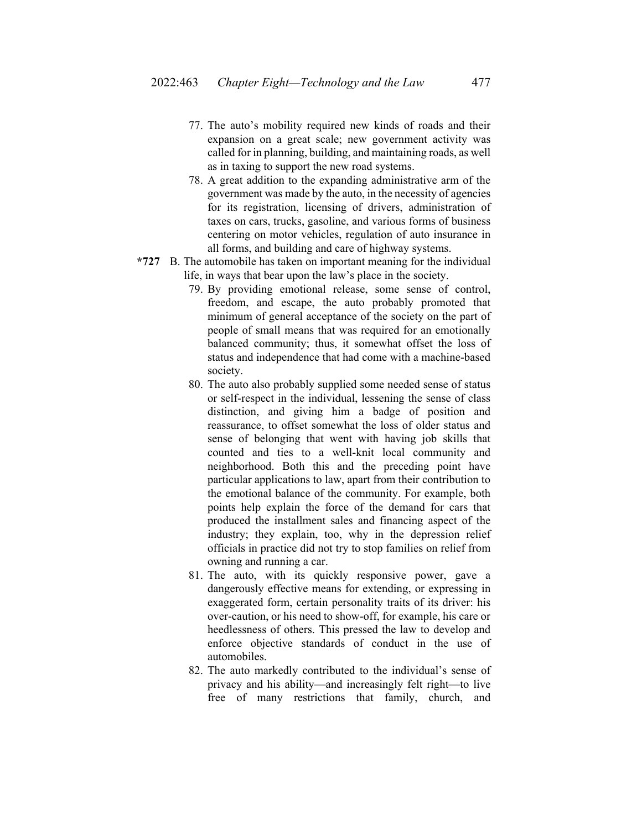- 77. The auto's mobility required new kinds of roads and their expansion on a great scale; new government activity was called for in planning, building, and maintaining roads, as well as in taxing to support the new road systems.
- 78. A great addition to the expanding administrative arm of the government was made by the auto, in the necessity of agencies for its registration, licensing of drivers, administration of taxes on cars, trucks, gasoline, and various forms of business centering on motor vehicles, regulation of auto insurance in all forms, and building and care of highway systems.
- **\*727** B. The automobile has taken on important meaning for the individual life, in ways that bear upon the law's place in the society.
	- 79. By providing emotional release, some sense of control, freedom, and escape, the auto probably promoted that minimum of general acceptance of the society on the part of people of small means that was required for an emotionally balanced community; thus, it somewhat offset the loss of status and independence that had come with a machine-based society.
	- 80. The auto also probably supplied some needed sense of status or self-respect in the individual, lessening the sense of class distinction, and giving him a badge of position and reassurance, to offset somewhat the loss of older status and sense of belonging that went with having job skills that counted and ties to a well-knit local community and neighborhood. Both this and the preceding point have particular applications to law, apart from their contribution to the emotional balance of the community. For example, both points help explain the force of the demand for cars that produced the installment sales and financing aspect of the industry; they explain, too, why in the depression relief officials in practice did not try to stop families on relief from owning and running a car.
	- 81. The auto, with its quickly responsive power, gave a dangerously effective means for extending, or expressing in exaggerated form, certain personality traits of its driver: his over-caution, or his need to show-off, for example, his care or heedlessness of others. This pressed the law to develop and enforce objective standards of conduct in the use of automobiles.
	- 82. The auto markedly contributed to the individual's sense of privacy and his ability—and increasingly felt right—to live free of many restrictions that family, church, and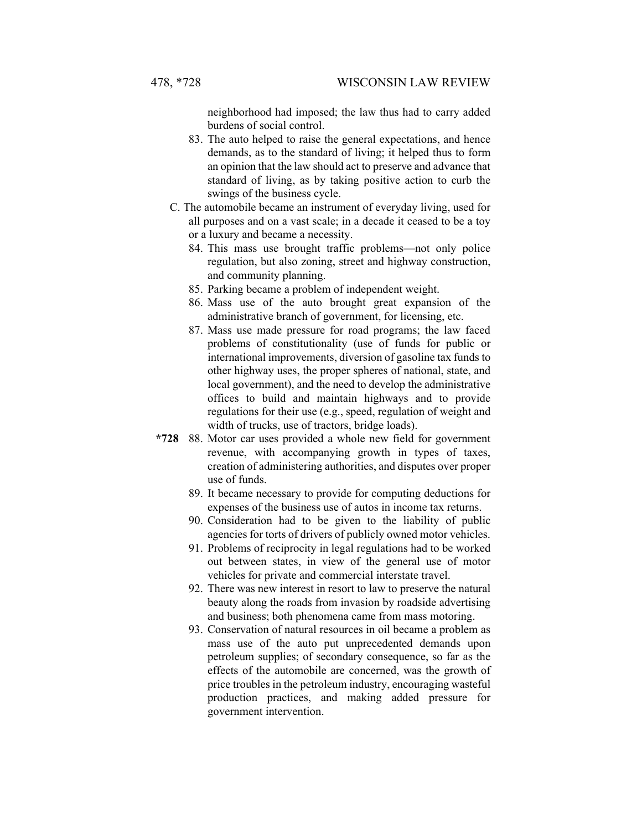neighborhood had imposed; the law thus had to carry added burdens of social control.

- 83. The auto helped to raise the general expectations, and hence demands, as to the standard of living; it helped thus to form an opinion that the law should act to preserve and advance that standard of living, as by taking positive action to curb the swings of the business cycle.
- C. The automobile became an instrument of everyday living, used for all purposes and on a vast scale; in a decade it ceased to be a toy or a luxury and became a necessity.
	- 84. This mass use brought traffic problems—not only police regulation, but also zoning, street and highway construction, and community planning.
	- 85. Parking became a problem of independent weight.
	- 86. Mass use of the auto brought great expansion of the administrative branch of government, for licensing, etc.
	- 87. Mass use made pressure for road programs; the law faced problems of constitutionality (use of funds for public or international improvements, diversion of gasoline tax funds to other highway uses, the proper spheres of national, state, and local government), and the need to develop the administrative offices to build and maintain highways and to provide regulations for their use (e.g., speed, regulation of weight and width of trucks, use of tractors, bridge loads).
- **\*728** 88. Motor car uses provided a whole new field for government revenue, with accompanying growth in types of taxes, creation of administering authorities, and disputes over proper use of funds.
	- 89. It became necessary to provide for computing deductions for expenses of the business use of autos in income tax returns.
	- 90. Consideration had to be given to the liability of public agencies for torts of drivers of publicly owned motor vehicles.
	- 91. Problems of reciprocity in legal regulations had to be worked out between states, in view of the general use of motor vehicles for private and commercial interstate travel.
	- 92. There was new interest in resort to law to preserve the natural beauty along the roads from invasion by roadside advertising and business; both phenomena came from mass motoring.
	- 93. Conservation of natural resources in oil became a problem as mass use of the auto put unprecedented demands upon petroleum supplies; of secondary consequence, so far as the effects of the automobile are concerned, was the growth of price troubles in the petroleum industry, encouraging wasteful production practices, and making added pressure for government intervention.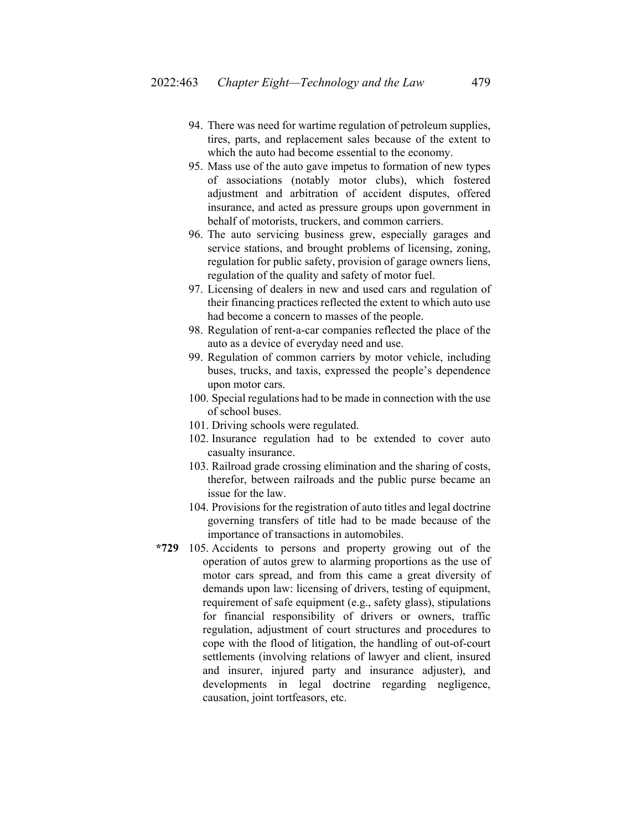- 94. There was need for wartime regulation of petroleum supplies, tires, parts, and replacement sales because of the extent to which the auto had become essential to the economy.
- 95. Mass use of the auto gave impetus to formation of new types of associations (notably motor clubs), which fostered adjustment and arbitration of accident disputes, offered insurance, and acted as pressure groups upon government in behalf of motorists, truckers, and common carriers.
- 96. The auto servicing business grew, especially garages and service stations, and brought problems of licensing, zoning, regulation for public safety, provision of garage owners liens, regulation of the quality and safety of motor fuel.
- 97. Licensing of dealers in new and used cars and regulation of their financing practices reflected the extent to which auto use had become a concern to masses of the people.
- 98. Regulation of rent-a-car companies reflected the place of the auto as a device of everyday need and use.
- 99. Regulation of common carriers by motor vehicle, including buses, trucks, and taxis, expressed the people's dependence upon motor cars.
- 100. Special regulations had to be made in connection with the use of school buses.
- 101. Driving schools were regulated.
- 102. Insurance regulation had to be extended to cover auto casualty insurance.
- 103. Railroad grade crossing elimination and the sharing of costs, therefor, between railroads and the public purse became an issue for the law.
- 104. Provisions for the registration of auto titles and legal doctrine governing transfers of title had to be made because of the importance of transactions in automobiles.
- **\*729** 105. Accidents to persons and property growing out of the operation of autos grew to alarming proportions as the use of motor cars spread, and from this came a great diversity of demands upon law: licensing of drivers, testing of equipment, requirement of safe equipment (e.g., safety glass), stipulations for financial responsibility of drivers or owners, traffic regulation, adjustment of court structures and procedures to cope with the flood of litigation, the handling of out-of-court settlements (involving relations of lawyer and client, insured and insurer, injured party and insurance adjuster), and developments in legal doctrine regarding negligence, causation, joint tortfeasors, etc.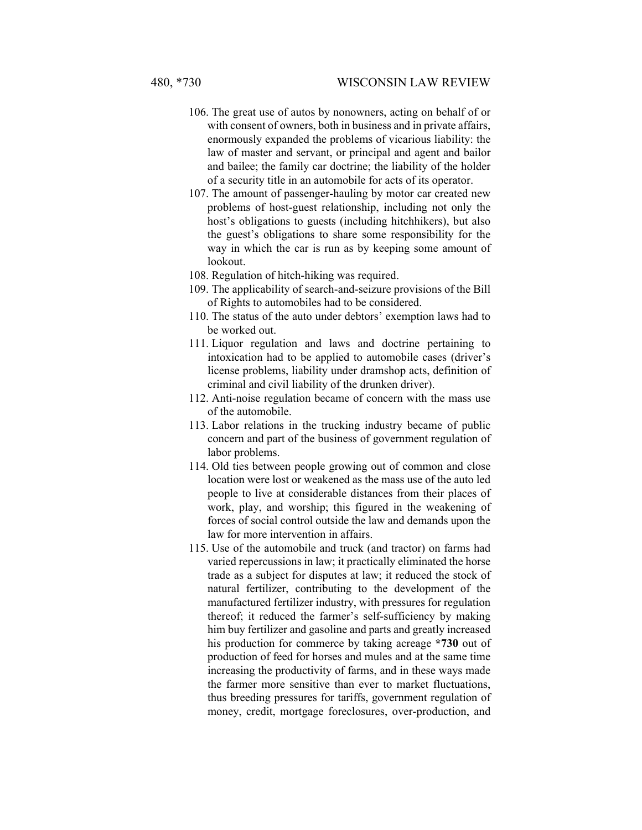- 106. The great use of autos by nonowners, acting on behalf of or with consent of owners, both in business and in private affairs, enormously expanded the problems of vicarious liability: the law of master and servant, or principal and agent and bailor and bailee; the family car doctrine; the liability of the holder of a security title in an automobile for acts of its operator.
- 107. The amount of passenger-hauling by motor car created new problems of host-guest relationship, including not only the host's obligations to guests (including hitchhikers), but also the guest's obligations to share some responsibility for the way in which the car is run as by keeping some amount of lookout.
- 108. Regulation of hitch-hiking was required.
- 109. The applicability of search-and-seizure provisions of the Bill of Rights to automobiles had to be considered.
- 110. The status of the auto under debtors' exemption laws had to be worked out.
- 111. Liquor regulation and laws and doctrine pertaining to intoxication had to be applied to automobile cases (driver's license problems, liability under dramshop acts, definition of criminal and civil liability of the drunken driver).
- 112. Anti-noise regulation became of concern with the mass use of the automobile.
- 113. Labor relations in the trucking industry became of public concern and part of the business of government regulation of labor problems.
- 114. Old ties between people growing out of common and close location were lost or weakened as the mass use of the auto led people to live at considerable distances from their places of work, play, and worship; this figured in the weakening of forces of social control outside the law and demands upon the law for more intervention in affairs.
- 115. Use of the automobile and truck (and tractor) on farms had varied repercussions in law; it practically eliminated the horse trade as a subject for disputes at law; it reduced the stock of natural fertilizer, contributing to the development of the manufactured fertilizer industry, with pressures for regulation thereof; it reduced the farmer's self-sufficiency by making him buy fertilizer and gasoline and parts and greatly increased his production for commerce by taking acreage **\*730** out of production of feed for horses and mules and at the same time increasing the productivity of farms, and in these ways made the farmer more sensitive than ever to market fluctuations, thus breeding pressures for tariffs, government regulation of money, credit, mortgage foreclosures, over-production, and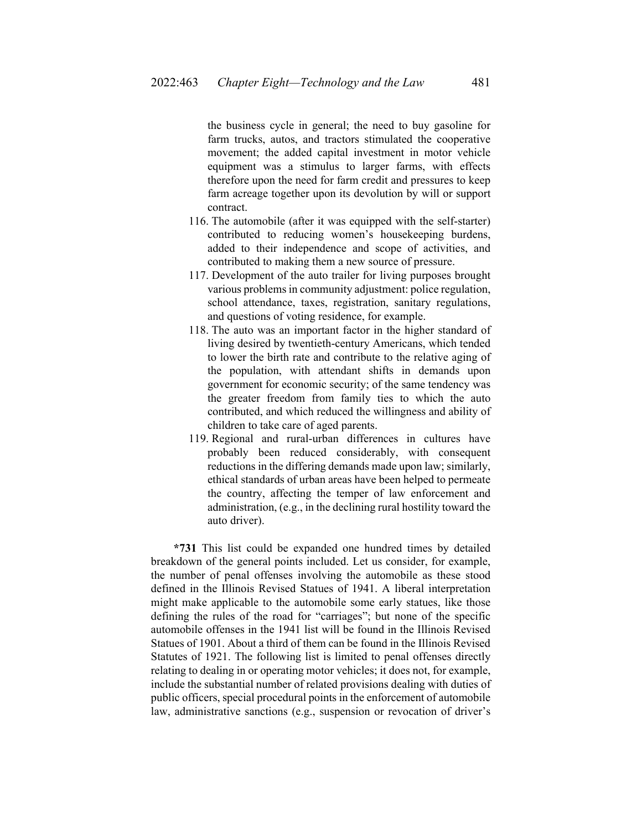the business cycle in general; the need to buy gasoline for farm trucks, autos, and tractors stimulated the cooperative movement; the added capital investment in motor vehicle equipment was a stimulus to larger farms, with effects therefore upon the need for farm credit and pressures to keep farm acreage together upon its devolution by will or support contract.

- 116. The automobile (after it was equipped with the self-starter) contributed to reducing women's housekeeping burdens, added to their independence and scope of activities, and contributed to making them a new source of pressure.
- 117. Development of the auto trailer for living purposes brought various problems in community adjustment: police regulation, school attendance, taxes, registration, sanitary regulations, and questions of voting residence, for example.
- 118. The auto was an important factor in the higher standard of living desired by twentieth-century Americans, which tended to lower the birth rate and contribute to the relative aging of the population, with attendant shifts in demands upon government for economic security; of the same tendency was the greater freedom from family ties to which the auto contributed, and which reduced the willingness and ability of children to take care of aged parents.
- 119. Regional and rural-urban differences in cultures have probably been reduced considerably, with consequent reductions in the differing demands made upon law; similarly, ethical standards of urban areas have been helped to permeate the country, affecting the temper of law enforcement and administration, (e.g., in the declining rural hostility toward the auto driver).

**\*731** This list could be expanded one hundred times by detailed breakdown of the general points included. Let us consider, for example, the number of penal offenses involving the automobile as these stood defined in the Illinois Revised Statues of 1941. A liberal interpretation might make applicable to the automobile some early statues, like those defining the rules of the road for "carriages"; but none of the specific automobile offenses in the 1941 list will be found in the Illinois Revised Statues of 1901. About a third of them can be found in the Illinois Revised Statutes of 1921. The following list is limited to penal offenses directly relating to dealing in or operating motor vehicles; it does not, for example, include the substantial number of related provisions dealing with duties of public officers, special procedural points in the enforcement of automobile law, administrative sanctions (e.g., suspension or revocation of driver's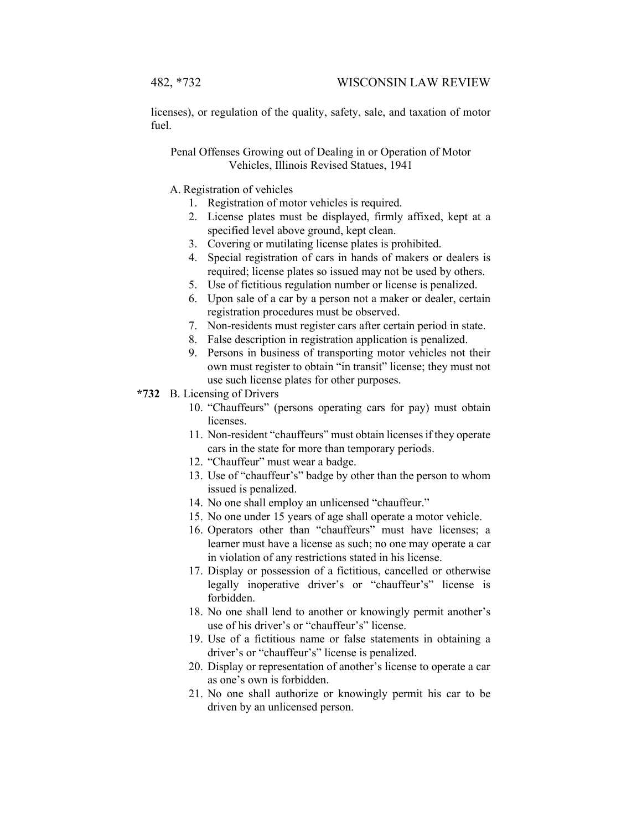licenses), or regulation of the quality, safety, sale, and taxation of motor fuel.

Penal Offenses Growing out of Dealing in or Operation of Motor Vehicles, Illinois Revised Statues, 1941

A. Registration of vehicles

- 1. Registration of motor vehicles is required.
- 2. License plates must be displayed, firmly affixed, kept at a specified level above ground, kept clean.
- 3. Covering or mutilating license plates is prohibited.
- 4. Special registration of cars in hands of makers or dealers is required; license plates so issued may not be used by others.
- 5. Use of fictitious regulation number or license is penalized.
- 6. Upon sale of a car by a person not a maker or dealer, certain registration procedures must be observed.
- 7. Non-residents must register cars after certain period in state.
- 8. False description in registration application is penalized.
- 9. Persons in business of transporting motor vehicles not their own must register to obtain "in transit" license; they must not use such license plates for other purposes.
- **\*732** B. Licensing of Drivers
	- 10. "Chauffeurs" (persons operating cars for pay) must obtain licenses.
	- 11. Non-resident "chauffeurs" must obtain licenses if they operate cars in the state for more than temporary periods.
	- 12. "Chauffeur" must wear a badge.
	- 13. Use of "chauffeur's" badge by other than the person to whom issued is penalized.
	- 14. No one shall employ an unlicensed "chauffeur."
	- 15. No one under 15 years of age shall operate a motor vehicle.
	- 16. Operators other than "chauffeurs" must have licenses; a learner must have a license as such; no one may operate a car in violation of any restrictions stated in his license.
	- 17. Display or possession of a fictitious, cancelled or otherwise legally inoperative driver's or "chauffeur's" license is forbidden.
	- 18. No one shall lend to another or knowingly permit another's use of his driver's or "chauffeur's" license.
	- 19. Use of a fictitious name or false statements in obtaining a driver's or "chauffeur's" license is penalized.
	- 20. Display or representation of another's license to operate a car as one's own is forbidden.
	- 21. No one shall authorize or knowingly permit his car to be driven by an unlicensed person.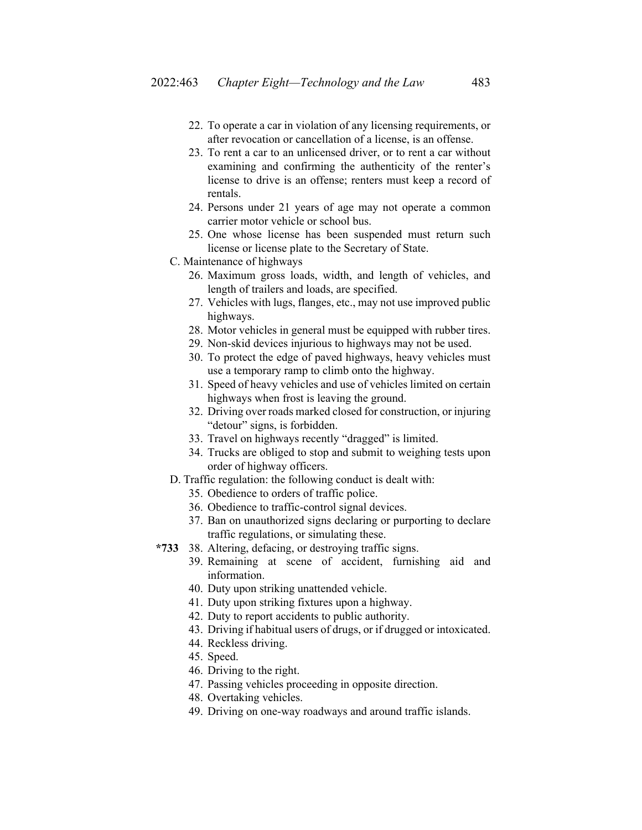- 22. To operate a car in violation of any licensing requirements, or after revocation or cancellation of a license, is an offense.
- 23. To rent a car to an unlicensed driver, or to rent a car without examining and confirming the authenticity of the renter's license to drive is an offense; renters must keep a record of rentals.
- 24. Persons under 21 years of age may not operate a common carrier motor vehicle or school bus.
- 25. One whose license has been suspended must return such license or license plate to the Secretary of State.
- C. Maintenance of highways
	- 26. Maximum gross loads, width, and length of vehicles, and length of trailers and loads, are specified.
	- 27. Vehicles with lugs, flanges, etc., may not use improved public highways.
	- 28. Motor vehicles in general must be equipped with rubber tires.
	- 29. Non-skid devices injurious to highways may not be used.
	- 30. To protect the edge of paved highways, heavy vehicles must use a temporary ramp to climb onto the highway.
	- 31. Speed of heavy vehicles and use of vehicles limited on certain highways when frost is leaving the ground.
	- 32. Driving over roads marked closed for construction, or injuring "detour" signs, is forbidden.
	- 33. Travel on highways recently "dragged" is limited.
	- 34. Trucks are obliged to stop and submit to weighing tests upon order of highway officers.
- D. Traffic regulation: the following conduct is dealt with:
	- 35. Obedience to orders of traffic police.
	- 36. Obedience to traffic-control signal devices.
	- 37. Ban on unauthorized signs declaring or purporting to declare traffic regulations, or simulating these.
- **\*733** 38. Altering, defacing, or destroying traffic signs.
	- 39. Remaining at scene of accident, furnishing aid and information.
	- 40. Duty upon striking unattended vehicle.
	- 41. Duty upon striking fixtures upon a highway.
	- 42. Duty to report accidents to public authority.
	- 43. Driving if habitual users of drugs, or if drugged or intoxicated.
	- 44. Reckless driving.
	- 45. Speed.
	- 46. Driving to the right.
	- 47. Passing vehicles proceeding in opposite direction.
	- 48. Overtaking vehicles.
	- 49. Driving on one-way roadways and around traffic islands.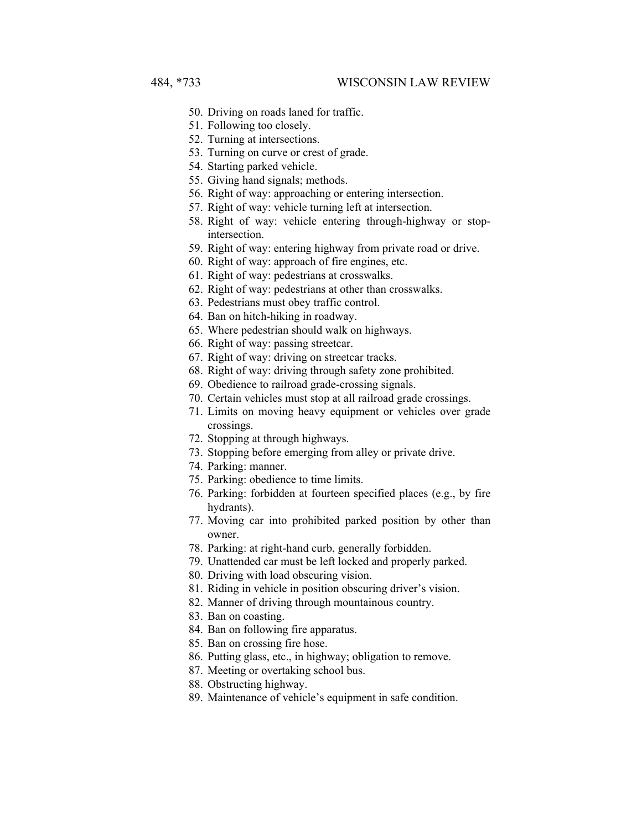- 50. Driving on roads laned for traffic.
- 51. Following too closely.
- 52. Turning at intersections.
- 53. Turning on curve or crest of grade.
- 54. Starting parked vehicle.
- 55. Giving hand signals; methods.
- 56. Right of way: approaching or entering intersection.
- 57. Right of way: vehicle turning left at intersection.
- 58. Right of way: vehicle entering through-highway or stopintersection.
- 59. Right of way: entering highway from private road or drive.
- 60. Right of way: approach of fire engines, etc.
- 61. Right of way: pedestrians at crosswalks.
- 62. Right of way: pedestrians at other than crosswalks.
- 63. Pedestrians must obey traffic control.
- 64. Ban on hitch-hiking in roadway.
- 65. Where pedestrian should walk on highways.
- 66. Right of way: passing streetcar.
- 67. Right of way: driving on streetcar tracks.
- 68. Right of way: driving through safety zone prohibited.
- 69. Obedience to railroad grade-crossing signals.
- 70. Certain vehicles must stop at all railroad grade crossings.
- 71. Limits on moving heavy equipment or vehicles over grade crossings.
- 72. Stopping at through highways.
- 73. Stopping before emerging from alley or private drive.
- 74. Parking: manner.
- 75. Parking: obedience to time limits.
- 76. Parking: forbidden at fourteen specified places (e.g., by fire hydrants).
- 77. Moving car into prohibited parked position by other than owner.
- 78. Parking: at right-hand curb, generally forbidden.
- 79. Unattended car must be left locked and properly parked.
- 80. Driving with load obscuring vision.
- 81. Riding in vehicle in position obscuring driver's vision.
- 82. Manner of driving through mountainous country.
- 83. Ban on coasting.
- 84. Ban on following fire apparatus.
- 85. Ban on crossing fire hose.
- 86. Putting glass, etc., in highway; obligation to remove.
- 87. Meeting or overtaking school bus.
- 88. Obstructing highway.
- 89. Maintenance of vehicle's equipment in safe condition.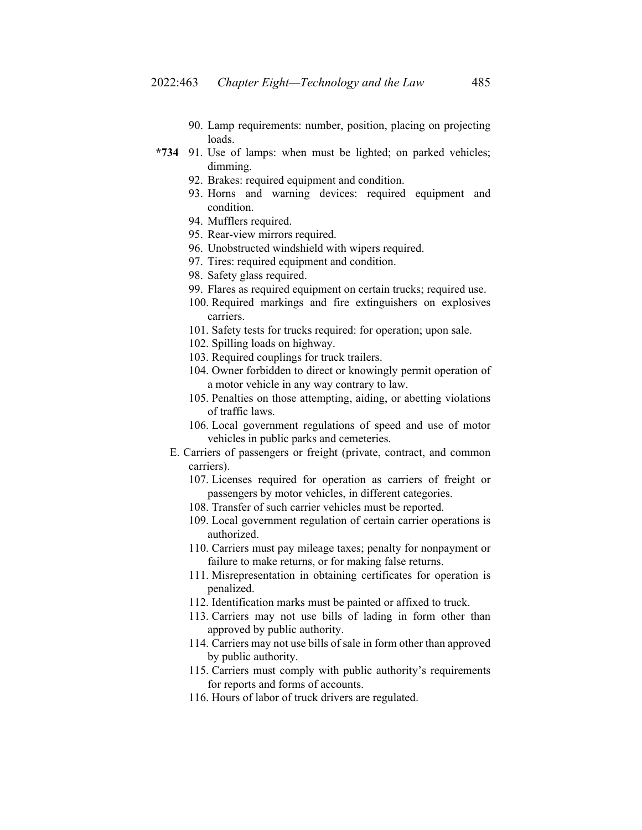- 90. Lamp requirements: number, position, placing on projecting loads.
- **\*734** 91. Use of lamps: when must be lighted; on parked vehicles; dimming.
	- 92. Brakes: required equipment and condition.
	- 93. Horns and warning devices: required equipment and condition.
	- 94. Mufflers required.
	- 95. Rear-view mirrors required.
	- 96. Unobstructed windshield with wipers required.
	- 97. Tires: required equipment and condition.
	- 98. Safety glass required.
	- 99. Flares as required equipment on certain trucks; required use.
	- 100. Required markings and fire extinguishers on explosives carriers.
	- 101. Safety tests for trucks required: for operation; upon sale.
	- 102. Spilling loads on highway.
	- 103. Required couplings for truck trailers.
	- 104. Owner forbidden to direct or knowingly permit operation of a motor vehicle in any way contrary to law.
	- 105. Penalties on those attempting, aiding, or abetting violations of traffic laws.
	- 106. Local government regulations of speed and use of motor vehicles in public parks and cemeteries.
	- E. Carriers of passengers or freight (private, contract, and common carriers).
		- 107. Licenses required for operation as carriers of freight or passengers by motor vehicles, in different categories.
		- 108. Transfer of such carrier vehicles must be reported.
		- 109. Local government regulation of certain carrier operations is authorized.
		- 110. Carriers must pay mileage taxes; penalty for nonpayment or failure to make returns, or for making false returns.
		- 111. Misrepresentation in obtaining certificates for operation is penalized.
		- 112. Identification marks must be painted or affixed to truck.
		- 113. Carriers may not use bills of lading in form other than approved by public authority.
		- 114. Carriers may not use bills of sale in form other than approved by public authority.
		- 115. Carriers must comply with public authority's requirements for reports and forms of accounts.
		- 116. Hours of labor of truck drivers are regulated.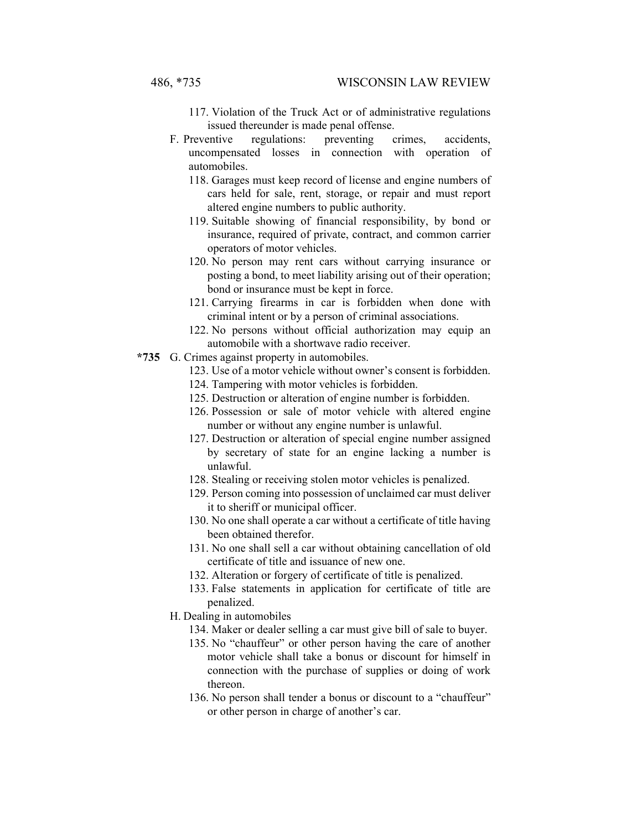- 117. Violation of the Truck Act or of administrative regulations issued thereunder is made penal offense.
- F. Preventive regulations: preventing crimes, accidents, uncompensated losses in connection with operation of automobiles.
	- 118. Garages must keep record of license and engine numbers of cars held for sale, rent, storage, or repair and must report altered engine numbers to public authority.
	- 119. Suitable showing of financial responsibility, by bond or insurance, required of private, contract, and common carrier operators of motor vehicles.
	- 120. No person may rent cars without carrying insurance or posting a bond, to meet liability arising out of their operation; bond or insurance must be kept in force.
	- 121. Carrying firearms in car is forbidden when done with criminal intent or by a person of criminal associations.
	- 122. No persons without official authorization may equip an automobile with a shortwave radio receiver.
- **\*735** G. Crimes against property in automobiles.
	- 123. Use of a motor vehicle without owner's consent is forbidden.
	- 124. Tampering with motor vehicles is forbidden.
	- 125. Destruction or alteration of engine number is forbidden.
	- 126. Possession or sale of motor vehicle with altered engine number or without any engine number is unlawful.
	- 127. Destruction or alteration of special engine number assigned by secretary of state for an engine lacking a number is unlawful.
	- 128. Stealing or receiving stolen motor vehicles is penalized.
	- 129. Person coming into possession of unclaimed car must deliver it to sheriff or municipal officer.
	- 130. No one shall operate a car without a certificate of title having been obtained therefor.
	- 131. No one shall sell a car without obtaining cancellation of old certificate of title and issuance of new one.
	- 132. Alteration or forgery of certificate of title is penalized.
	- 133. False statements in application for certificate of title are penalized.
	- H. Dealing in automobiles
		- 134. Maker or dealer selling a car must give bill of sale to buyer.
		- 135. No "chauffeur" or other person having the care of another motor vehicle shall take a bonus or discount for himself in connection with the purchase of supplies or doing of work thereon.
		- 136. No person shall tender a bonus or discount to a "chauffeur" or other person in charge of another's car.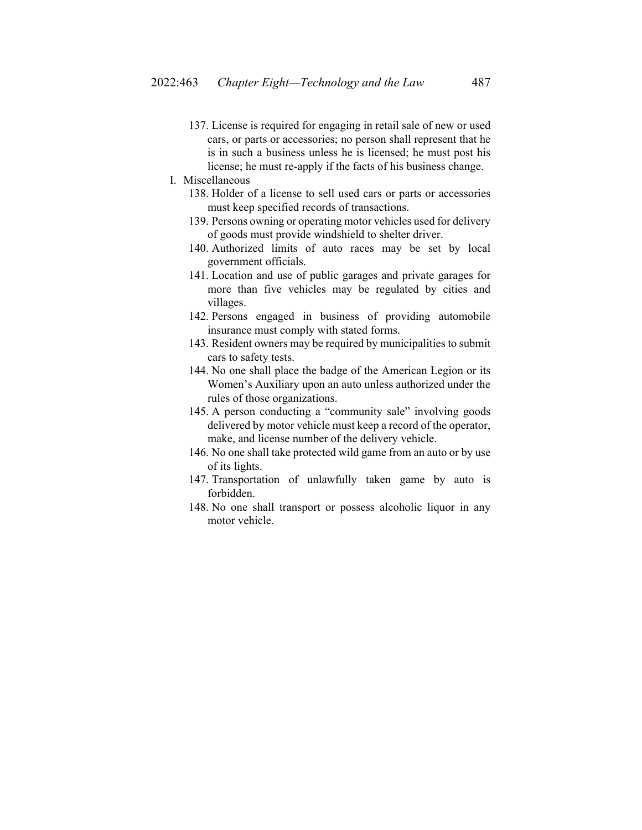137. License is required for engaging in retail sale of new or used cars, or parts or accessories; no person shall represent that he is in such a business unless he is licensed; he must post his license; he must re-apply if the facts of his business change.

# I. Miscellaneous

- 138. Holder of a license to sell used cars or parts or accessories must keep specified records of transactions.
- 139. Persons owning or operating motor vehicles used for delivery of goods must provide windshield to shelter driver.
- 140. Authorized limits of auto races may be set by local government officials.
- 141. Location and use of public garages and private garages for more than five vehicles may be regulated by cities and villages.
- 142. Persons engaged in business of providing automobile insurance must comply with stated forms.
- 143. Resident owners may be required by municipalities to submit cars to safety tests.
- 144. No one shall place the badge of the American Legion or its Women's Auxiliary upon an auto unless authorized under the rules of those organizations.
- 145. A person conducting a "community sale" involving goods delivered by motor vehicle must keep a record of the operator, make, and license number of the delivery vehicle.
- 146. No one shall take protected wild game from an auto or by use of its lights.
- 147. Transportation of unlawfully taken game by auto is forbidden.
- 148. No one shall transport or possess alcoholic liquor in any motor vehicle.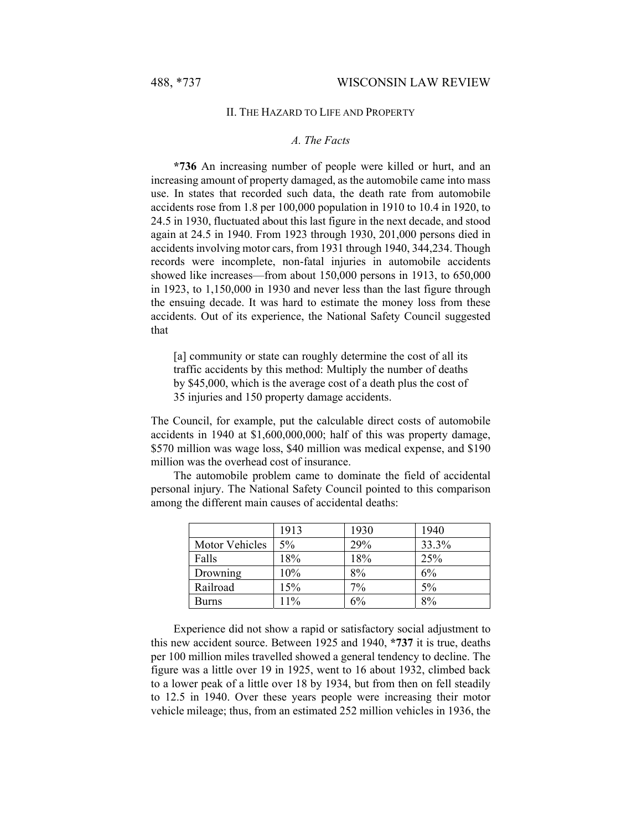## II. THE HAZARD TO LIFE AND PROPERTY

# *A. The Facts*

**\*736** An increasing number of people were killed or hurt, and an increasing amount of property damaged, as the automobile came into mass use. In states that recorded such data, the death rate from automobile accidents rose from 1.8 per 100,000 population in 1910 to 10.4 in 1920, to 24.5 in 1930, fluctuated about this last figure in the next decade, and stood again at 24.5 in 1940. From 1923 through 1930, 201,000 persons died in accidents involving motor cars, from 1931 through 1940, 344,234. Though records were incomplete, non-fatal injuries in automobile accidents showed like increases—from about 150,000 persons in 1913, to 650,000 in 1923, to 1,150,000 in 1930 and never less than the last figure through the ensuing decade. It was hard to estimate the money loss from these accidents. Out of its experience, the National Safety Council suggested that

[a] community or state can roughly determine the cost of all its traffic accidents by this method: Multiply the number of deaths by \$45,000, which is the average cost of a death plus the cost of 35 injuries and 150 property damage accidents.

The Council, for example, put the calculable direct costs of automobile accidents in 1940 at \$1,600,000,000; half of this was property damage, \$570 million was wage loss, \$40 million was medical expense, and \$190 million was the overhead cost of insurance.

The automobile problem came to dominate the field of accidental personal injury. The National Safety Council pointed to this comparison among the different main causes of accidental deaths:

|                | 1913 | 1930 | 1940  |
|----------------|------|------|-------|
| Motor Vehicles | 5%   | 29%  | 33.3% |
| Falls          | 18%  | 18%  | 25%   |
| Drowning       | 10%  | 8%   | 6%    |
| Railroad       | 15%  | 7%   | $5\%$ |
| <b>Burns</b>   | 11%  | 6%   | 8%    |

Experience did not show a rapid or satisfactory social adjustment to this new accident source. Between 1925 and 1940, **\*737** it is true, deaths per 100 million miles travelled showed a general tendency to decline. The figure was a little over 19 in 1925, went to 16 about 1932, climbed back to a lower peak of a little over 18 by 1934, but from then on fell steadily to 12.5 in 1940. Over these years people were increasing their motor vehicle mileage; thus, from an estimated 252 million vehicles in 1936, the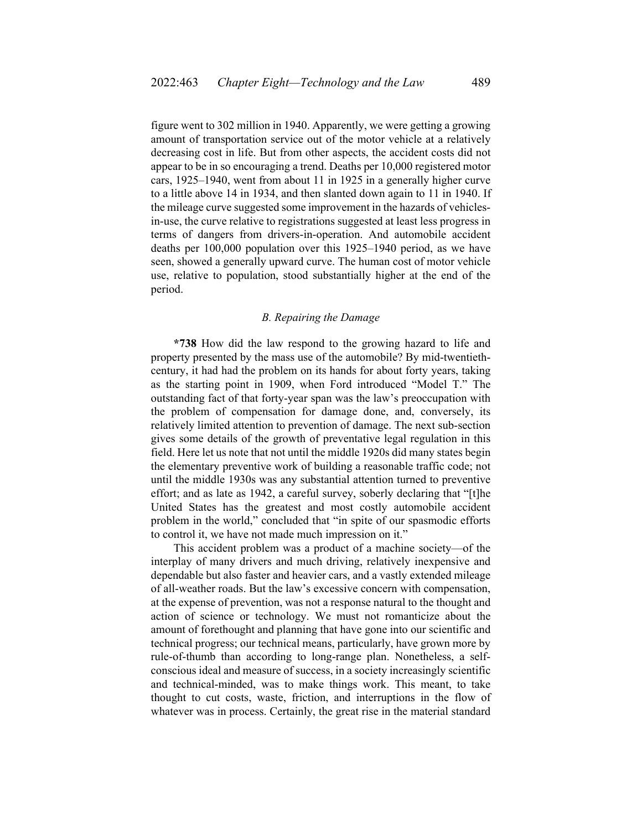figure went to 302 million in 1940. Apparently, we were getting a growing amount of transportation service out of the motor vehicle at a relatively decreasing cost in life. But from other aspects, the accident costs did not appear to be in so encouraging a trend. Deaths per 10,000 registered motor cars, 1925–1940, went from about 11 in 1925 in a generally higher curve to a little above 14 in 1934, and then slanted down again to 11 in 1940. If the mileage curve suggested some improvement in the hazards of vehiclesin-use, the curve relative to registrations suggested at least less progress in terms of dangers from drivers-in-operation. And automobile accident deaths per 100,000 population over this 1925–1940 period, as we have seen, showed a generally upward curve. The human cost of motor vehicle use, relative to population, stood substantially higher at the end of the period.

## *B. Repairing the Damage*

**\*738** How did the law respond to the growing hazard to life and property presented by the mass use of the automobile? By mid-twentiethcentury, it had had the problem on its hands for about forty years, taking as the starting point in 1909, when Ford introduced "Model T." The outstanding fact of that forty-year span was the law's preoccupation with the problem of compensation for damage done, and, conversely, its relatively limited attention to prevention of damage. The next sub-section gives some details of the growth of preventative legal regulation in this field. Here let us note that not until the middle 1920s did many states begin the elementary preventive work of building a reasonable traffic code; not until the middle 1930s was any substantial attention turned to preventive effort; and as late as 1942, a careful survey, soberly declaring that "[t]he United States has the greatest and most costly automobile accident problem in the world," concluded that "in spite of our spasmodic efforts to control it, we have not made much impression on it."

This accident problem was a product of a machine society—of the interplay of many drivers and much driving, relatively inexpensive and dependable but also faster and heavier cars, and a vastly extended mileage of all-weather roads. But the law's excessive concern with compensation, at the expense of prevention, was not a response natural to the thought and action of science or technology. We must not romanticize about the amount of forethought and planning that have gone into our scientific and technical progress; our technical means, particularly, have grown more by rule-of-thumb than according to long-range plan. Nonetheless, a selfconscious ideal and measure of success, in a society increasingly scientific and technical-minded, was to make things work. This meant, to take thought to cut costs, waste, friction, and interruptions in the flow of whatever was in process. Certainly, the great rise in the material standard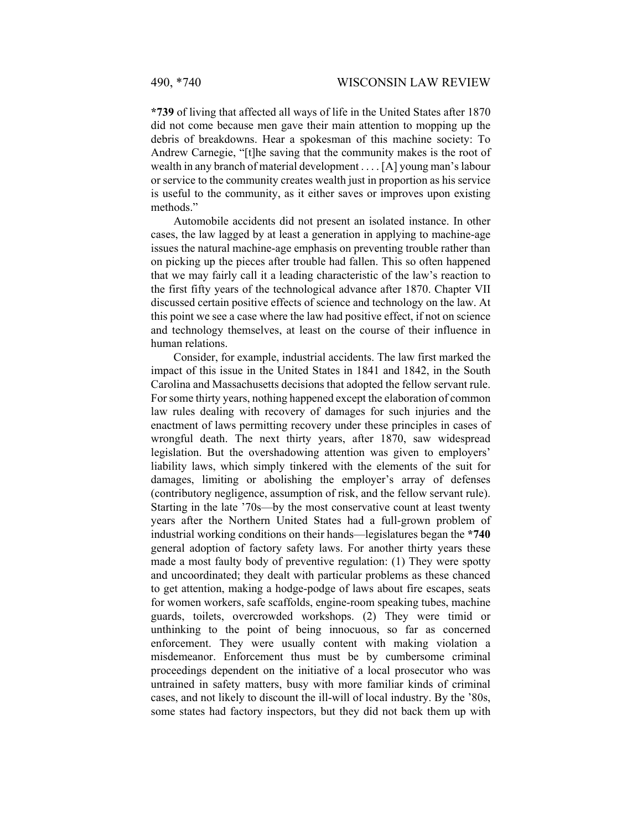**\*739** of living that affected all ways of life in the United States after 1870 did not come because men gave their main attention to mopping up the debris of breakdowns. Hear a spokesman of this machine society: To Andrew Carnegie, "[t]he saving that the community makes is the root of wealth in any branch of material development . . . . [A] young man's labour or service to the community creates wealth just in proportion as his service is useful to the community, as it either saves or improves upon existing methods."

Automobile accidents did not present an isolated instance. In other cases, the law lagged by at least a generation in applying to machine-age issues the natural machine-age emphasis on preventing trouble rather than on picking up the pieces after trouble had fallen. This so often happened that we may fairly call it a leading characteristic of the law's reaction to the first fifty years of the technological advance after 1870. Chapter VII discussed certain positive effects of science and technology on the law. At this point we see a case where the law had positive effect, if not on science and technology themselves, at least on the course of their influence in human relations.

Consider, for example, industrial accidents. The law first marked the impact of this issue in the United States in 1841 and 1842, in the South Carolina and Massachusetts decisions that adopted the fellow servant rule. For some thirty years, nothing happened except the elaboration of common law rules dealing with recovery of damages for such injuries and the enactment of laws permitting recovery under these principles in cases of wrongful death. The next thirty years, after 1870, saw widespread legislation. But the overshadowing attention was given to employers' liability laws, which simply tinkered with the elements of the suit for damages, limiting or abolishing the employer's array of defenses (contributory negligence, assumption of risk, and the fellow servant rule). Starting in the late '70s—by the most conservative count at least twenty years after the Northern United States had a full-grown problem of industrial working conditions on their hands—legislatures began the **\*740**  general adoption of factory safety laws. For another thirty years these made a most faulty body of preventive regulation: (1) They were spotty and uncoordinated; they dealt with particular problems as these chanced to get attention, making a hodge-podge of laws about fire escapes, seats for women workers, safe scaffolds, engine-room speaking tubes, machine guards, toilets, overcrowded workshops. (2) They were timid or unthinking to the point of being innocuous, so far as concerned enforcement. They were usually content with making violation a misdemeanor. Enforcement thus must be by cumbersome criminal proceedings dependent on the initiative of a local prosecutor who was untrained in safety matters, busy with more familiar kinds of criminal cases, and not likely to discount the ill-will of local industry. By the '80s, some states had factory inspectors, but they did not back them up with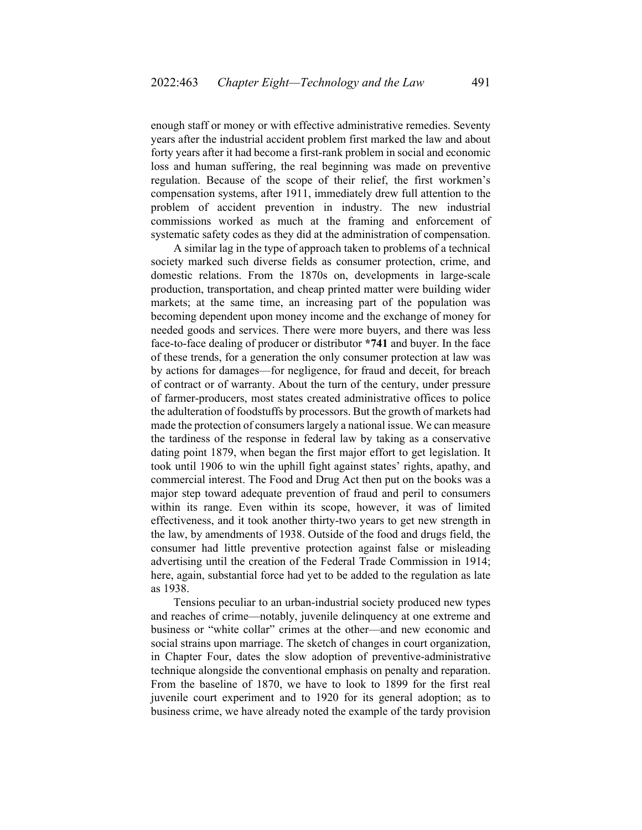enough staff or money or with effective administrative remedies. Seventy years after the industrial accident problem first marked the law and about forty years after it had become a first-rank problem in social and economic loss and human suffering, the real beginning was made on preventive regulation. Because of the scope of their relief, the first workmen's compensation systems, after 1911, immediately drew full attention to the problem of accident prevention in industry. The new industrial commissions worked as much at the framing and enforcement of systematic safety codes as they did at the administration of compensation.

A similar lag in the type of approach taken to problems of a technical society marked such diverse fields as consumer protection, crime, and domestic relations. From the 1870s on, developments in large-scale production, transportation, and cheap printed matter were building wider markets; at the same time, an increasing part of the population was becoming dependent upon money income and the exchange of money for needed goods and services. There were more buyers, and there was less face-to-face dealing of producer or distributor **\*741** and buyer. In the face of these trends, for a generation the only consumer protection at law was by actions for damages—for negligence, for fraud and deceit, for breach of contract or of warranty. About the turn of the century, under pressure of farmer-producers, most states created administrative offices to police the adulteration of foodstuffs by processors. But the growth of markets had made the protection of consumers largely a national issue. We can measure the tardiness of the response in federal law by taking as a conservative dating point 1879, when began the first major effort to get legislation. It took until 1906 to win the uphill fight against states' rights, apathy, and commercial interest. The Food and Drug Act then put on the books was a major step toward adequate prevention of fraud and peril to consumers within its range. Even within its scope, however, it was of limited effectiveness, and it took another thirty-two years to get new strength in the law, by amendments of 1938. Outside of the food and drugs field, the consumer had little preventive protection against false or misleading advertising until the creation of the Federal Trade Commission in 1914; here, again, substantial force had yet to be added to the regulation as late as 1938.

Tensions peculiar to an urban-industrial society produced new types and reaches of crime—notably, juvenile delinquency at one extreme and business or "white collar" crimes at the other—and new economic and social strains upon marriage. The sketch of changes in court organization, in Chapter Four, dates the slow adoption of preventive-administrative technique alongside the conventional emphasis on penalty and reparation. From the baseline of 1870, we have to look to 1899 for the first real juvenile court experiment and to 1920 for its general adoption; as to business crime, we have already noted the example of the tardy provision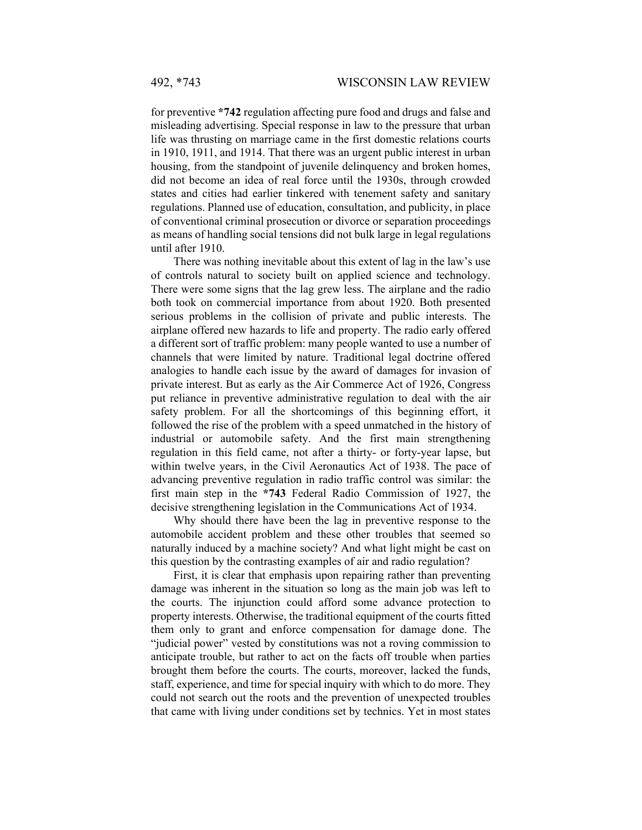for preventive **\*742** regulation affecting pure food and drugs and false and misleading advertising. Special response in law to the pressure that urban life was thrusting on marriage came in the first domestic relations courts in 1910, 1911, and 1914. That there was an urgent public interest in urban housing, from the standpoint of juvenile delinquency and broken homes, did not become an idea of real force until the 1930s, through crowded states and cities had earlier tinkered with tenement safety and sanitary regulations. Planned use of education, consultation, and publicity, in place of conventional criminal prosecution or divorce or separation proceedings as means of handling social tensions did not bulk large in legal regulations until after 1910.

There was nothing inevitable about this extent of lag in the law's use of controls natural to society built on applied science and technology. There were some signs that the lag grew less. The airplane and the radio both took on commercial importance from about 1920. Both presented serious problems in the collision of private and public interests. The airplane offered new hazards to life and property. The radio early offered a different sort of traffic problem: many people wanted to use a number of channels that were limited by nature. Traditional legal doctrine offered analogies to handle each issue by the award of damages for invasion of private interest. But as early as the Air Commerce Act of 1926, Congress put reliance in preventive administrative regulation to deal with the air safety problem. For all the shortcomings of this beginning effort, it followed the rise of the problem with a speed unmatched in the history of industrial or automobile safety. And the first main strengthening regulation in this field came, not after a thirty- or forty-year lapse, but within twelve years, in the Civil Aeronautics Act of 1938. The pace of advancing preventive regulation in radio traffic control was similar: the first main step in the **\*743** Federal Radio Commission of 1927, the decisive strengthening legislation in the Communications Act of 1934.

Why should there have been the lag in preventive response to the automobile accident problem and these other troubles that seemed so naturally induced by a machine society? And what light might be cast on this question by the contrasting examples of air and radio regulation?

First, it is clear that emphasis upon repairing rather than preventing damage was inherent in the situation so long as the main job was left to the courts. The injunction could afford some advance protection to property interests. Otherwise, the traditional equipment of the courts fitted them only to grant and enforce compensation for damage done. The "judicial power" vested by constitutions was not a roving commission to anticipate trouble, but rather to act on the facts off trouble when parties brought them before the courts. The courts, moreover, lacked the funds, staff, experience, and time for special inquiry with which to do more. They could not search out the roots and the prevention of unexpected troubles that came with living under conditions set by technics. Yet in most states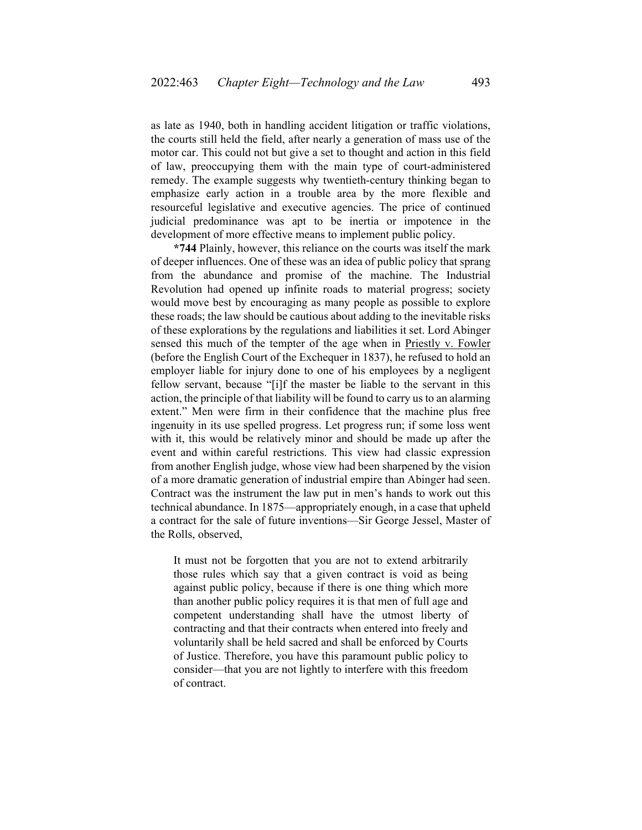as late as 1940, both in handling accident litigation or traffic violations, the courts still held the field, after nearly a generation of mass use of the motor car. This could not but give a set to thought and action in this field of law, preoccupying them with the main type of court-administered remedy. The example suggests why twentieth-century thinking began to emphasize early action in a trouble area by the more flexible and resourceful legislative and executive agencies. The price of continued judicial predominance was apt to be inertia or impotence in the development of more effective means to implement public policy.

**\*744** Plainly, however, this reliance on the courts was itself the mark of deeper influences. One of these was an idea of public policy that sprang from the abundance and promise of the machine. The Industrial Revolution had opened up infinite roads to material progress; society would move best by encouraging as many people as possible to explore these roads; the law should be cautious about adding to the inevitable risks of these explorations by the regulations and liabilities it set. Lord Abinger sensed this much of the tempter of the age when in Priestly v. Fowler (before the English Court of the Exchequer in 1837), he refused to hold an employer liable for injury done to one of his employees by a negligent fellow servant, because "[i]f the master be liable to the servant in this action, the principle of that liability will be found to carry us to an alarming extent." Men were firm in their confidence that the machine plus free ingenuity in its use spelled progress. Let progress run; if some loss went with it, this would be relatively minor and should be made up after the event and within careful restrictions. This view had classic expression from another English judge, whose view had been sharpened by the vision of a more dramatic generation of industrial empire than Abinger had seen. Contract was the instrument the law put in men's hands to work out this technical abundance. In 1875—appropriately enough, in a case that upheld a contract for the sale of future inventions—Sir George Jessel, Master of the Rolls, observed,

It must not be forgotten that you are not to extend arbitrarily those rules which say that a given contract is void as being against public policy, because if there is one thing which more than another public policy requires it is that men of full age and competent understanding shall have the utmost liberty of contracting and that their contracts when entered into freely and voluntarily shall be held sacred and shall be enforced by Courts of Justice. Therefore, you have this paramount public policy to consider—that you are not lightly to interfere with this freedom of contract.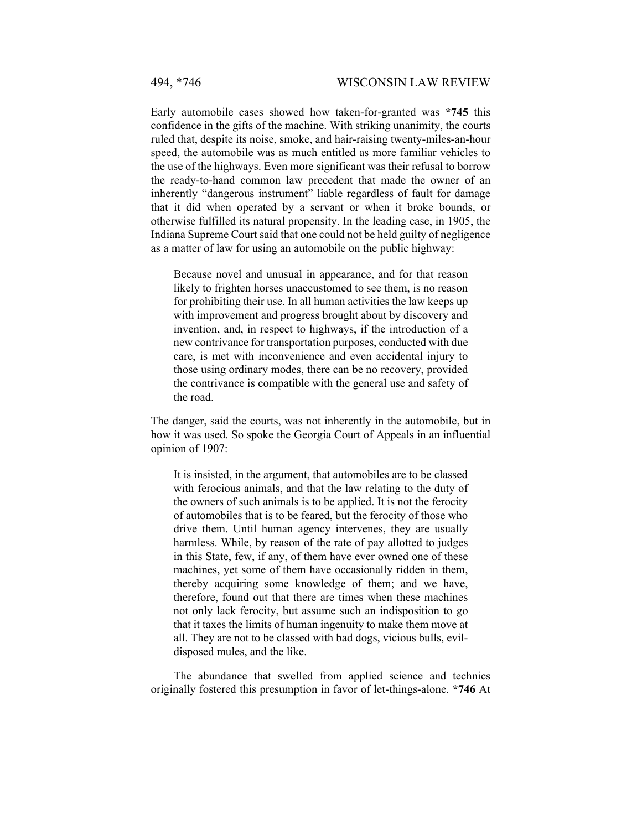Early automobile cases showed how taken-for-granted was **\*745** this confidence in the gifts of the machine. With striking unanimity, the courts ruled that, despite its noise, smoke, and hair-raising twenty-miles-an-hour speed, the automobile was as much entitled as more familiar vehicles to the use of the highways. Even more significant was their refusal to borrow the ready-to-hand common law precedent that made the owner of an inherently "dangerous instrument" liable regardless of fault for damage that it did when operated by a servant or when it broke bounds, or otherwise fulfilled its natural propensity. In the leading case, in 1905, the Indiana Supreme Court said that one could not be held guilty of negligence as a matter of law for using an automobile on the public highway:

Because novel and unusual in appearance, and for that reason likely to frighten horses unaccustomed to see them, is no reason for prohibiting their use. In all human activities the law keeps up with improvement and progress brought about by discovery and invention, and, in respect to highways, if the introduction of a new contrivance for transportation purposes, conducted with due care, is met with inconvenience and even accidental injury to those using ordinary modes, there can be no recovery, provided the contrivance is compatible with the general use and safety of the road.

The danger, said the courts, was not inherently in the automobile, but in how it was used. So spoke the Georgia Court of Appeals in an influential opinion of 1907:

It is insisted, in the argument, that automobiles are to be classed with ferocious animals, and that the law relating to the duty of the owners of such animals is to be applied. It is not the ferocity of automobiles that is to be feared, but the ferocity of those who drive them. Until human agency intervenes, they are usually harmless. While, by reason of the rate of pay allotted to judges in this State, few, if any, of them have ever owned one of these machines, yet some of them have occasionally ridden in them, thereby acquiring some knowledge of them; and we have, therefore, found out that there are times when these machines not only lack ferocity, but assume such an indisposition to go that it taxes the limits of human ingenuity to make them move at all. They are not to be classed with bad dogs, vicious bulls, evildisposed mules, and the like.

The abundance that swelled from applied science and technics originally fostered this presumption in favor of let-things-alone. **\*746** At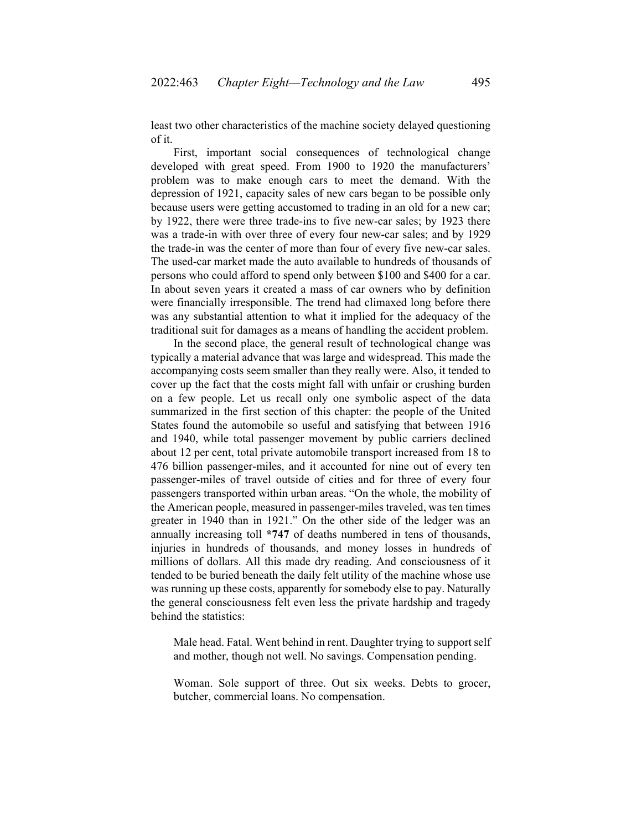least two other characteristics of the machine society delayed questioning of it.

First, important social consequences of technological change developed with great speed. From 1900 to 1920 the manufacturers' problem was to make enough cars to meet the demand. With the depression of 1921, capacity sales of new cars began to be possible only because users were getting accustomed to trading in an old for a new car; by 1922, there were three trade-ins to five new-car sales; by 1923 there was a trade-in with over three of every four new-car sales; and by 1929 the trade-in was the center of more than four of every five new-car sales. The used-car market made the auto available to hundreds of thousands of persons who could afford to spend only between \$100 and \$400 for a car. In about seven years it created a mass of car owners who by definition were financially irresponsible. The trend had climaxed long before there was any substantial attention to what it implied for the adequacy of the traditional suit for damages as a means of handling the accident problem.

In the second place, the general result of technological change was typically a material advance that was large and widespread. This made the accompanying costs seem smaller than they really were. Also, it tended to cover up the fact that the costs might fall with unfair or crushing burden on a few people. Let us recall only one symbolic aspect of the data summarized in the first section of this chapter: the people of the United States found the automobile so useful and satisfying that between 1916 and 1940, while total passenger movement by public carriers declined about 12 per cent, total private automobile transport increased from 18 to 476 billion passenger-miles, and it accounted for nine out of every ten passenger-miles of travel outside of cities and for three of every four passengers transported within urban areas. "On the whole, the mobility of the American people, measured in passenger-miles traveled, was ten times greater in 1940 than in 1921." On the other side of the ledger was an annually increasing toll **\*747** of deaths numbered in tens of thousands, injuries in hundreds of thousands, and money losses in hundreds of millions of dollars. All this made dry reading. And consciousness of it tended to be buried beneath the daily felt utility of the machine whose use was running up these costs, apparently for somebody else to pay. Naturally the general consciousness felt even less the private hardship and tragedy behind the statistics:

Male head. Fatal. Went behind in rent. Daughter trying to support self and mother, though not well. No savings. Compensation pending.

Woman. Sole support of three. Out six weeks. Debts to grocer, butcher, commercial loans. No compensation.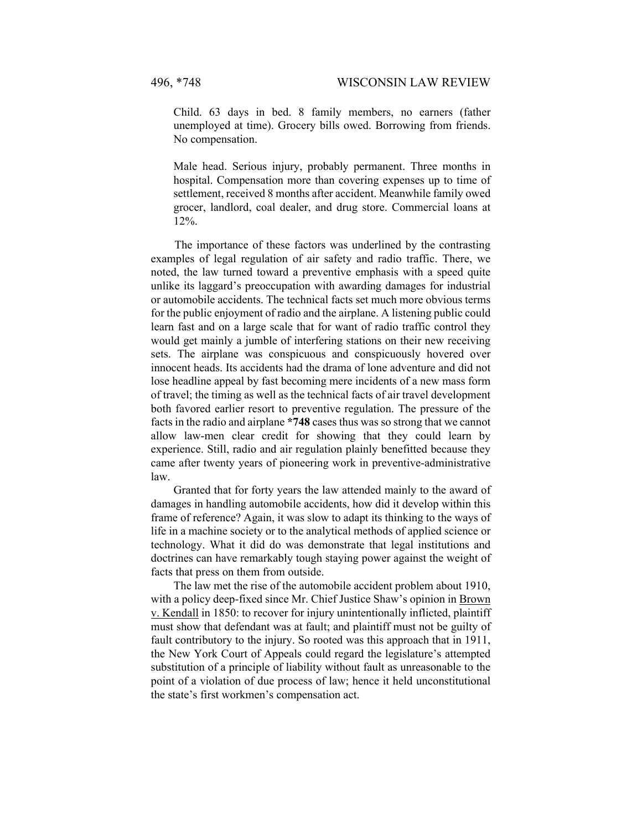Child. 63 days in bed. 8 family members, no earners (father unemployed at time). Grocery bills owed. Borrowing from friends. No compensation.

Male head. Serious injury, probably permanent. Three months in hospital. Compensation more than covering expenses up to time of settlement, received 8 months after accident. Meanwhile family owed grocer, landlord, coal dealer, and drug store. Commercial loans at 12%.

The importance of these factors was underlined by the contrasting examples of legal regulation of air safety and radio traffic. There, we noted, the law turned toward a preventive emphasis with a speed quite unlike its laggard's preoccupation with awarding damages for industrial or automobile accidents. The technical facts set much more obvious terms for the public enjoyment of radio and the airplane. A listening public could learn fast and on a large scale that for want of radio traffic control they would get mainly a jumble of interfering stations on their new receiving sets. The airplane was conspicuous and conspicuously hovered over innocent heads. Its accidents had the drama of lone adventure and did not lose headline appeal by fast becoming mere incidents of a new mass form of travel; the timing as well as the technical facts of air travel development both favored earlier resort to preventive regulation. The pressure of the facts in the radio and airplane **\*748** cases thus was so strong that we cannot allow law-men clear credit for showing that they could learn by experience. Still, radio and air regulation plainly benefitted because they came after twenty years of pioneering work in preventive-administrative law.

Granted that for forty years the law attended mainly to the award of damages in handling automobile accidents, how did it develop within this frame of reference? Again, it was slow to adapt its thinking to the ways of life in a machine society or to the analytical methods of applied science or technology. What it did do was demonstrate that legal institutions and doctrines can have remarkably tough staying power against the weight of facts that press on them from outside.

The law met the rise of the automobile accident problem about 1910, with a policy deep-fixed since Mr. Chief Justice Shaw's opinion in Brown v. Kendall in 1850: to recover for injury unintentionally inflicted, plaintiff must show that defendant was at fault; and plaintiff must not be guilty of fault contributory to the injury. So rooted was this approach that in 1911, the New York Court of Appeals could regard the legislature's attempted substitution of a principle of liability without fault as unreasonable to the point of a violation of due process of law; hence it held unconstitutional the state's first workmen's compensation act.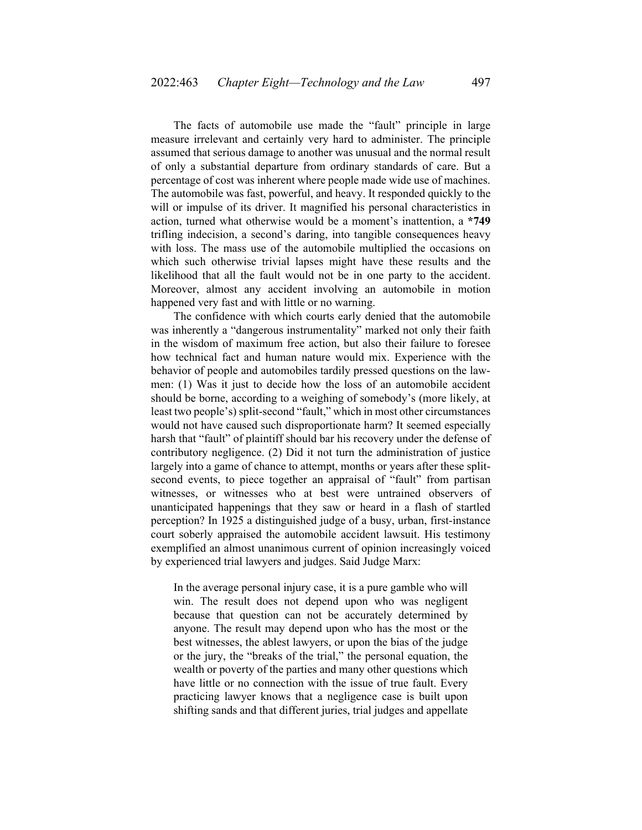The facts of automobile use made the "fault" principle in large measure irrelevant and certainly very hard to administer. The principle assumed that serious damage to another was unusual and the normal result of only a substantial departure from ordinary standards of care. But a percentage of cost was inherent where people made wide use of machines. The automobile was fast, powerful, and heavy. It responded quickly to the will or impulse of its driver. It magnified his personal characteristics in action, turned what otherwise would be a moment's inattention, a **\*749**  trifling indecision, a second's daring, into tangible consequences heavy with loss. The mass use of the automobile multiplied the occasions on which such otherwise trivial lapses might have these results and the likelihood that all the fault would not be in one party to the accident. Moreover, almost any accident involving an automobile in motion happened very fast and with little or no warning.

The confidence with which courts early denied that the automobile was inherently a "dangerous instrumentality" marked not only their faith in the wisdom of maximum free action, but also their failure to foresee how technical fact and human nature would mix. Experience with the behavior of people and automobiles tardily pressed questions on the lawmen: (1) Was it just to decide how the loss of an automobile accident should be borne, according to a weighing of somebody's (more likely, at least two people's) split-second "fault," which in most other circumstances would not have caused such disproportionate harm? It seemed especially harsh that "fault" of plaintiff should bar his recovery under the defense of contributory negligence. (2) Did it not turn the administration of justice largely into a game of chance to attempt, months or years after these splitsecond events, to piece together an appraisal of "fault" from partisan witnesses, or witnesses who at best were untrained observers of unanticipated happenings that they saw or heard in a flash of startled perception? In 1925 a distinguished judge of a busy, urban, first-instance court soberly appraised the automobile accident lawsuit. His testimony exemplified an almost unanimous current of opinion increasingly voiced by experienced trial lawyers and judges. Said Judge Marx:

In the average personal injury case, it is a pure gamble who will win. The result does not depend upon who was negligent because that question can not be accurately determined by anyone. The result may depend upon who has the most or the best witnesses, the ablest lawyers, or upon the bias of the judge or the jury, the "breaks of the trial," the personal equation, the wealth or poverty of the parties and many other questions which have little or no connection with the issue of true fault. Every practicing lawyer knows that a negligence case is built upon shifting sands and that different juries, trial judges and appellate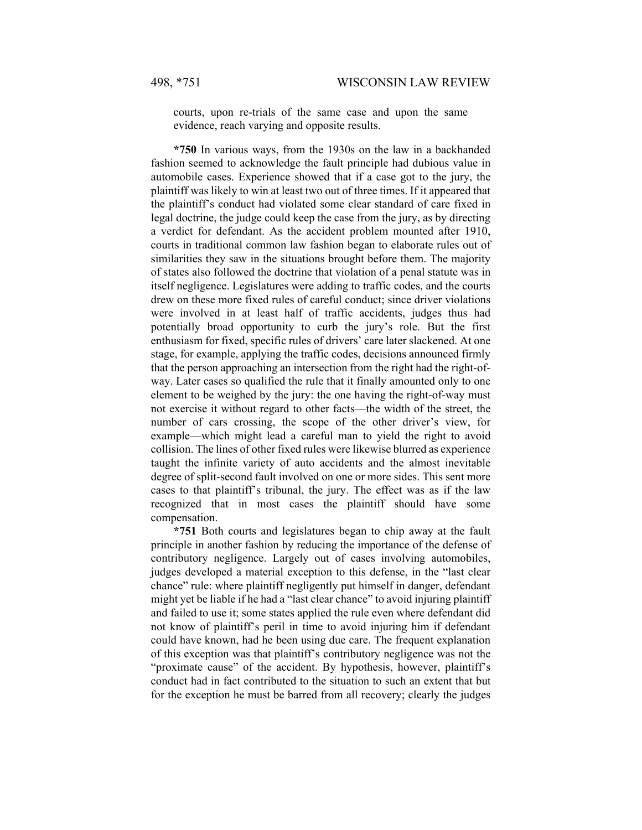courts, upon re-trials of the same case and upon the same evidence, reach varying and opposite results.

**\*750** In various ways, from the 1930s on the law in a backhanded fashion seemed to acknowledge the fault principle had dubious value in automobile cases. Experience showed that if a case got to the jury, the plaintiff was likely to win at least two out of three times. If it appeared that the plaintiff's conduct had violated some clear standard of care fixed in legal doctrine, the judge could keep the case from the jury, as by directing a verdict for defendant. As the accident problem mounted after 1910, courts in traditional common law fashion began to elaborate rules out of similarities they saw in the situations brought before them. The majority of states also followed the doctrine that violation of a penal statute was in itself negligence. Legislatures were adding to traffic codes, and the courts drew on these more fixed rules of careful conduct; since driver violations were involved in at least half of traffic accidents, judges thus had potentially broad opportunity to curb the jury's role. But the first enthusiasm for fixed, specific rules of drivers' care later slackened. At one stage, for example, applying the traffic codes, decisions announced firmly that the person approaching an intersection from the right had the right-ofway. Later cases so qualified the rule that it finally amounted only to one element to be weighed by the jury: the one having the right-of-way must not exercise it without regard to other facts—the width of the street, the number of cars crossing, the scope of the other driver's view, for example—which might lead a careful man to yield the right to avoid collision. The lines of other fixed rules were likewise blurred as experience taught the infinite variety of auto accidents and the almost inevitable degree of split-second fault involved on one or more sides. This sent more cases to that plaintiff's tribunal, the jury. The effect was as if the law recognized that in most cases the plaintiff should have some compensation.

**\*751** Both courts and legislatures began to chip away at the fault principle in another fashion by reducing the importance of the defense of contributory negligence. Largely out of cases involving automobiles, judges developed a material exception to this defense, in the "last clear chance" rule: where plaintiff negligently put himself in danger, defendant might yet be liable if he had a "last clear chance" to avoid injuring plaintiff and failed to use it; some states applied the rule even where defendant did not know of plaintiff's peril in time to avoid injuring him if defendant could have known, had he been using due care. The frequent explanation of this exception was that plaintiff's contributory negligence was not the "proximate cause" of the accident. By hypothesis, however, plaintiff's conduct had in fact contributed to the situation to such an extent that but for the exception he must be barred from all recovery; clearly the judges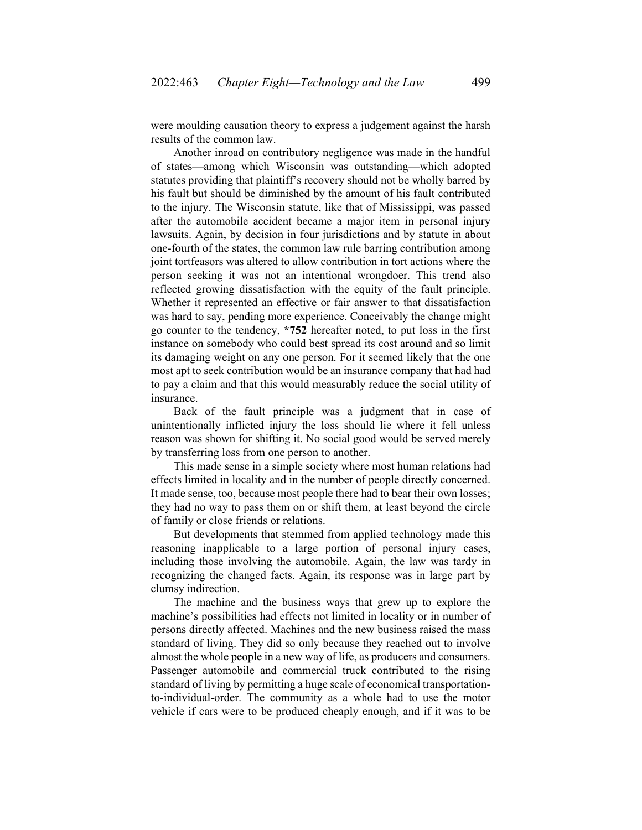were moulding causation theory to express a judgement against the harsh results of the common law.

Another inroad on contributory negligence was made in the handful of states—among which Wisconsin was outstanding—which adopted statutes providing that plaintiff's recovery should not be wholly barred by his fault but should be diminished by the amount of his fault contributed to the injury. The Wisconsin statute, like that of Mississippi, was passed after the automobile accident became a major item in personal injury lawsuits. Again, by decision in four jurisdictions and by statute in about one-fourth of the states, the common law rule barring contribution among joint tortfeasors was altered to allow contribution in tort actions where the person seeking it was not an intentional wrongdoer. This trend also reflected growing dissatisfaction with the equity of the fault principle. Whether it represented an effective or fair answer to that dissatisfaction was hard to say, pending more experience. Conceivably the change might go counter to the tendency, **\*752** hereafter noted, to put loss in the first instance on somebody who could best spread its cost around and so limit its damaging weight on any one person. For it seemed likely that the one most apt to seek contribution would be an insurance company that had had to pay a claim and that this would measurably reduce the social utility of insurance.

Back of the fault principle was a judgment that in case of unintentionally inflicted injury the loss should lie where it fell unless reason was shown for shifting it. No social good would be served merely by transferring loss from one person to another.

This made sense in a simple society where most human relations had effects limited in locality and in the number of people directly concerned. It made sense, too, because most people there had to bear their own losses; they had no way to pass them on or shift them, at least beyond the circle of family or close friends or relations.

But developments that stemmed from applied technology made this reasoning inapplicable to a large portion of personal injury cases, including those involving the automobile. Again, the law was tardy in recognizing the changed facts. Again, its response was in large part by clumsy indirection.

The machine and the business ways that grew up to explore the machine's possibilities had effects not limited in locality or in number of persons directly affected. Machines and the new business raised the mass standard of living. They did so only because they reached out to involve almost the whole people in a new way of life, as producers and consumers. Passenger automobile and commercial truck contributed to the rising standard of living by permitting a huge scale of economical transportationto-individual-order. The community as a whole had to use the motor vehicle if cars were to be produced cheaply enough, and if it was to be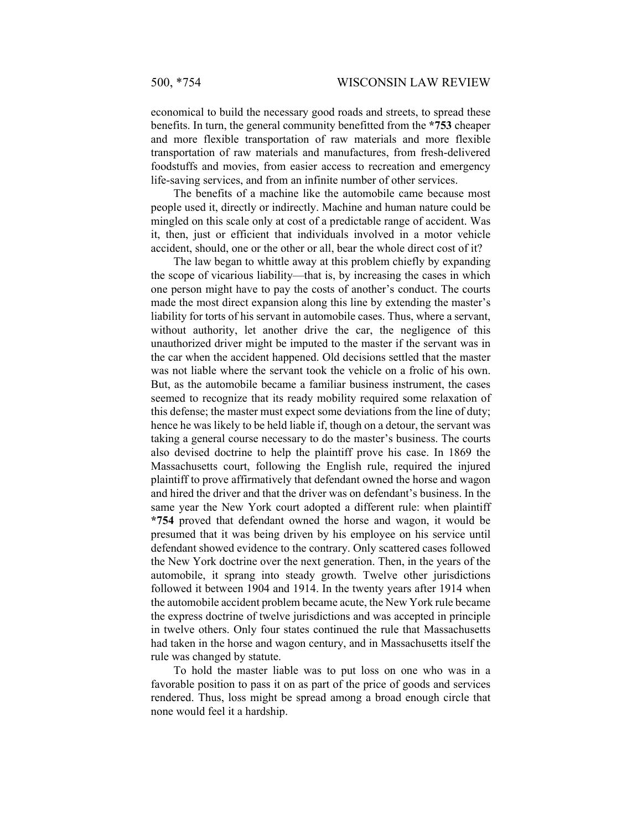economical to build the necessary good roads and streets, to spread these benefits. In turn, the general community benefitted from the **\*753** cheaper and more flexible transportation of raw materials and more flexible transportation of raw materials and manufactures, from fresh-delivered foodstuffs and movies, from easier access to recreation and emergency life-saving services, and from an infinite number of other services.

The benefits of a machine like the automobile came because most people used it, directly or indirectly. Machine and human nature could be mingled on this scale only at cost of a predictable range of accident. Was it, then, just or efficient that individuals involved in a motor vehicle accident, should, one or the other or all, bear the whole direct cost of it?

The law began to whittle away at this problem chiefly by expanding the scope of vicarious liability—that is, by increasing the cases in which one person might have to pay the costs of another's conduct. The courts made the most direct expansion along this line by extending the master's liability for torts of his servant in automobile cases. Thus, where a servant, without authority, let another drive the car, the negligence of this unauthorized driver might be imputed to the master if the servant was in the car when the accident happened. Old decisions settled that the master was not liable where the servant took the vehicle on a frolic of his own. But, as the automobile became a familiar business instrument, the cases seemed to recognize that its ready mobility required some relaxation of this defense; the master must expect some deviations from the line of duty; hence he was likely to be held liable if, though on a detour, the servant was taking a general course necessary to do the master's business. The courts also devised doctrine to help the plaintiff prove his case. In 1869 the Massachusetts court, following the English rule, required the injured plaintiff to prove affirmatively that defendant owned the horse and wagon and hired the driver and that the driver was on defendant's business. In the same year the New York court adopted a different rule: when plaintiff **\*754** proved that defendant owned the horse and wagon, it would be presumed that it was being driven by his employee on his service until defendant showed evidence to the contrary. Only scattered cases followed the New York doctrine over the next generation. Then, in the years of the automobile, it sprang into steady growth. Twelve other jurisdictions followed it between 1904 and 1914. In the twenty years after 1914 when the automobile accident problem became acute, the New York rule became the express doctrine of twelve jurisdictions and was accepted in principle in twelve others. Only four states continued the rule that Massachusetts had taken in the horse and wagon century, and in Massachusetts itself the rule was changed by statute.

To hold the master liable was to put loss on one who was in a favorable position to pass it on as part of the price of goods and services rendered. Thus, loss might be spread among a broad enough circle that none would feel it a hardship.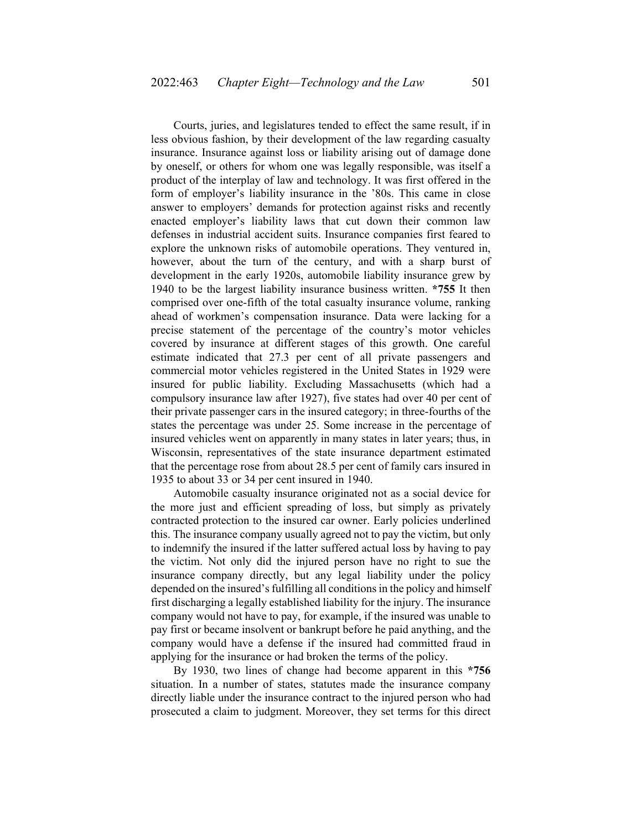Courts, juries, and legislatures tended to effect the same result, if in less obvious fashion, by their development of the law regarding casualty insurance. Insurance against loss or liability arising out of damage done by oneself, or others for whom one was legally responsible, was itself a product of the interplay of law and technology. It was first offered in the form of employer's liability insurance in the '80s. This came in close answer to employers' demands for protection against risks and recently enacted employer's liability laws that cut down their common law defenses in industrial accident suits. Insurance companies first feared to explore the unknown risks of automobile operations. They ventured in, however, about the turn of the century, and with a sharp burst of development in the early 1920s, automobile liability insurance grew by 1940 to be the largest liability insurance business written. **\*755** It then comprised over one-fifth of the total casualty insurance volume, ranking ahead of workmen's compensation insurance. Data were lacking for a precise statement of the percentage of the country's motor vehicles covered by insurance at different stages of this growth. One careful estimate indicated that 27.3 per cent of all private passengers and commercial motor vehicles registered in the United States in 1929 were insured for public liability. Excluding Massachusetts (which had a compulsory insurance law after 1927), five states had over 40 per cent of their private passenger cars in the insured category; in three-fourths of the states the percentage was under 25. Some increase in the percentage of insured vehicles went on apparently in many states in later years; thus, in Wisconsin, representatives of the state insurance department estimated that the percentage rose from about 28.5 per cent of family cars insured in 1935 to about 33 or 34 per cent insured in 1940.

Automobile casualty insurance originated not as a social device for the more just and efficient spreading of loss, but simply as privately contracted protection to the insured car owner. Early policies underlined this. The insurance company usually agreed not to pay the victim, but only to indemnify the insured if the latter suffered actual loss by having to pay the victim. Not only did the injured person have no right to sue the insurance company directly, but any legal liability under the policy depended on the insured's fulfilling all conditions in the policy and himself first discharging a legally established liability for the injury. The insurance company would not have to pay, for example, if the insured was unable to pay first or became insolvent or bankrupt before he paid anything, and the company would have a defense if the insured had committed fraud in applying for the insurance or had broken the terms of the policy.

By 1930, two lines of change had become apparent in this **\*756**  situation. In a number of states, statutes made the insurance company directly liable under the insurance contract to the injured person who had prosecuted a claim to judgment. Moreover, they set terms for this direct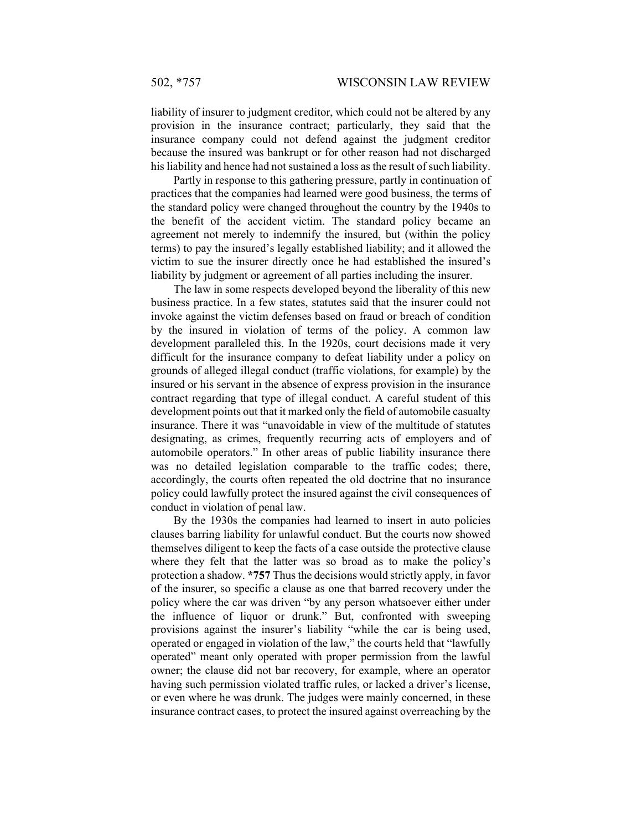liability of insurer to judgment creditor, which could not be altered by any provision in the insurance contract; particularly, they said that the insurance company could not defend against the judgment creditor because the insured was bankrupt or for other reason had not discharged his liability and hence had not sustained a loss as the result of such liability.

Partly in response to this gathering pressure, partly in continuation of practices that the companies had learned were good business, the terms of the standard policy were changed throughout the country by the 1940s to the benefit of the accident victim. The standard policy became an agreement not merely to indemnify the insured, but (within the policy terms) to pay the insured's legally established liability; and it allowed the victim to sue the insurer directly once he had established the insured's liability by judgment or agreement of all parties including the insurer.

The law in some respects developed beyond the liberality of this new business practice. In a few states, statutes said that the insurer could not invoke against the victim defenses based on fraud or breach of condition by the insured in violation of terms of the policy. A common law development paralleled this. In the 1920s, court decisions made it very difficult for the insurance company to defeat liability under a policy on grounds of alleged illegal conduct (traffic violations, for example) by the insured or his servant in the absence of express provision in the insurance contract regarding that type of illegal conduct. A careful student of this development points out that it marked only the field of automobile casualty insurance. There it was "unavoidable in view of the multitude of statutes designating, as crimes, frequently recurring acts of employers and of automobile operators." In other areas of public liability insurance there was no detailed legislation comparable to the traffic codes; there, accordingly, the courts often repeated the old doctrine that no insurance policy could lawfully protect the insured against the civil consequences of conduct in violation of penal law.

By the 1930s the companies had learned to insert in auto policies clauses barring liability for unlawful conduct. But the courts now showed themselves diligent to keep the facts of a case outside the protective clause where they felt that the latter was so broad as to make the policy's protection a shadow. **\*757** Thus the decisions would strictly apply, in favor of the insurer, so specific a clause as one that barred recovery under the policy where the car was driven "by any person whatsoever either under the influence of liquor or drunk." But, confronted with sweeping provisions against the insurer's liability "while the car is being used, operated or engaged in violation of the law," the courts held that "lawfully operated" meant only operated with proper permission from the lawful owner; the clause did not bar recovery, for example, where an operator having such permission violated traffic rules, or lacked a driver's license, or even where he was drunk. The judges were mainly concerned, in these insurance contract cases, to protect the insured against overreaching by the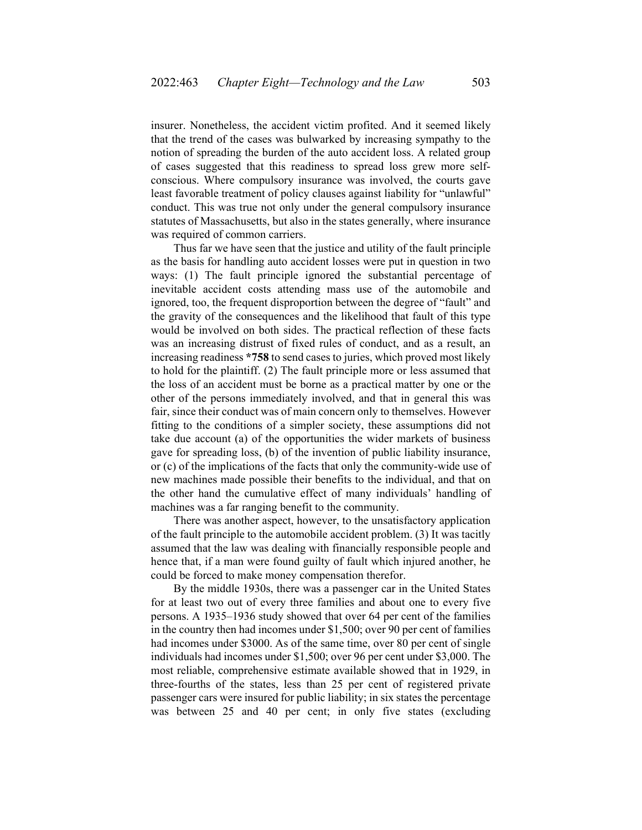insurer. Nonetheless, the accident victim profited. And it seemed likely that the trend of the cases was bulwarked by increasing sympathy to the notion of spreading the burden of the auto accident loss. A related group of cases suggested that this readiness to spread loss grew more selfconscious. Where compulsory insurance was involved, the courts gave least favorable treatment of policy clauses against liability for "unlawful" conduct. This was true not only under the general compulsory insurance statutes of Massachusetts, but also in the states generally, where insurance was required of common carriers.

Thus far we have seen that the justice and utility of the fault principle as the basis for handling auto accident losses were put in question in two ways: (1) The fault principle ignored the substantial percentage of inevitable accident costs attending mass use of the automobile and ignored, too, the frequent disproportion between the degree of "fault" and the gravity of the consequences and the likelihood that fault of this type would be involved on both sides. The practical reflection of these facts was an increasing distrust of fixed rules of conduct, and as a result, an increasing readiness **\*758** to send cases to juries, which proved most likely to hold for the plaintiff. (2) The fault principle more or less assumed that the loss of an accident must be borne as a practical matter by one or the other of the persons immediately involved, and that in general this was fair, since their conduct was of main concern only to themselves. However fitting to the conditions of a simpler society, these assumptions did not take due account (a) of the opportunities the wider markets of business gave for spreading loss, (b) of the invention of public liability insurance, or (c) of the implications of the facts that only the community-wide use of new machines made possible their benefits to the individual, and that on the other hand the cumulative effect of many individuals' handling of machines was a far ranging benefit to the community.

There was another aspect, however, to the unsatisfactory application of the fault principle to the automobile accident problem. (3) It was tacitly assumed that the law was dealing with financially responsible people and hence that, if a man were found guilty of fault which injured another, he could be forced to make money compensation therefor.

By the middle 1930s, there was a passenger car in the United States for at least two out of every three families and about one to every five persons. A 1935–1936 study showed that over 64 per cent of the families in the country then had incomes under \$1,500; over 90 per cent of families had incomes under \$3000. As of the same time, over 80 per cent of single individuals had incomes under \$1,500; over 96 per cent under \$3,000. The most reliable, comprehensive estimate available showed that in 1929, in three-fourths of the states, less than 25 per cent of registered private passenger cars were insured for public liability; in six states the percentage was between 25 and 40 per cent; in only five states (excluding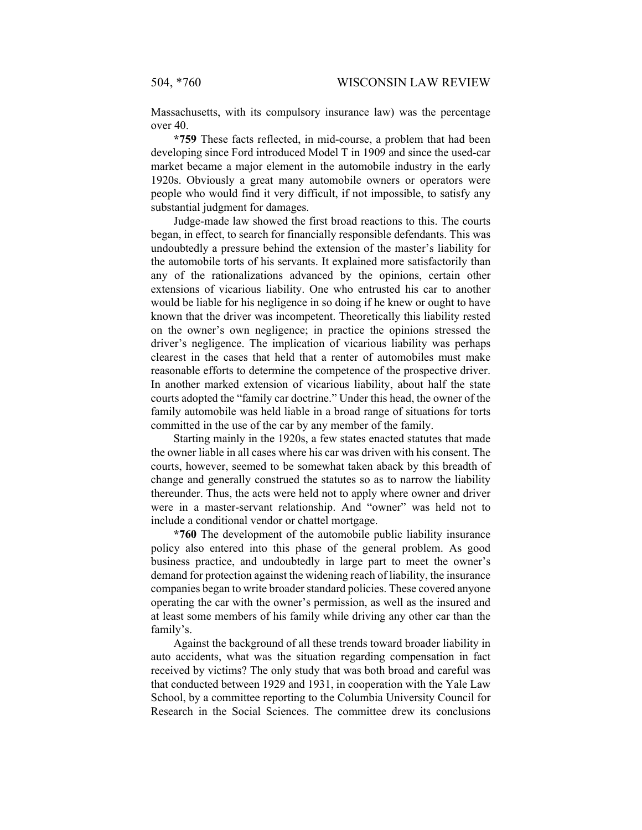Massachusetts, with its compulsory insurance law) was the percentage over 40.

**\*759** These facts reflected, in mid-course, a problem that had been developing since Ford introduced Model T in 1909 and since the used-car market became a major element in the automobile industry in the early 1920s. Obviously a great many automobile owners or operators were people who would find it very difficult, if not impossible, to satisfy any substantial judgment for damages.

Judge-made law showed the first broad reactions to this. The courts began, in effect, to search for financially responsible defendants. This was undoubtedly a pressure behind the extension of the master's liability for the automobile torts of his servants. It explained more satisfactorily than any of the rationalizations advanced by the opinions, certain other extensions of vicarious liability. One who entrusted his car to another would be liable for his negligence in so doing if he knew or ought to have known that the driver was incompetent. Theoretically this liability rested on the owner's own negligence; in practice the opinions stressed the driver's negligence. The implication of vicarious liability was perhaps clearest in the cases that held that a renter of automobiles must make reasonable efforts to determine the competence of the prospective driver. In another marked extension of vicarious liability, about half the state courts adopted the "family car doctrine." Under this head, the owner of the family automobile was held liable in a broad range of situations for torts committed in the use of the car by any member of the family.

Starting mainly in the 1920s, a few states enacted statutes that made the owner liable in all cases where his car was driven with his consent. The courts, however, seemed to be somewhat taken aback by this breadth of change and generally construed the statutes so as to narrow the liability thereunder. Thus, the acts were held not to apply where owner and driver were in a master-servant relationship. And "owner" was held not to include a conditional vendor or chattel mortgage.

**\*760** The development of the automobile public liability insurance policy also entered into this phase of the general problem. As good business practice, and undoubtedly in large part to meet the owner's demand for protection against the widening reach of liability, the insurance companies began to write broader standard policies. These covered anyone operating the car with the owner's permission, as well as the insured and at least some members of his family while driving any other car than the family's.

Against the background of all these trends toward broader liability in auto accidents, what was the situation regarding compensation in fact received by victims? The only study that was both broad and careful was that conducted between 1929 and 1931, in cooperation with the Yale Law School, by a committee reporting to the Columbia University Council for Research in the Social Sciences. The committee drew its conclusions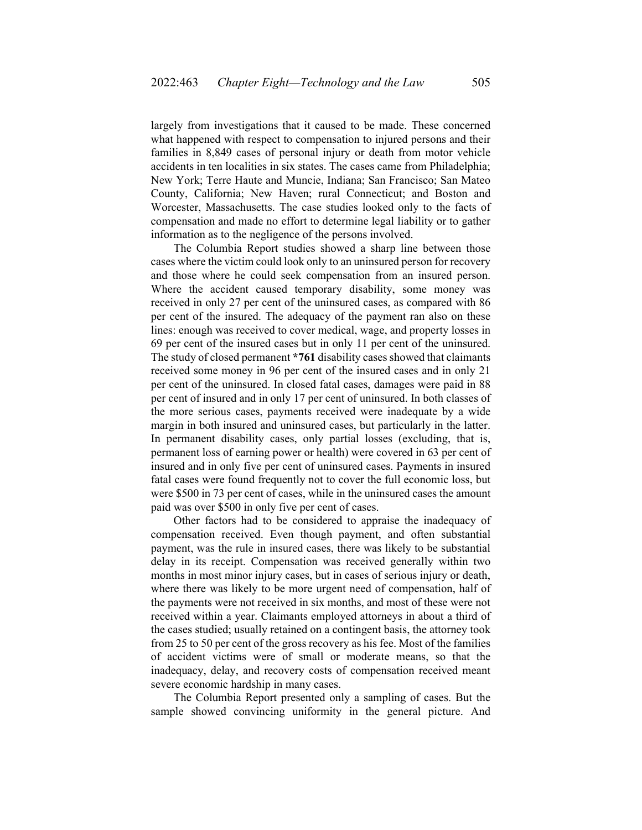largely from investigations that it caused to be made. These concerned what happened with respect to compensation to injured persons and their families in 8,849 cases of personal injury or death from motor vehicle accidents in ten localities in six states. The cases came from Philadelphia; New York; Terre Haute and Muncie, Indiana; San Francisco; San Mateo County, California; New Haven; rural Connecticut; and Boston and Worcester, Massachusetts. The case studies looked only to the facts of compensation and made no effort to determine legal liability or to gather information as to the negligence of the persons involved.

The Columbia Report studies showed a sharp line between those cases where the victim could look only to an uninsured person for recovery and those where he could seek compensation from an insured person. Where the accident caused temporary disability, some money was received in only 27 per cent of the uninsured cases, as compared with 86 per cent of the insured. The adequacy of the payment ran also on these lines: enough was received to cover medical, wage, and property losses in 69 per cent of the insured cases but in only 11 per cent of the uninsured. The study of closed permanent **\*761** disability cases showed that claimants received some money in 96 per cent of the insured cases and in only 21 per cent of the uninsured. In closed fatal cases, damages were paid in 88 per cent of insured and in only 17 per cent of uninsured. In both classes of the more serious cases, payments received were inadequate by a wide margin in both insured and uninsured cases, but particularly in the latter. In permanent disability cases, only partial losses (excluding, that is, permanent loss of earning power or health) were covered in 63 per cent of insured and in only five per cent of uninsured cases. Payments in insured fatal cases were found frequently not to cover the full economic loss, but were \$500 in 73 per cent of cases, while in the uninsured cases the amount paid was over \$500 in only five per cent of cases.

Other factors had to be considered to appraise the inadequacy of compensation received. Even though payment, and often substantial payment, was the rule in insured cases, there was likely to be substantial delay in its receipt. Compensation was received generally within two months in most minor injury cases, but in cases of serious injury or death, where there was likely to be more urgent need of compensation, half of the payments were not received in six months, and most of these were not received within a year. Claimants employed attorneys in about a third of the cases studied; usually retained on a contingent basis, the attorney took from 25 to 50 per cent of the gross recovery as his fee. Most of the families of accident victims were of small or moderate means, so that the inadequacy, delay, and recovery costs of compensation received meant severe economic hardship in many cases.

The Columbia Report presented only a sampling of cases. But the sample showed convincing uniformity in the general picture. And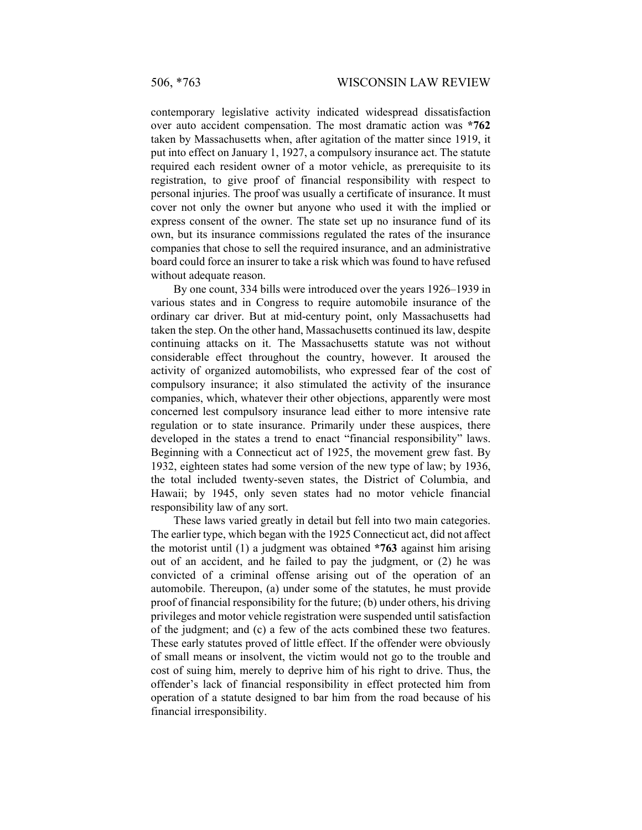contemporary legislative activity indicated widespread dissatisfaction over auto accident compensation. The most dramatic action was **\*762**  taken by Massachusetts when, after agitation of the matter since 1919, it put into effect on January 1, 1927, a compulsory insurance act. The statute required each resident owner of a motor vehicle, as prerequisite to its registration, to give proof of financial responsibility with respect to personal injuries. The proof was usually a certificate of insurance. It must cover not only the owner but anyone who used it with the implied or express consent of the owner. The state set up no insurance fund of its own, but its insurance commissions regulated the rates of the insurance companies that chose to sell the required insurance, and an administrative board could force an insurer to take a risk which was found to have refused without adequate reason.

By one count, 334 bills were introduced over the years 1926–1939 in various states and in Congress to require automobile insurance of the ordinary car driver. But at mid-century point, only Massachusetts had taken the step. On the other hand, Massachusetts continued its law, despite continuing attacks on it. The Massachusetts statute was not without considerable effect throughout the country, however. It aroused the activity of organized automobilists, who expressed fear of the cost of compulsory insurance; it also stimulated the activity of the insurance companies, which, whatever their other objections, apparently were most concerned lest compulsory insurance lead either to more intensive rate regulation or to state insurance. Primarily under these auspices, there developed in the states a trend to enact "financial responsibility" laws. Beginning with a Connecticut act of 1925, the movement grew fast. By 1932, eighteen states had some version of the new type of law; by 1936, the total included twenty-seven states, the District of Columbia, and Hawaii; by 1945, only seven states had no motor vehicle financial responsibility law of any sort.

These laws varied greatly in detail but fell into two main categories. The earlier type, which began with the 1925 Connecticut act, did not affect the motorist until (1) a judgment was obtained **\*763** against him arising out of an accident, and he failed to pay the judgment, or (2) he was convicted of a criminal offense arising out of the operation of an automobile. Thereupon, (a) under some of the statutes, he must provide proof of financial responsibility for the future; (b) under others, his driving privileges and motor vehicle registration were suspended until satisfaction of the judgment; and (c) a few of the acts combined these two features. These early statutes proved of little effect. If the offender were obviously of small means or insolvent, the victim would not go to the trouble and cost of suing him, merely to deprive him of his right to drive. Thus, the offender's lack of financial responsibility in effect protected him from operation of a statute designed to bar him from the road because of his financial irresponsibility.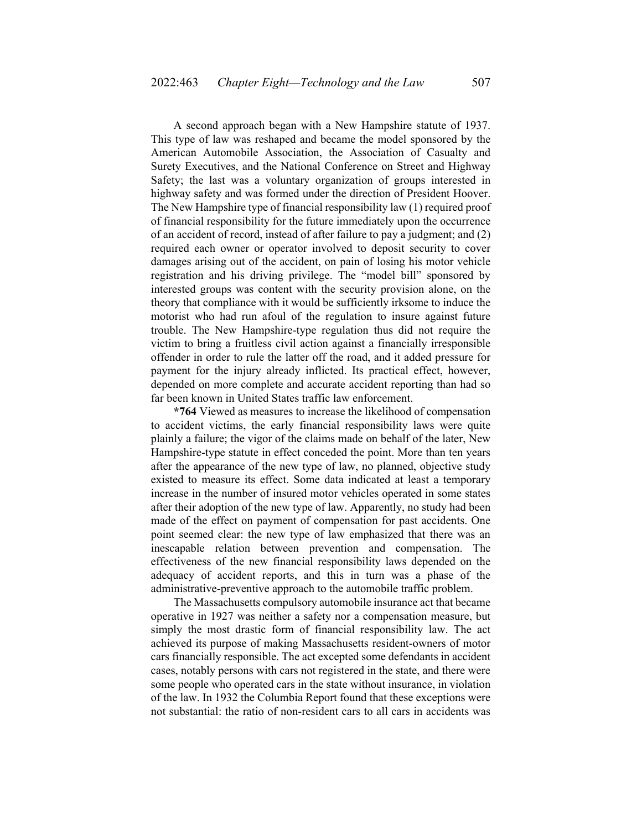A second approach began with a New Hampshire statute of 1937. This type of law was reshaped and became the model sponsored by the American Automobile Association, the Association of Casualty and Surety Executives, and the National Conference on Street and Highway Safety; the last was a voluntary organization of groups interested in highway safety and was formed under the direction of President Hoover. The New Hampshire type of financial responsibility law (1) required proof of financial responsibility for the future immediately upon the occurrence of an accident of record, instead of after failure to pay a judgment; and (2) required each owner or operator involved to deposit security to cover damages arising out of the accident, on pain of losing his motor vehicle registration and his driving privilege. The "model bill" sponsored by interested groups was content with the security provision alone, on the theory that compliance with it would be sufficiently irksome to induce the motorist who had run afoul of the regulation to insure against future trouble. The New Hampshire-type regulation thus did not require the victim to bring a fruitless civil action against a financially irresponsible offender in order to rule the latter off the road, and it added pressure for payment for the injury already inflicted. Its practical effect, however, depended on more complete and accurate accident reporting than had so far been known in United States traffic law enforcement.

**\*764** Viewed as measures to increase the likelihood of compensation to accident victims, the early financial responsibility laws were quite plainly a failure; the vigor of the claims made on behalf of the later, New Hampshire-type statute in effect conceded the point. More than ten years after the appearance of the new type of law, no planned, objective study existed to measure its effect. Some data indicated at least a temporary increase in the number of insured motor vehicles operated in some states after their adoption of the new type of law. Apparently, no study had been made of the effect on payment of compensation for past accidents. One point seemed clear: the new type of law emphasized that there was an inescapable relation between prevention and compensation. The effectiveness of the new financial responsibility laws depended on the adequacy of accident reports, and this in turn was a phase of the administrative-preventive approach to the automobile traffic problem.

The Massachusetts compulsory automobile insurance act that became operative in 1927 was neither a safety nor a compensation measure, but simply the most drastic form of financial responsibility law. The act achieved its purpose of making Massachusetts resident-owners of motor cars financially responsible. The act excepted some defendants in accident cases, notably persons with cars not registered in the state, and there were some people who operated cars in the state without insurance, in violation of the law. In 1932 the Columbia Report found that these exceptions were not substantial: the ratio of non-resident cars to all cars in accidents was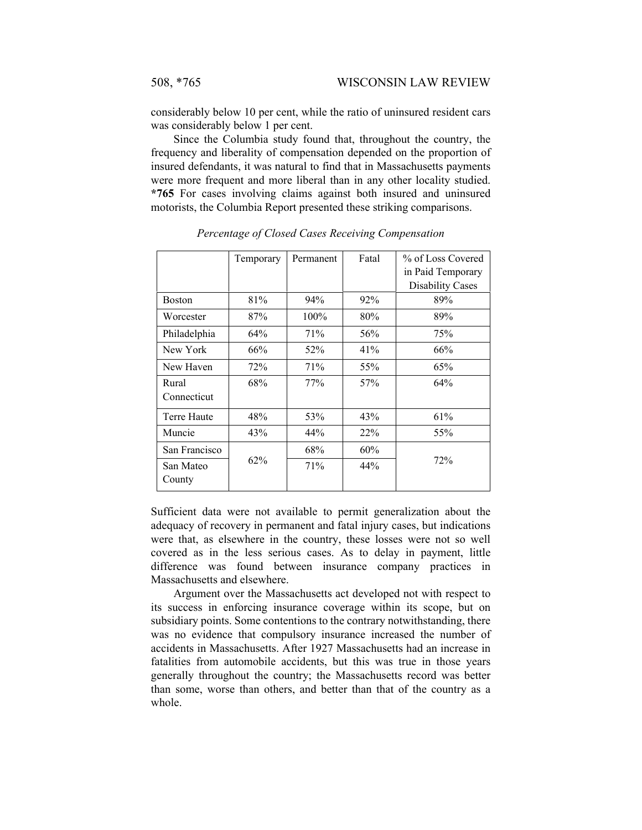considerably below 10 per cent, while the ratio of uninsured resident cars was considerably below 1 per cent.

Since the Columbia study found that, throughout the country, the frequency and liberality of compensation depended on the proportion of insured defendants, it was natural to find that in Massachusetts payments were more frequent and more liberal than in any other locality studied. **\*765** For cases involving claims against both insured and uninsured motorists, the Columbia Report presented these striking comparisons.

|                      | Temporary | Permanent | Fatal | % of Loss Covered<br>in Paid Temporary<br><b>Disability Cases</b> |
|----------------------|-----------|-----------|-------|-------------------------------------------------------------------|
| <b>Boston</b>        | 81%       | 94%       | 92%   | 89%                                                               |
| Worcester            | 87%       | $100\%$   | 80%   | 89%                                                               |
| Philadelphia         | 64%       | 71%       | 56%   | 75%                                                               |
| New York             | 66%       | 52%       | 41%   | 66%                                                               |
| New Haven            | 72%       | 71%       | 55%   | 65%                                                               |
| Rural<br>Connecticut | 68%       | 77%       | 57%   | 64%                                                               |
| Terre Haute          | 48%       | 53%       | 43%   | 61%                                                               |
| Muncie               | 43%       | 44%       | 22%   | 55%                                                               |
| San Francisco        |           | 68%       | 60%   |                                                                   |
| San Mateo<br>County  | $62\%$    | 71%       | 44%   | 72%                                                               |

*Percentage of Closed Cases Receiving Compensation* 

Sufficient data were not available to permit generalization about the adequacy of recovery in permanent and fatal injury cases, but indications were that, as elsewhere in the country, these losses were not so well covered as in the less serious cases. As to delay in payment, little difference was found between insurance company practices in Massachusetts and elsewhere.

Argument over the Massachusetts act developed not with respect to its success in enforcing insurance coverage within its scope, but on subsidiary points. Some contentions to the contrary notwithstanding, there was no evidence that compulsory insurance increased the number of accidents in Massachusetts. After 1927 Massachusetts had an increase in fatalities from automobile accidents, but this was true in those years generally throughout the country; the Massachusetts record was better than some, worse than others, and better than that of the country as a whole.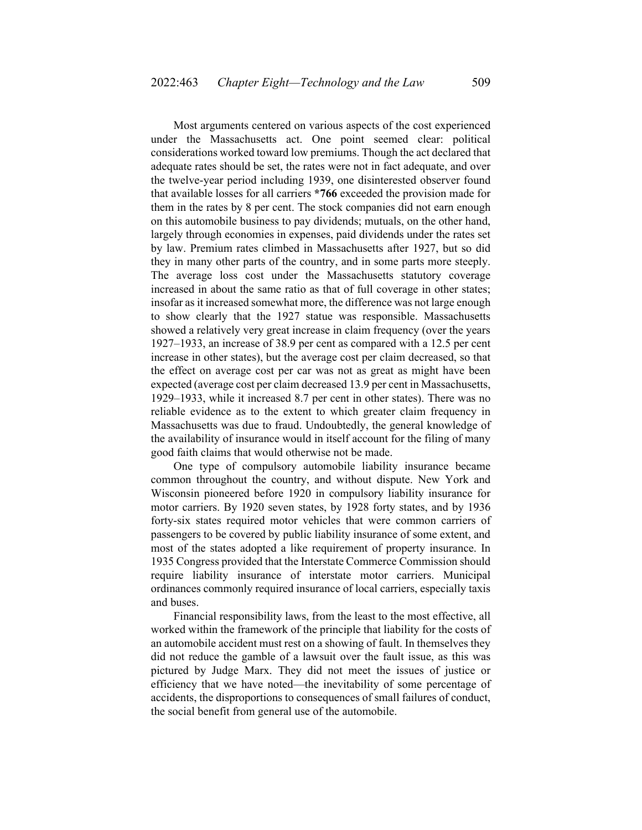Most arguments centered on various aspects of the cost experienced under the Massachusetts act. One point seemed clear: political considerations worked toward low premiums. Though the act declared that adequate rates should be set, the rates were not in fact adequate, and over the twelve-year period including 1939, one disinterested observer found that available losses for all carriers **\*766** exceeded the provision made for them in the rates by 8 per cent. The stock companies did not earn enough on this automobile business to pay dividends; mutuals, on the other hand, largely through economies in expenses, paid dividends under the rates set by law. Premium rates climbed in Massachusetts after 1927, but so did they in many other parts of the country, and in some parts more steeply. The average loss cost under the Massachusetts statutory coverage increased in about the same ratio as that of full coverage in other states; insofar as it increased somewhat more, the difference was not large enough to show clearly that the 1927 statue was responsible. Massachusetts showed a relatively very great increase in claim frequency (over the years 1927–1933, an increase of 38.9 per cent as compared with a 12.5 per cent increase in other states), but the average cost per claim decreased, so that the effect on average cost per car was not as great as might have been expected (average cost per claim decreased 13.9 per cent in Massachusetts, 1929–1933, while it increased 8.7 per cent in other states). There was no reliable evidence as to the extent to which greater claim frequency in Massachusetts was due to fraud. Undoubtedly, the general knowledge of the availability of insurance would in itself account for the filing of many good faith claims that would otherwise not be made.

One type of compulsory automobile liability insurance became common throughout the country, and without dispute. New York and Wisconsin pioneered before 1920 in compulsory liability insurance for motor carriers. By 1920 seven states, by 1928 forty states, and by 1936 forty-six states required motor vehicles that were common carriers of passengers to be covered by public liability insurance of some extent, and most of the states adopted a like requirement of property insurance. In 1935 Congress provided that the Interstate Commerce Commission should require liability insurance of interstate motor carriers. Municipal ordinances commonly required insurance of local carriers, especially taxis and buses.

Financial responsibility laws, from the least to the most effective, all worked within the framework of the principle that liability for the costs of an automobile accident must rest on a showing of fault. In themselves they did not reduce the gamble of a lawsuit over the fault issue, as this was pictured by Judge Marx. They did not meet the issues of justice or efficiency that we have noted—the inevitability of some percentage of accidents, the disproportions to consequences of small failures of conduct, the social benefit from general use of the automobile.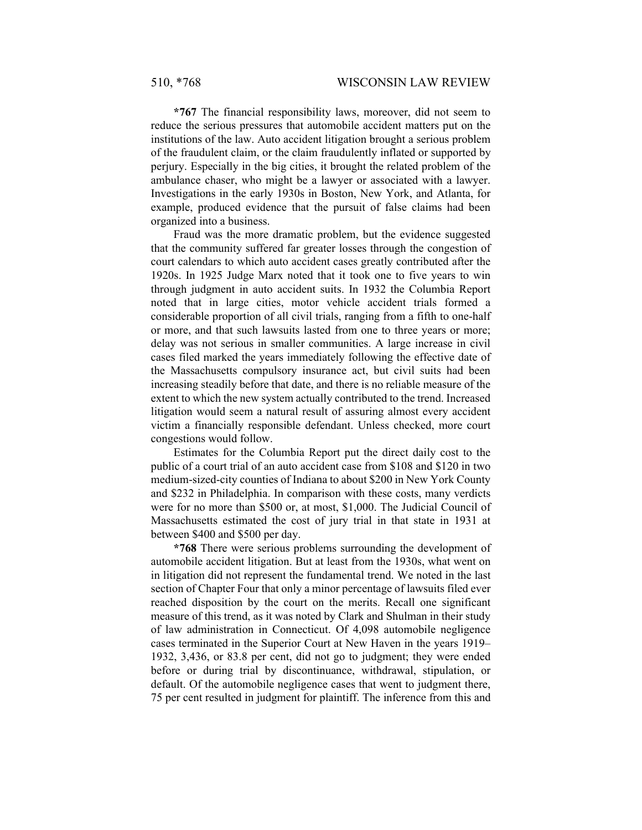**\*767** The financial responsibility laws, moreover, did not seem to reduce the serious pressures that automobile accident matters put on the institutions of the law. Auto accident litigation brought a serious problem of the fraudulent claim, or the claim fraudulently inflated or supported by perjury. Especially in the big cities, it brought the related problem of the ambulance chaser, who might be a lawyer or associated with a lawyer. Investigations in the early 1930s in Boston, New York, and Atlanta, for example, produced evidence that the pursuit of false claims had been organized into a business.

Fraud was the more dramatic problem, but the evidence suggested that the community suffered far greater losses through the congestion of court calendars to which auto accident cases greatly contributed after the 1920s. In 1925 Judge Marx noted that it took one to five years to win through judgment in auto accident suits. In 1932 the Columbia Report noted that in large cities, motor vehicle accident trials formed a considerable proportion of all civil trials, ranging from a fifth to one-half or more, and that such lawsuits lasted from one to three years or more; delay was not serious in smaller communities. A large increase in civil cases filed marked the years immediately following the effective date of the Massachusetts compulsory insurance act, but civil suits had been increasing steadily before that date, and there is no reliable measure of the extent to which the new system actually contributed to the trend. Increased litigation would seem a natural result of assuring almost every accident victim a financially responsible defendant. Unless checked, more court congestions would follow.

Estimates for the Columbia Report put the direct daily cost to the public of a court trial of an auto accident case from \$108 and \$120 in two medium-sized-city counties of Indiana to about \$200 in New York County and \$232 in Philadelphia. In comparison with these costs, many verdicts were for no more than \$500 or, at most, \$1,000. The Judicial Council of Massachusetts estimated the cost of jury trial in that state in 1931 at between \$400 and \$500 per day.

**\*768** There were serious problems surrounding the development of automobile accident litigation. But at least from the 1930s, what went on in litigation did not represent the fundamental trend. We noted in the last section of Chapter Four that only a minor percentage of lawsuits filed ever reached disposition by the court on the merits. Recall one significant measure of this trend, as it was noted by Clark and Shulman in their study of law administration in Connecticut. Of 4,098 automobile negligence cases terminated in the Superior Court at New Haven in the years 1919– 1932, 3,436, or 83.8 per cent, did not go to judgment; they were ended before or during trial by discontinuance, withdrawal, stipulation, or default. Of the automobile negligence cases that went to judgment there, 75 per cent resulted in judgment for plaintiff. The inference from this and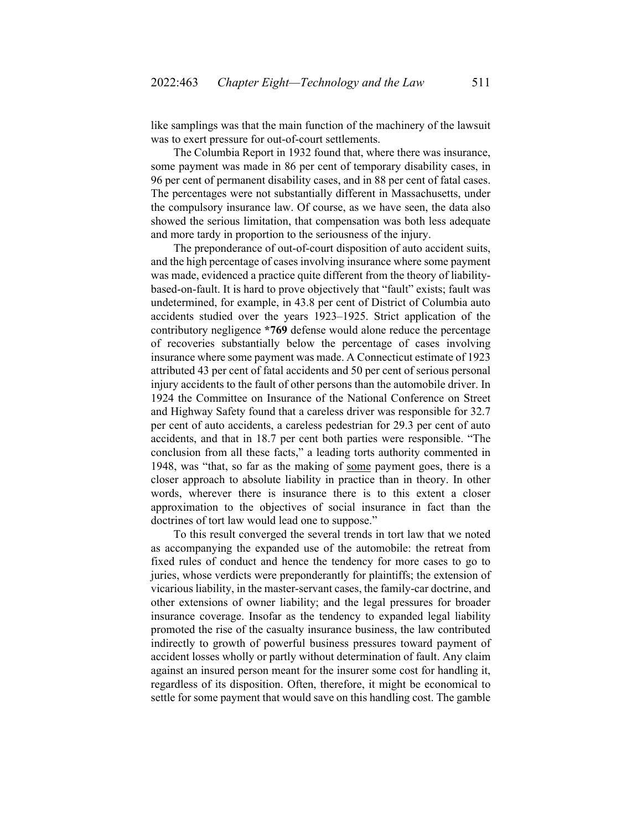like samplings was that the main function of the machinery of the lawsuit was to exert pressure for out-of-court settlements.

The Columbia Report in 1932 found that, where there was insurance, some payment was made in 86 per cent of temporary disability cases, in 96 per cent of permanent disability cases, and in 88 per cent of fatal cases. The percentages were not substantially different in Massachusetts, under the compulsory insurance law. Of course, as we have seen, the data also showed the serious limitation, that compensation was both less adequate and more tardy in proportion to the seriousness of the injury.

The preponderance of out-of-court disposition of auto accident suits, and the high percentage of cases involving insurance where some payment was made, evidenced a practice quite different from the theory of liabilitybased-on-fault. It is hard to prove objectively that "fault" exists; fault was undetermined, for example, in 43.8 per cent of District of Columbia auto accidents studied over the years 1923–1925. Strict application of the contributory negligence **\*769** defense would alone reduce the percentage of recoveries substantially below the percentage of cases involving insurance where some payment was made. A Connecticut estimate of 1923 attributed 43 per cent of fatal accidents and 50 per cent of serious personal injury accidents to the fault of other persons than the automobile driver. In 1924 the Committee on Insurance of the National Conference on Street and Highway Safety found that a careless driver was responsible for 32.7 per cent of auto accidents, a careless pedestrian for 29.3 per cent of auto accidents, and that in 18.7 per cent both parties were responsible. "The conclusion from all these facts," a leading torts authority commented in 1948, was "that, so far as the making of some payment goes, there is a closer approach to absolute liability in practice than in theory. In other words, wherever there is insurance there is to this extent a closer approximation to the objectives of social insurance in fact than the doctrines of tort law would lead one to suppose."

To this result converged the several trends in tort law that we noted as accompanying the expanded use of the automobile: the retreat from fixed rules of conduct and hence the tendency for more cases to go to juries, whose verdicts were preponderantly for plaintiffs; the extension of vicarious liability, in the master-servant cases, the family-car doctrine, and other extensions of owner liability; and the legal pressures for broader insurance coverage. Insofar as the tendency to expanded legal liability promoted the rise of the casualty insurance business, the law contributed indirectly to growth of powerful business pressures toward payment of accident losses wholly or partly without determination of fault. Any claim against an insured person meant for the insurer some cost for handling it, regardless of its disposition. Often, therefore, it might be economical to settle for some payment that would save on this handling cost. The gamble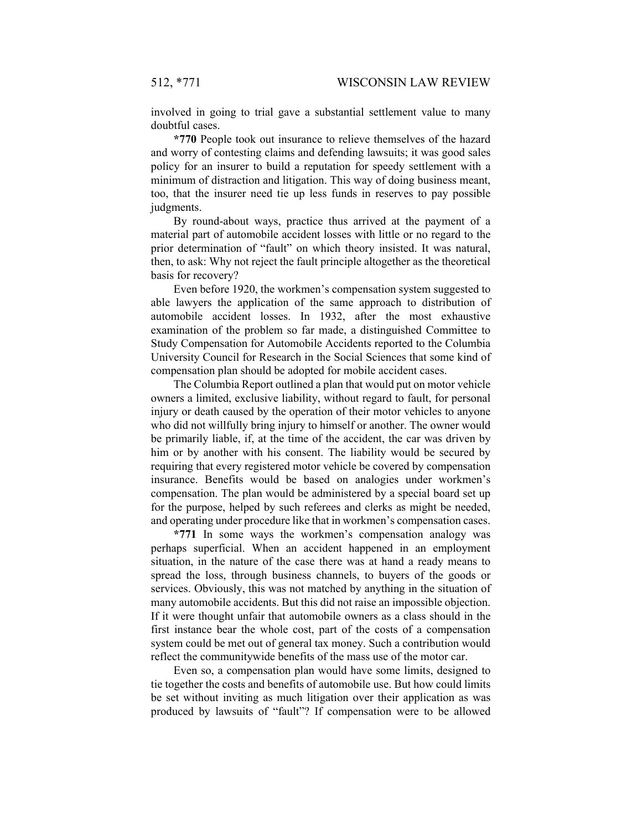involved in going to trial gave a substantial settlement value to many doubtful cases.

**\*770** People took out insurance to relieve themselves of the hazard and worry of contesting claims and defending lawsuits; it was good sales policy for an insurer to build a reputation for speedy settlement with a minimum of distraction and litigation. This way of doing business meant, too, that the insurer need tie up less funds in reserves to pay possible judgments.

By round-about ways, practice thus arrived at the payment of a material part of automobile accident losses with little or no regard to the prior determination of "fault" on which theory insisted. It was natural, then, to ask: Why not reject the fault principle altogether as the theoretical basis for recovery?

Even before 1920, the workmen's compensation system suggested to able lawyers the application of the same approach to distribution of automobile accident losses. In 1932, after the most exhaustive examination of the problem so far made, a distinguished Committee to Study Compensation for Automobile Accidents reported to the Columbia University Council for Research in the Social Sciences that some kind of compensation plan should be adopted for mobile accident cases.

The Columbia Report outlined a plan that would put on motor vehicle owners a limited, exclusive liability, without regard to fault, for personal injury or death caused by the operation of their motor vehicles to anyone who did not willfully bring injury to himself or another. The owner would be primarily liable, if, at the time of the accident, the car was driven by him or by another with his consent. The liability would be secured by requiring that every registered motor vehicle be covered by compensation insurance. Benefits would be based on analogies under workmen's compensation. The plan would be administered by a special board set up for the purpose, helped by such referees and clerks as might be needed, and operating under procedure like that in workmen's compensation cases.

**\*771** In some ways the workmen's compensation analogy was perhaps superficial. When an accident happened in an employment situation, in the nature of the case there was at hand a ready means to spread the loss, through business channels, to buyers of the goods or services. Obviously, this was not matched by anything in the situation of many automobile accidents. But this did not raise an impossible objection. If it were thought unfair that automobile owners as a class should in the first instance bear the whole cost, part of the costs of a compensation system could be met out of general tax money. Such a contribution would reflect the communitywide benefits of the mass use of the motor car.

Even so, a compensation plan would have some limits, designed to tie together the costs and benefits of automobile use. But how could limits be set without inviting as much litigation over their application as was produced by lawsuits of "fault"? If compensation were to be allowed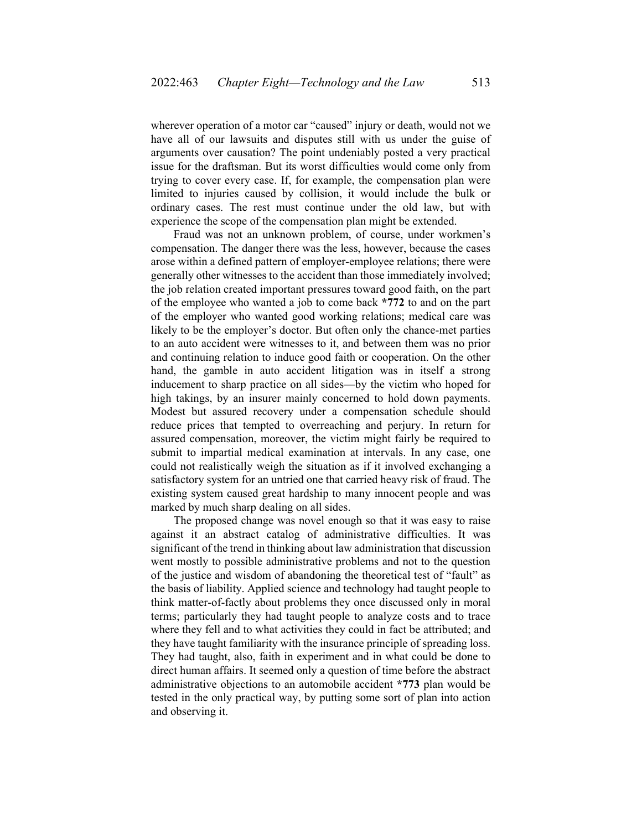wherever operation of a motor car "caused" injury or death, would not we have all of our lawsuits and disputes still with us under the guise of arguments over causation? The point undeniably posted a very practical issue for the draftsman. But its worst difficulties would come only from trying to cover every case. If, for example, the compensation plan were limited to injuries caused by collision, it would include the bulk or ordinary cases. The rest must continue under the old law, but with experience the scope of the compensation plan might be extended.

Fraud was not an unknown problem, of course, under workmen's compensation. The danger there was the less, however, because the cases arose within a defined pattern of employer-employee relations; there were generally other witnesses to the accident than those immediately involved; the job relation created important pressures toward good faith, on the part of the employee who wanted a job to come back **\*772** to and on the part of the employer who wanted good working relations; medical care was likely to be the employer's doctor. But often only the chance-met parties to an auto accident were witnesses to it, and between them was no prior and continuing relation to induce good faith or cooperation. On the other hand, the gamble in auto accident litigation was in itself a strong inducement to sharp practice on all sides—by the victim who hoped for high takings, by an insurer mainly concerned to hold down payments. Modest but assured recovery under a compensation schedule should reduce prices that tempted to overreaching and perjury. In return for assured compensation, moreover, the victim might fairly be required to submit to impartial medical examination at intervals. In any case, one could not realistically weigh the situation as if it involved exchanging a satisfactory system for an untried one that carried heavy risk of fraud. The existing system caused great hardship to many innocent people and was marked by much sharp dealing on all sides.

The proposed change was novel enough so that it was easy to raise against it an abstract catalog of administrative difficulties. It was significant of the trend in thinking about law administration that discussion went mostly to possible administrative problems and not to the question of the justice and wisdom of abandoning the theoretical test of "fault" as the basis of liability. Applied science and technology had taught people to think matter-of-factly about problems they once discussed only in moral terms; particularly they had taught people to analyze costs and to trace where they fell and to what activities they could in fact be attributed; and they have taught familiarity with the insurance principle of spreading loss. They had taught, also, faith in experiment and in what could be done to direct human affairs. It seemed only a question of time before the abstract administrative objections to an automobile accident **\*773** plan would be tested in the only practical way, by putting some sort of plan into action and observing it.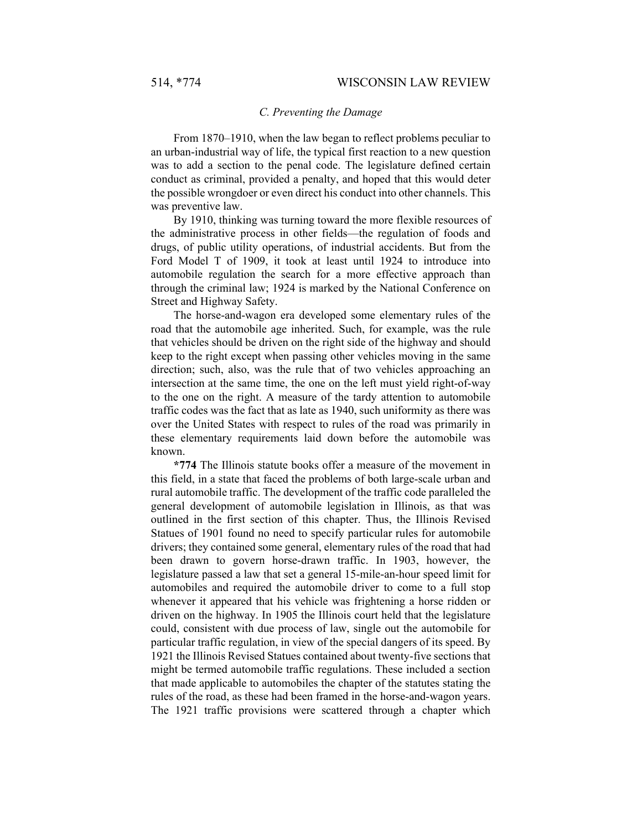#### *C. Preventing the Damage*

From 1870–1910, when the law began to reflect problems peculiar to an urban-industrial way of life, the typical first reaction to a new question was to add a section to the penal code. The legislature defined certain conduct as criminal, provided a penalty, and hoped that this would deter the possible wrongdoer or even direct his conduct into other channels. This was preventive law.

By 1910, thinking was turning toward the more flexible resources of the administrative process in other fields—the regulation of foods and drugs, of public utility operations, of industrial accidents. But from the Ford Model T of 1909, it took at least until 1924 to introduce into automobile regulation the search for a more effective approach than through the criminal law; 1924 is marked by the National Conference on Street and Highway Safety.

The horse-and-wagon era developed some elementary rules of the road that the automobile age inherited. Such, for example, was the rule that vehicles should be driven on the right side of the highway and should keep to the right except when passing other vehicles moving in the same direction; such, also, was the rule that of two vehicles approaching an intersection at the same time, the one on the left must yield right-of-way to the one on the right. A measure of the tardy attention to automobile traffic codes was the fact that as late as 1940, such uniformity as there was over the United States with respect to rules of the road was primarily in these elementary requirements laid down before the automobile was known.

**\*774** The Illinois statute books offer a measure of the movement in this field, in a state that faced the problems of both large-scale urban and rural automobile traffic. The development of the traffic code paralleled the general development of automobile legislation in Illinois, as that was outlined in the first section of this chapter. Thus, the Illinois Revised Statues of 1901 found no need to specify particular rules for automobile drivers; they contained some general, elementary rules of the road that had been drawn to govern horse-drawn traffic. In 1903, however, the legislature passed a law that set a general 15-mile-an-hour speed limit for automobiles and required the automobile driver to come to a full stop whenever it appeared that his vehicle was frightening a horse ridden or driven on the highway. In 1905 the Illinois court held that the legislature could, consistent with due process of law, single out the automobile for particular traffic regulation, in view of the special dangers of its speed. By 1921 the Illinois Revised Statues contained about twenty-five sections that might be termed automobile traffic regulations. These included a section that made applicable to automobiles the chapter of the statutes stating the rules of the road, as these had been framed in the horse-and-wagon years. The 1921 traffic provisions were scattered through a chapter which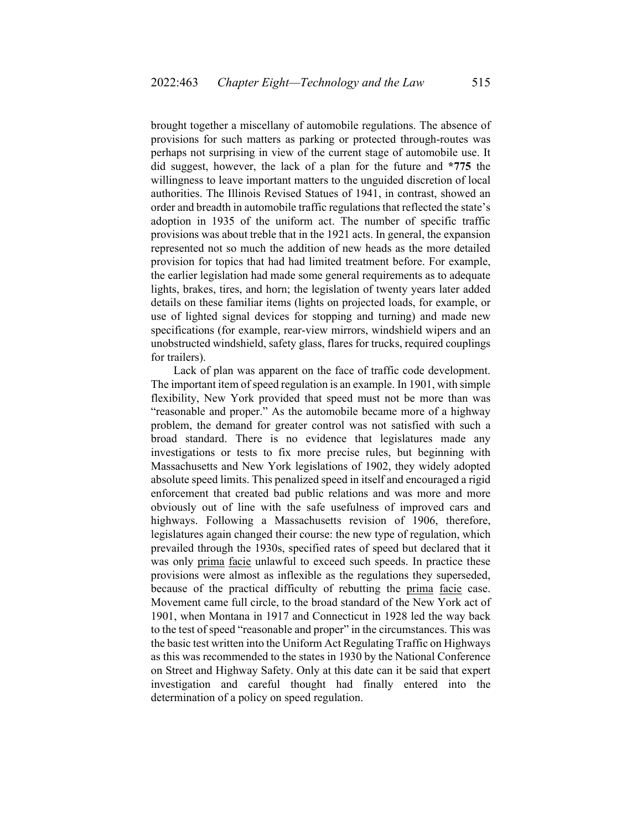brought together a miscellany of automobile regulations. The absence of provisions for such matters as parking or protected through-routes was perhaps not surprising in view of the current stage of automobile use. It did suggest, however, the lack of a plan for the future and **\*775** the willingness to leave important matters to the unguided discretion of local authorities. The Illinois Revised Statues of 1941, in contrast, showed an order and breadth in automobile traffic regulations that reflected the state's adoption in 1935 of the uniform act. The number of specific traffic provisions was about treble that in the 1921 acts. In general, the expansion represented not so much the addition of new heads as the more detailed provision for topics that had had limited treatment before. For example, the earlier legislation had made some general requirements as to adequate lights, brakes, tires, and horn; the legislation of twenty years later added details on these familiar items (lights on projected loads, for example, or use of lighted signal devices for stopping and turning) and made new specifications (for example, rear-view mirrors, windshield wipers and an unobstructed windshield, safety glass, flares for trucks, required couplings for trailers).

Lack of plan was apparent on the face of traffic code development. The important item of speed regulation is an example. In 1901, with simple flexibility, New York provided that speed must not be more than was "reasonable and proper." As the automobile became more of a highway problem, the demand for greater control was not satisfied with such a broad standard. There is no evidence that legislatures made any investigations or tests to fix more precise rules, but beginning with Massachusetts and New York legislations of 1902, they widely adopted absolute speed limits. This penalized speed in itself and encouraged a rigid enforcement that created bad public relations and was more and more obviously out of line with the safe usefulness of improved cars and highways. Following a Massachusetts revision of 1906, therefore, legislatures again changed their course: the new type of regulation, which prevailed through the 1930s, specified rates of speed but declared that it was only prima facie unlawful to exceed such speeds. In practice these provisions were almost as inflexible as the regulations they superseded, because of the practical difficulty of rebutting the prima facie case. Movement came full circle, to the broad standard of the New York act of 1901, when Montana in 1917 and Connecticut in 1928 led the way back to the test of speed "reasonable and proper" in the circumstances. This was the basic test written into the Uniform Act Regulating Traffic on Highways as this was recommended to the states in 1930 by the National Conference on Street and Highway Safety. Only at this date can it be said that expert investigation and careful thought had finally entered into the determination of a policy on speed regulation.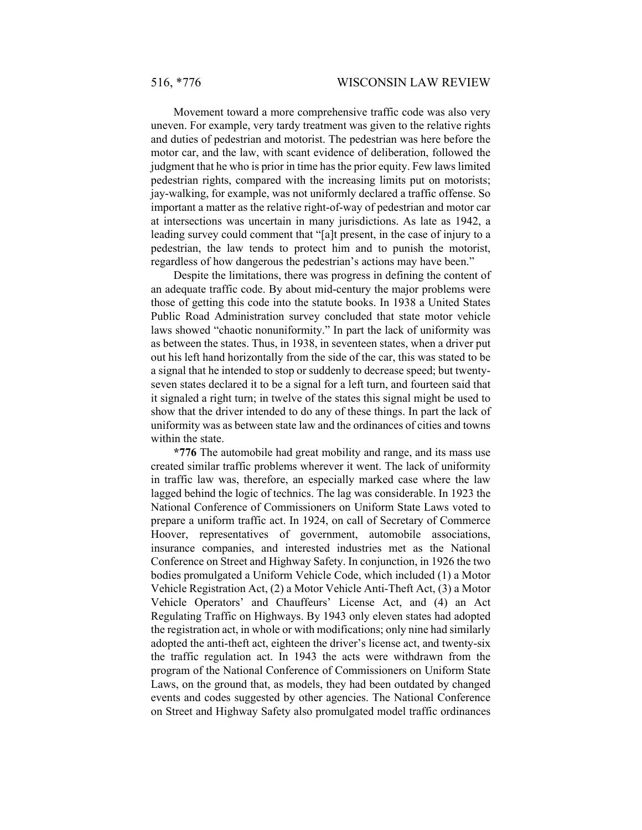Movement toward a more comprehensive traffic code was also very uneven. For example, very tardy treatment was given to the relative rights and duties of pedestrian and motorist. The pedestrian was here before the motor car, and the law, with scant evidence of deliberation, followed the judgment that he who is prior in time has the prior equity. Few laws limited pedestrian rights, compared with the increasing limits put on motorists; jay-walking, for example, was not uniformly declared a traffic offense. So important a matter as the relative right-of-way of pedestrian and motor car at intersections was uncertain in many jurisdictions. As late as 1942, a leading survey could comment that "[a]t present, in the case of injury to a pedestrian, the law tends to protect him and to punish the motorist, regardless of how dangerous the pedestrian's actions may have been."

Despite the limitations, there was progress in defining the content of an adequate traffic code. By about mid-century the major problems were those of getting this code into the statute books. In 1938 a United States Public Road Administration survey concluded that state motor vehicle laws showed "chaotic nonuniformity." In part the lack of uniformity was as between the states. Thus, in 1938, in seventeen states, when a driver put out his left hand horizontally from the side of the car, this was stated to be a signal that he intended to stop or suddenly to decrease speed; but twentyseven states declared it to be a signal for a left turn, and fourteen said that it signaled a right turn; in twelve of the states this signal might be used to show that the driver intended to do any of these things. In part the lack of uniformity was as between state law and the ordinances of cities and towns within the state.

**\*776** The automobile had great mobility and range, and its mass use created similar traffic problems wherever it went. The lack of uniformity in traffic law was, therefore, an especially marked case where the law lagged behind the logic of technics. The lag was considerable. In 1923 the National Conference of Commissioners on Uniform State Laws voted to prepare a uniform traffic act. In 1924, on call of Secretary of Commerce Hoover, representatives of government, automobile associations, insurance companies, and interested industries met as the National Conference on Street and Highway Safety. In conjunction, in 1926 the two bodies promulgated a Uniform Vehicle Code, which included (1) a Motor Vehicle Registration Act, (2) a Motor Vehicle Anti-Theft Act, (3) a Motor Vehicle Operators' and Chauffeurs' License Act, and (4) an Act Regulating Traffic on Highways. By 1943 only eleven states had adopted the registration act, in whole or with modifications; only nine had similarly adopted the anti-theft act, eighteen the driver's license act, and twenty-six the traffic regulation act. In 1943 the acts were withdrawn from the program of the National Conference of Commissioners on Uniform State Laws, on the ground that, as models, they had been outdated by changed events and codes suggested by other agencies. The National Conference on Street and Highway Safety also promulgated model traffic ordinances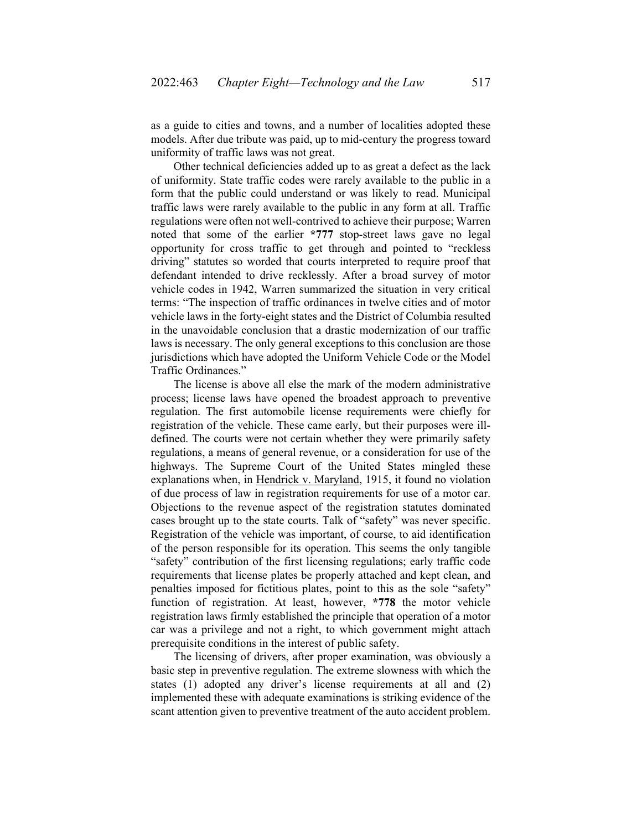as a guide to cities and towns, and a number of localities adopted these models. After due tribute was paid, up to mid-century the progress toward uniformity of traffic laws was not great.

Other technical deficiencies added up to as great a defect as the lack of uniformity. State traffic codes were rarely available to the public in a form that the public could understand or was likely to read. Municipal traffic laws were rarely available to the public in any form at all. Traffic regulations were often not well-contrived to achieve their purpose; Warren noted that some of the earlier **\*777** stop-street laws gave no legal opportunity for cross traffic to get through and pointed to "reckless driving" statutes so worded that courts interpreted to require proof that defendant intended to drive recklessly. After a broad survey of motor vehicle codes in 1942, Warren summarized the situation in very critical terms: "The inspection of traffic ordinances in twelve cities and of motor vehicle laws in the forty-eight states and the District of Columbia resulted in the unavoidable conclusion that a drastic modernization of our traffic laws is necessary. The only general exceptions to this conclusion are those jurisdictions which have adopted the Uniform Vehicle Code or the Model Traffic Ordinances."

The license is above all else the mark of the modern administrative process; license laws have opened the broadest approach to preventive regulation. The first automobile license requirements were chiefly for registration of the vehicle. These came early, but their purposes were illdefined. The courts were not certain whether they were primarily safety regulations, a means of general revenue, or a consideration for use of the highways. The Supreme Court of the United States mingled these explanations when, in Hendrick v. Maryland, 1915, it found no violation of due process of law in registration requirements for use of a motor car. Objections to the revenue aspect of the registration statutes dominated cases brought up to the state courts. Talk of "safety" was never specific. Registration of the vehicle was important, of course, to aid identification of the person responsible for its operation. This seems the only tangible "safety" contribution of the first licensing regulations; early traffic code requirements that license plates be properly attached and kept clean, and penalties imposed for fictitious plates, point to this as the sole "safety" function of registration. At least, however, **\*778** the motor vehicle registration laws firmly established the principle that operation of a motor car was a privilege and not a right, to which government might attach prerequisite conditions in the interest of public safety.

The licensing of drivers, after proper examination, was obviously a basic step in preventive regulation. The extreme slowness with which the states (1) adopted any driver's license requirements at all and (2) implemented these with adequate examinations is striking evidence of the scant attention given to preventive treatment of the auto accident problem.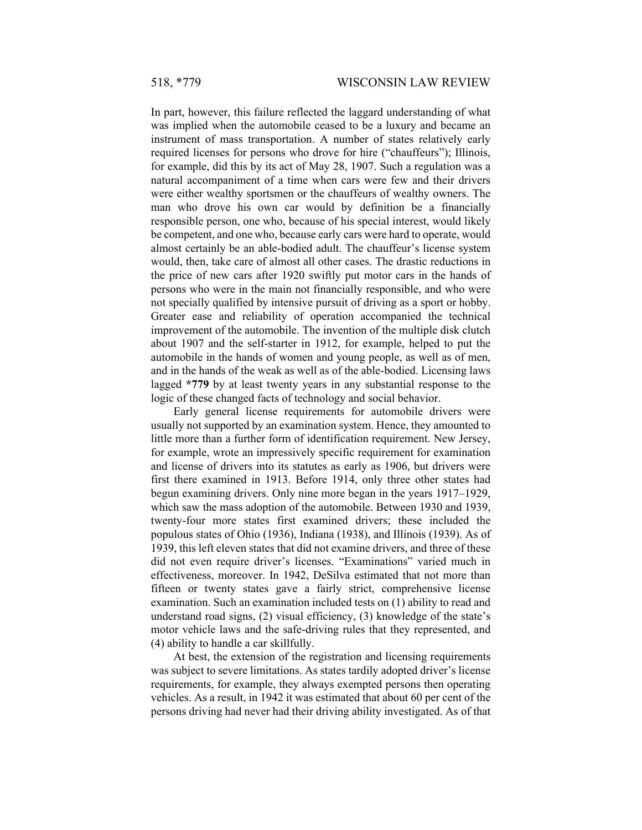In part, however, this failure reflected the laggard understanding of what was implied when the automobile ceased to be a luxury and became an instrument of mass transportation. A number of states relatively early required licenses for persons who drove for hire ("chauffeurs"); Illinois, for example, did this by its act of May 28, 1907. Such a regulation was a natural accompaniment of a time when cars were few and their drivers were either wealthy sportsmen or the chauffeurs of wealthy owners. The man who drove his own car would by definition be a financially responsible person, one who, because of his special interest, would likely be competent, and one who, because early cars were hard to operate, would almost certainly be an able-bodied adult. The chauffeur's license system would, then, take care of almost all other cases. The drastic reductions in the price of new cars after 1920 swiftly put motor cars in the hands of persons who were in the main not financially responsible, and who were not specially qualified by intensive pursuit of driving as a sport or hobby. Greater ease and reliability of operation accompanied the technical improvement of the automobile. The invention of the multiple disk clutch about 1907 and the self-starter in 1912, for example, helped to put the automobile in the hands of women and young people, as well as of men, and in the hands of the weak as well as of the able-bodied. Licensing laws lagged **\*779** by at least twenty years in any substantial response to the logic of these changed facts of technology and social behavior.

Early general license requirements for automobile drivers were usually not supported by an examination system. Hence, they amounted to little more than a further form of identification requirement. New Jersey, for example, wrote an impressively specific requirement for examination and license of drivers into its statutes as early as 1906, but drivers were first there examined in 1913. Before 1914, only three other states had begun examining drivers. Only nine more began in the years 1917–1929, which saw the mass adoption of the automobile. Between 1930 and 1939, twenty-four more states first examined drivers; these included the populous states of Ohio (1936), Indiana (1938), and Illinois (1939). As of 1939, this left eleven states that did not examine drivers, and three of these did not even require driver's licenses. "Examinations" varied much in effectiveness, moreover. In 1942, DeSilva estimated that not more than fifteen or twenty states gave a fairly strict, comprehensive license examination. Such an examination included tests on (1) ability to read and understand road signs, (2) visual efficiency, (3) knowledge of the state's motor vehicle laws and the safe-driving rules that they represented, and (4) ability to handle a car skillfully.

At best, the extension of the registration and licensing requirements was subject to severe limitations. As states tardily adopted driver's license requirements, for example, they always exempted persons then operating vehicles. As a result, in 1942 it was estimated that about 60 per cent of the persons driving had never had their driving ability investigated. As of that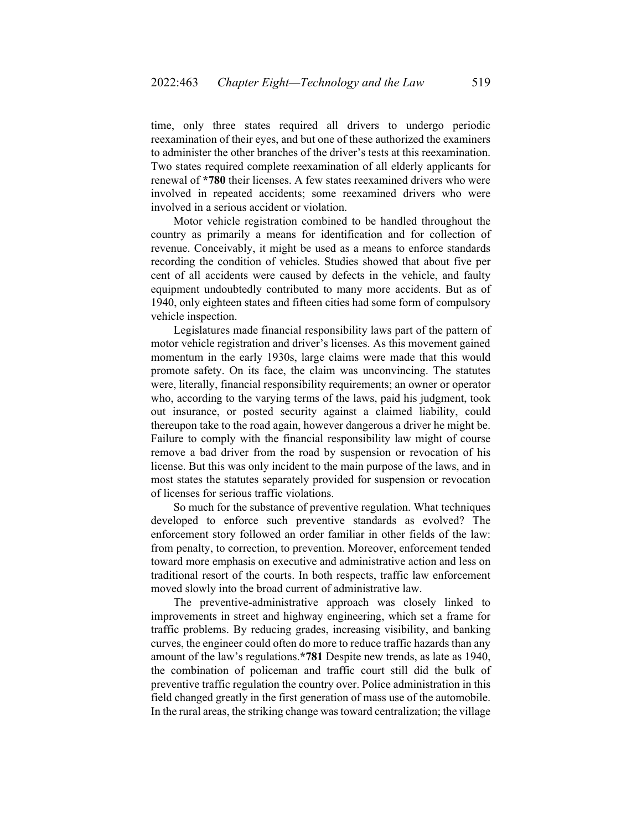time, only three states required all drivers to undergo periodic reexamination of their eyes, and but one of these authorized the examiners to administer the other branches of the driver's tests at this reexamination. Two states required complete reexamination of all elderly applicants for renewal of **\*780** their licenses. A few states reexamined drivers who were involved in repeated accidents; some reexamined drivers who were involved in a serious accident or violation.

Motor vehicle registration combined to be handled throughout the country as primarily a means for identification and for collection of revenue. Conceivably, it might be used as a means to enforce standards recording the condition of vehicles. Studies showed that about five per cent of all accidents were caused by defects in the vehicle, and faulty equipment undoubtedly contributed to many more accidents. But as of 1940, only eighteen states and fifteen cities had some form of compulsory vehicle inspection.

Legislatures made financial responsibility laws part of the pattern of motor vehicle registration and driver's licenses. As this movement gained momentum in the early 1930s, large claims were made that this would promote safety. On its face, the claim was unconvincing. The statutes were, literally, financial responsibility requirements; an owner or operator who, according to the varying terms of the laws, paid his judgment, took out insurance, or posted security against a claimed liability, could thereupon take to the road again, however dangerous a driver he might be. Failure to comply with the financial responsibility law might of course remove a bad driver from the road by suspension or revocation of his license. But this was only incident to the main purpose of the laws, and in most states the statutes separately provided for suspension or revocation of licenses for serious traffic violations.

So much for the substance of preventive regulation. What techniques developed to enforce such preventive standards as evolved? The enforcement story followed an order familiar in other fields of the law: from penalty, to correction, to prevention. Moreover, enforcement tended toward more emphasis on executive and administrative action and less on traditional resort of the courts. In both respects, traffic law enforcement moved slowly into the broad current of administrative law.

The preventive-administrative approach was closely linked to improvements in street and highway engineering, which set a frame for traffic problems. By reducing grades, increasing visibility, and banking curves, the engineer could often do more to reduce traffic hazards than any amount of the law's regulations.**\*781** Despite new trends, as late as 1940, the combination of policeman and traffic court still did the bulk of preventive traffic regulation the country over. Police administration in this field changed greatly in the first generation of mass use of the automobile. In the rural areas, the striking change was toward centralization; the village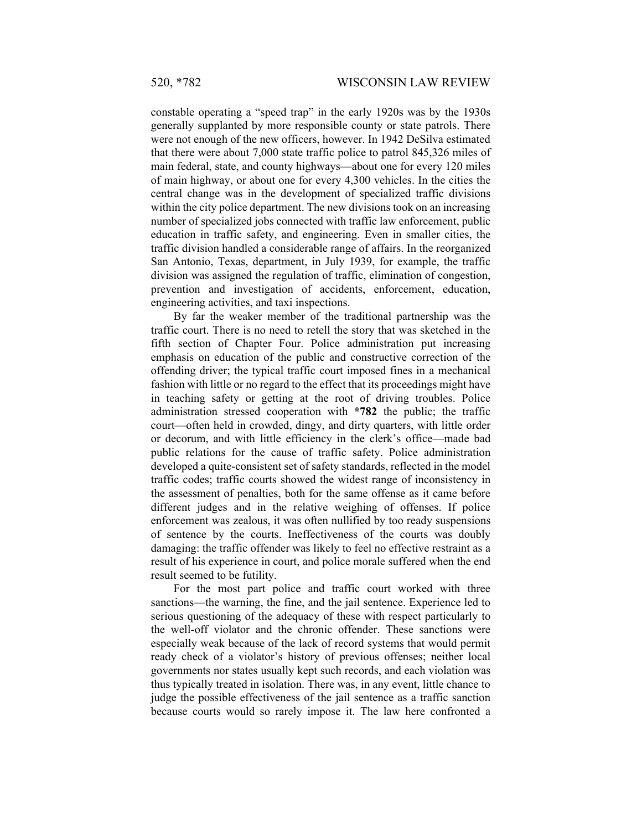constable operating a "speed trap" in the early 1920s was by the 1930s generally supplanted by more responsible county or state patrols. There were not enough of the new officers, however. In 1942 DeSilva estimated that there were about 7,000 state traffic police to patrol 845,326 miles of main federal, state, and county highways—about one for every 120 miles of main highway, or about one for every 4,300 vehicles. In the cities the central change was in the development of specialized traffic divisions within the city police department. The new divisions took on an increasing number of specialized jobs connected with traffic law enforcement, public education in traffic safety, and engineering. Even in smaller cities, the traffic division handled a considerable range of affairs. In the reorganized San Antonio, Texas, department, in July 1939, for example, the traffic division was assigned the regulation of traffic, elimination of congestion, prevention and investigation of accidents, enforcement, education, engineering activities, and taxi inspections.

By far the weaker member of the traditional partnership was the traffic court. There is no need to retell the story that was sketched in the fifth section of Chapter Four. Police administration put increasing emphasis on education of the public and constructive correction of the offending driver; the typical traffic court imposed fines in a mechanical fashion with little or no regard to the effect that its proceedings might have in teaching safety or getting at the root of driving troubles. Police administration stressed cooperation with **\*782** the public; the traffic court—often held in crowded, dingy, and dirty quarters, with little order or decorum, and with little efficiency in the clerk's office—made bad public relations for the cause of traffic safety. Police administration developed a quite-consistent set of safety standards, reflected in the model traffic codes; traffic courts showed the widest range of inconsistency in the assessment of penalties, both for the same offense as it came before different judges and in the relative weighing of offenses. If police enforcement was zealous, it was often nullified by too ready suspensions of sentence by the courts. Ineffectiveness of the courts was doubly damaging: the traffic offender was likely to feel no effective restraint as a result of his experience in court, and police morale suffered when the end result seemed to be futility.

For the most part police and traffic court worked with three sanctions—the warning, the fine, and the jail sentence. Experience led to serious questioning of the adequacy of these with respect particularly to the well-off violator and the chronic offender. These sanctions were especially weak because of the lack of record systems that would permit ready check of a violator's history of previous offenses; neither local governments nor states usually kept such records, and each violation was thus typically treated in isolation. There was, in any event, little chance to judge the possible effectiveness of the jail sentence as a traffic sanction because courts would so rarely impose it. The law here confronted a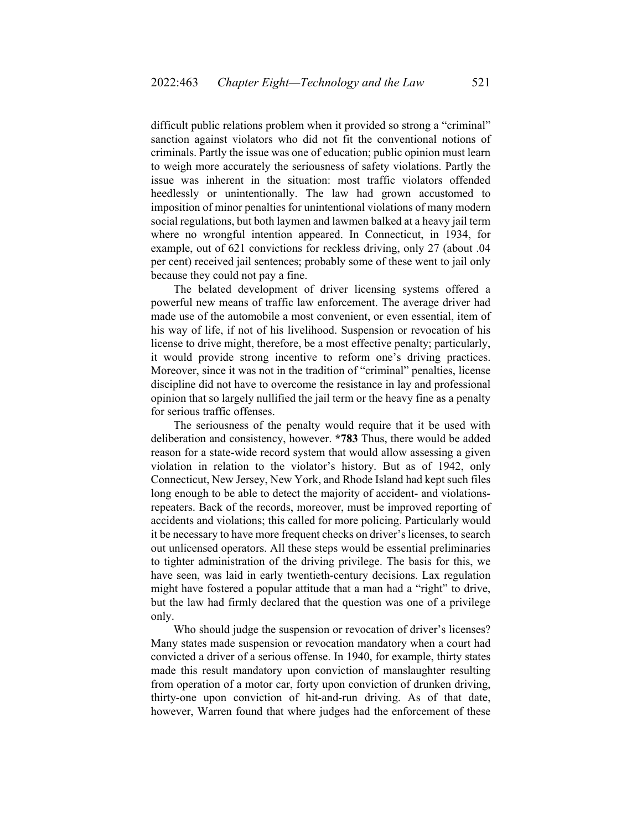difficult public relations problem when it provided so strong a "criminal" sanction against violators who did not fit the conventional notions of criminals. Partly the issue was one of education; public opinion must learn to weigh more accurately the seriousness of safety violations. Partly the issue was inherent in the situation: most traffic violators offended heedlessly or unintentionally. The law had grown accustomed to imposition of minor penalties for unintentional violations of many modern social regulations, but both laymen and lawmen balked at a heavy jail term where no wrongful intention appeared. In Connecticut, in 1934, for example, out of 621 convictions for reckless driving, only 27 (about .04 per cent) received jail sentences; probably some of these went to jail only because they could not pay a fine.

The belated development of driver licensing systems offered a powerful new means of traffic law enforcement. The average driver had made use of the automobile a most convenient, or even essential, item of his way of life, if not of his livelihood. Suspension or revocation of his license to drive might, therefore, be a most effective penalty; particularly, it would provide strong incentive to reform one's driving practices. Moreover, since it was not in the tradition of "criminal" penalties, license discipline did not have to overcome the resistance in lay and professional opinion that so largely nullified the jail term or the heavy fine as a penalty for serious traffic offenses.

The seriousness of the penalty would require that it be used with deliberation and consistency, however. **\*783** Thus, there would be added reason for a state-wide record system that would allow assessing a given violation in relation to the violator's history. But as of 1942, only Connecticut, New Jersey, New York, and Rhode Island had kept such files long enough to be able to detect the majority of accident- and violationsrepeaters. Back of the records, moreover, must be improved reporting of accidents and violations; this called for more policing. Particularly would it be necessary to have more frequent checks on driver's licenses, to search out unlicensed operators. All these steps would be essential preliminaries to tighter administration of the driving privilege. The basis for this, we have seen, was laid in early twentieth-century decisions. Lax regulation might have fostered a popular attitude that a man had a "right" to drive, but the law had firmly declared that the question was one of a privilege only.

Who should judge the suspension or revocation of driver's licenses? Many states made suspension or revocation mandatory when a court had convicted a driver of a serious offense. In 1940, for example, thirty states made this result mandatory upon conviction of manslaughter resulting from operation of a motor car, forty upon conviction of drunken driving, thirty-one upon conviction of hit-and-run driving. As of that date, however, Warren found that where judges had the enforcement of these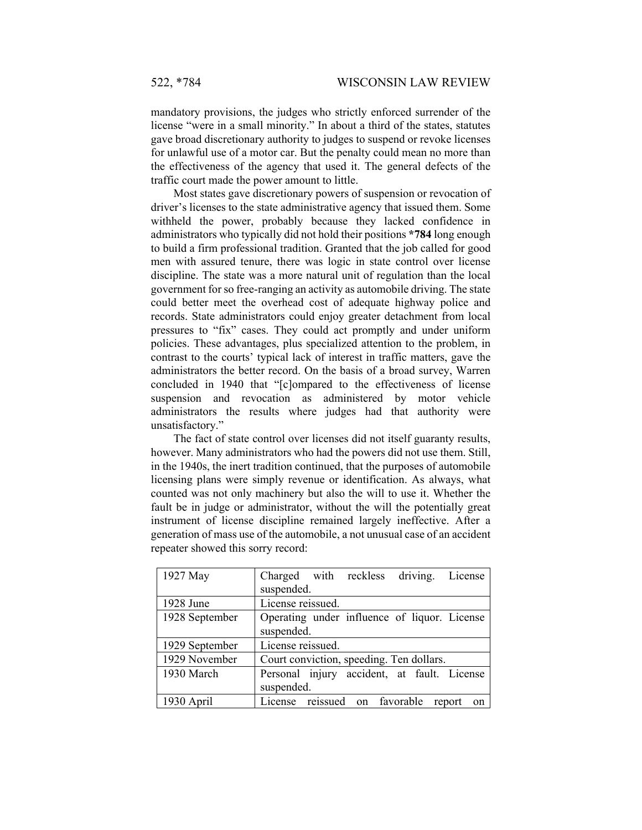mandatory provisions, the judges who strictly enforced surrender of the license "were in a small minority." In about a third of the states, statutes gave broad discretionary authority to judges to suspend or revoke licenses for unlawful use of a motor car. But the penalty could mean no more than the effectiveness of the agency that used it. The general defects of the traffic court made the power amount to little.

Most states gave discretionary powers of suspension or revocation of driver's licenses to the state administrative agency that issued them. Some withheld the power, probably because they lacked confidence in administrators who typically did not hold their positions **\*784** long enough to build a firm professional tradition. Granted that the job called for good men with assured tenure, there was logic in state control over license discipline. The state was a more natural unit of regulation than the local government for so free-ranging an activity as automobile driving. The state could better meet the overhead cost of adequate highway police and records. State administrators could enjoy greater detachment from local pressures to "fix" cases. They could act promptly and under uniform policies. These advantages, plus specialized attention to the problem, in contrast to the courts' typical lack of interest in traffic matters, gave the administrators the better record. On the basis of a broad survey, Warren concluded in 1940 that "[c]ompared to the effectiveness of license suspension and revocation as administered by motor vehicle administrators the results where judges had that authority were unsatisfactory."

The fact of state control over licenses did not itself guaranty results, however. Many administrators who had the powers did not use them. Still, in the 1940s, the inert tradition continued, that the purposes of automobile licensing plans were simply revenue or identification. As always, what counted was not only machinery but also the will to use it. Whether the fault be in judge or administrator, without the will the potentially great instrument of license discipline remained largely ineffective. After a generation of mass use of the automobile, a not unusual case of an accident repeater showed this sorry record:

| 1927 May       | Charged with reckless driving. License                     |
|----------------|------------------------------------------------------------|
|                | suspended.                                                 |
| 1928 June      | License reissued.                                          |
| 1928 September | Operating under influence of liquor. License<br>suspended. |
| 1929 September | License reissued.                                          |
| 1929 November  | Court conviction, speeding. Ten dollars.                   |
| 1930 March     | Personal injury accident, at fault. License<br>suspended.  |
| 1930 April     | License reissued on favorable<br>report<br>on              |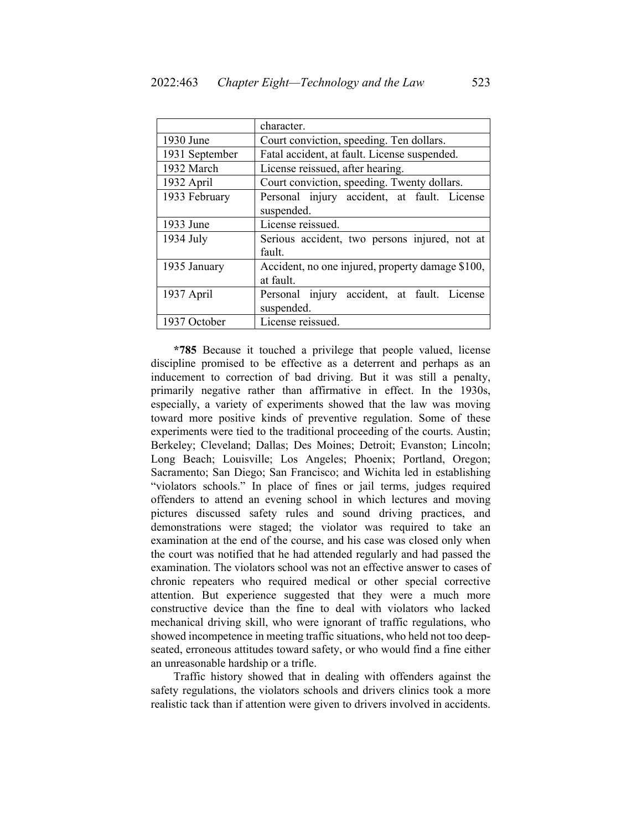|                | character.                                       |  |  |  |
|----------------|--------------------------------------------------|--|--|--|
| 1930 June      | Court conviction, speeding. Ten dollars.         |  |  |  |
| 1931 September | Fatal accident, at fault. License suspended.     |  |  |  |
| 1932 March     | License reissued, after hearing.                 |  |  |  |
| 1932 April     | Court conviction, speeding. Twenty dollars.      |  |  |  |
| 1933 February  | Personal injury accident, at fault. License      |  |  |  |
|                | suspended.                                       |  |  |  |
| 1933 June      | License reissued.                                |  |  |  |
| 1934 July      | Serious accident, two persons injured, not at    |  |  |  |
|                | fault.                                           |  |  |  |
| 1935 January   | Accident, no one injured, property damage \$100, |  |  |  |
|                | at fault.                                        |  |  |  |
| 1937 April     | Personal injury accident, at fault. License      |  |  |  |
|                | suspended.                                       |  |  |  |
| 1937 October   | License reissued.                                |  |  |  |

**\*785** Because it touched a privilege that people valued, license discipline promised to be effective as a deterrent and perhaps as an inducement to correction of bad driving. But it was still a penalty, primarily negative rather than affirmative in effect. In the 1930s, especially, a variety of experiments showed that the law was moving toward more positive kinds of preventive regulation. Some of these experiments were tied to the traditional proceeding of the courts. Austin; Berkeley; Cleveland; Dallas; Des Moines; Detroit; Evanston; Lincoln; Long Beach; Louisville; Los Angeles; Phoenix; Portland, Oregon; Sacramento; San Diego; San Francisco; and Wichita led in establishing "violators schools." In place of fines or jail terms, judges required offenders to attend an evening school in which lectures and moving pictures discussed safety rules and sound driving practices, and demonstrations were staged; the violator was required to take an examination at the end of the course, and his case was closed only when the court was notified that he had attended regularly and had passed the examination. The violators school was not an effective answer to cases of chronic repeaters who required medical or other special corrective attention. But experience suggested that they were a much more constructive device than the fine to deal with violators who lacked mechanical driving skill, who were ignorant of traffic regulations, who showed incompetence in meeting traffic situations, who held not too deepseated, erroneous attitudes toward safety, or who would find a fine either an unreasonable hardship or a trifle.

Traffic history showed that in dealing with offenders against the safety regulations, the violators schools and drivers clinics took a more realistic tack than if attention were given to drivers involved in accidents.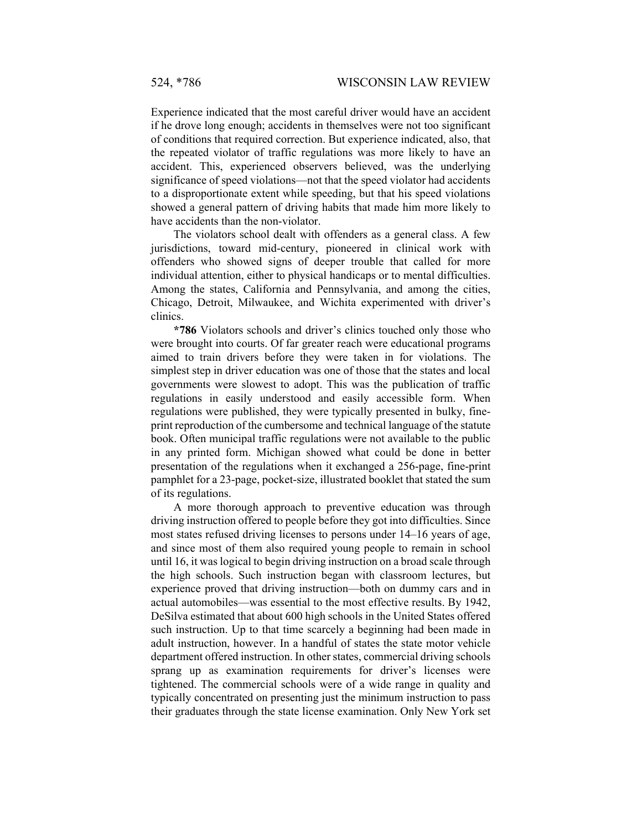Experience indicated that the most careful driver would have an accident if he drove long enough; accidents in themselves were not too significant of conditions that required correction. But experience indicated, also, that the repeated violator of traffic regulations was more likely to have an accident. This, experienced observers believed, was the underlying significance of speed violations—not that the speed violator had accidents to a disproportionate extent while speeding, but that his speed violations showed a general pattern of driving habits that made him more likely to have accidents than the non-violator.

The violators school dealt with offenders as a general class. A few jurisdictions, toward mid-century, pioneered in clinical work with offenders who showed signs of deeper trouble that called for more individual attention, either to physical handicaps or to mental difficulties. Among the states, California and Pennsylvania, and among the cities, Chicago, Detroit, Milwaukee, and Wichita experimented with driver's clinics.

**\*786** Violators schools and driver's clinics touched only those who were brought into courts. Of far greater reach were educational programs aimed to train drivers before they were taken in for violations. The simplest step in driver education was one of those that the states and local governments were slowest to adopt. This was the publication of traffic regulations in easily understood and easily accessible form. When regulations were published, they were typically presented in bulky, fineprint reproduction of the cumbersome and technical language of the statute book. Often municipal traffic regulations were not available to the public in any printed form. Michigan showed what could be done in better presentation of the regulations when it exchanged a 256-page, fine-print pamphlet for a 23-page, pocket-size, illustrated booklet that stated the sum of its regulations.

A more thorough approach to preventive education was through driving instruction offered to people before they got into difficulties. Since most states refused driving licenses to persons under 14–16 years of age, and since most of them also required young people to remain in school until 16, it was logical to begin driving instruction on a broad scale through the high schools. Such instruction began with classroom lectures, but experience proved that driving instruction—both on dummy cars and in actual automobiles—was essential to the most effective results. By 1942, DeSilva estimated that about 600 high schools in the United States offered such instruction. Up to that time scarcely a beginning had been made in adult instruction, however. In a handful of states the state motor vehicle department offered instruction. In other states, commercial driving schools sprang up as examination requirements for driver's licenses were tightened. The commercial schools were of a wide range in quality and typically concentrated on presenting just the minimum instruction to pass their graduates through the state license examination. Only New York set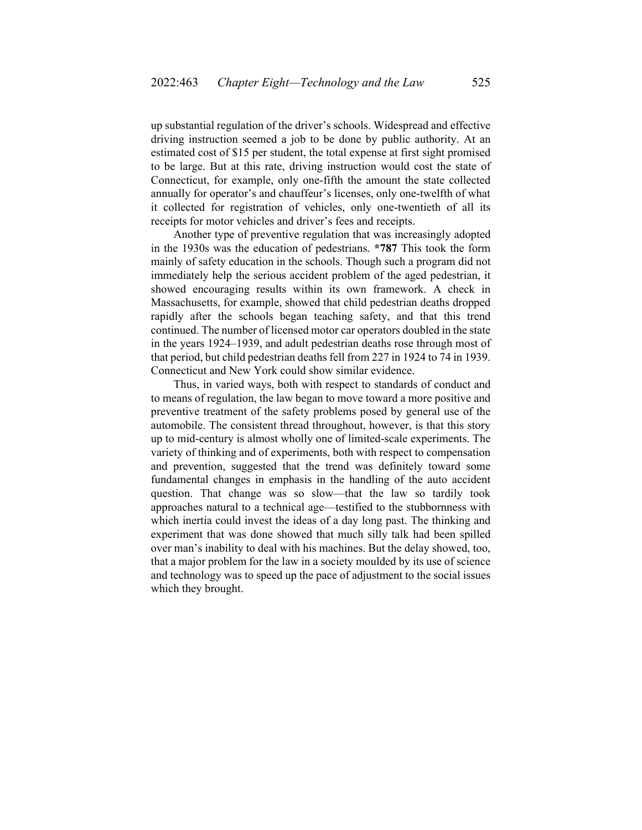up substantial regulation of the driver's schools. Widespread and effective driving instruction seemed a job to be done by public authority. At an estimated cost of \$15 per student, the total expense at first sight promised to be large. But at this rate, driving instruction would cost the state of Connecticut, for example, only one-fifth the amount the state collected annually for operator's and chauffeur's licenses, only one-twelfth of what it collected for registration of vehicles, only one-twentieth of all its receipts for motor vehicles and driver's fees and receipts.

Another type of preventive regulation that was increasingly adopted in the 1930s was the education of pedestrians. **\*787** This took the form mainly of safety education in the schools. Though such a program did not immediately help the serious accident problem of the aged pedestrian, it showed encouraging results within its own framework. A check in Massachusetts, for example, showed that child pedestrian deaths dropped rapidly after the schools began teaching safety, and that this trend continued. The number of licensed motor car operators doubled in the state in the years 1924–1939, and adult pedestrian deaths rose through most of that period, but child pedestrian deaths fell from 227 in 1924 to 74 in 1939. Connecticut and New York could show similar evidence.

Thus, in varied ways, both with respect to standards of conduct and to means of regulation, the law began to move toward a more positive and preventive treatment of the safety problems posed by general use of the automobile. The consistent thread throughout, however, is that this story up to mid-century is almost wholly one of limited-scale experiments. The variety of thinking and of experiments, both with respect to compensation and prevention, suggested that the trend was definitely toward some fundamental changes in emphasis in the handling of the auto accident question. That change was so slow—that the law so tardily took approaches natural to a technical age—testified to the stubbornness with which inertia could invest the ideas of a day long past. The thinking and experiment that was done showed that much silly talk had been spilled over man's inability to deal with his machines. But the delay showed, too, that a major problem for the law in a society moulded by its use of science and technology was to speed up the pace of adjustment to the social issues which they brought.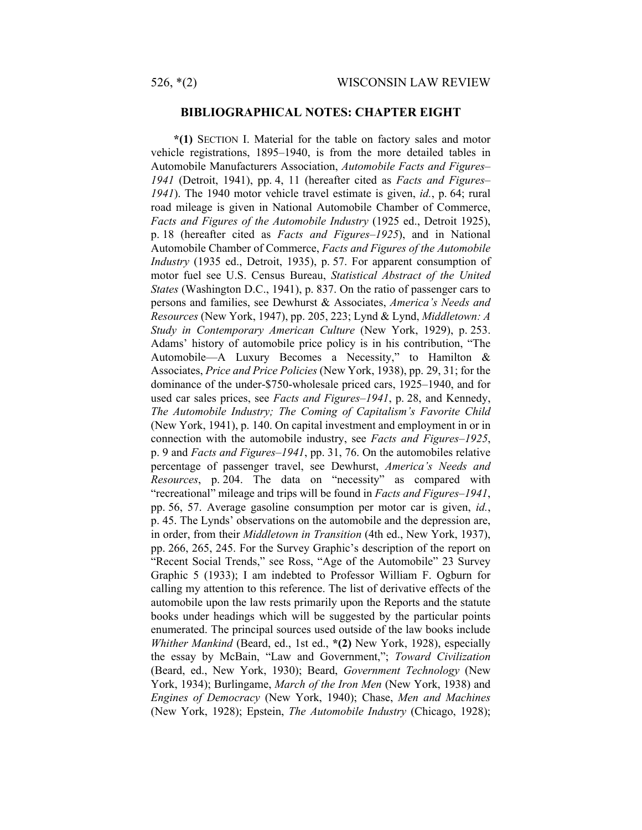## **BIBLIOGRAPHICAL NOTES: CHAPTER EIGHT**

**\*(1)** SECTION I. Material for the table on factory sales and motor vehicle registrations, 1895–1940, is from the more detailed tables in Automobile Manufacturers Association, *Automobile Facts and Figures– 1941* (Detroit, 1941), pp. 4, 11 (hereafter cited as *Facts and Figures– 1941*). The 1940 motor vehicle travel estimate is given, *id.*, p. 64; rural road mileage is given in National Automobile Chamber of Commerce, *Facts and Figures of the Automobile Industry* (1925 ed., Detroit 1925), p. 18 (hereafter cited as *Facts and Figures–1925*), and in National Automobile Chamber of Commerce, *Facts and Figures of the Automobile Industry* (1935 ed., Detroit, 1935), p. 57. For apparent consumption of motor fuel see U.S. Census Bureau, *Statistical Abstract of the United States* (Washington D.C., 1941), p. 837. On the ratio of passenger cars to persons and families, see Dewhurst & Associates, *America's Needs and Resources* (New York, 1947), pp. 205, 223; Lynd & Lynd, *Middletown: A Study in Contemporary American Culture* (New York, 1929), p. 253. Adams' history of automobile price policy is in his contribution, "The Automobile—A Luxury Becomes a Necessity," to Hamilton & Associates, *Price and Price Policies* (New York, 1938), pp. 29, 31; for the dominance of the under-\$750-wholesale priced cars, 1925–1940, and for used car sales prices, see *Facts and Figures–1941*, p. 28, and Kennedy, *The Automobile Industry; The Coming of Capitalism's Favorite Child* (New York, 1941), p. 140. On capital investment and employment in or in connection with the automobile industry, see *Facts and Figures–1925*, p. 9 and *Facts and Figures–1941*, pp. 31, 76. On the automobiles relative percentage of passenger travel, see Dewhurst, *America's Needs and Resources*, p. 204. The data on "necessity" as compared with "recreational" mileage and trips will be found in *Facts and Figures–1941*, pp. 56, 57. Average gasoline consumption per motor car is given, *id.*, p. 45. The Lynds' observations on the automobile and the depression are, in order, from their *Middletown in Transition* (4th ed., New York, 1937), pp. 266, 265, 245. For the Survey Graphic's description of the report on "Recent Social Trends," see Ross, "Age of the Automobile" 23 Survey Graphic 5 (1933); I am indebted to Professor William F. Ogburn for calling my attention to this reference. The list of derivative effects of the automobile upon the law rests primarily upon the Reports and the statute books under headings which will be suggested by the particular points enumerated. The principal sources used outside of the law books include *Whither Mankind* (Beard, ed., 1st ed., **\*(2)** New York, 1928), especially the essay by McBain, "Law and Government,"; *Toward Civilization* (Beard, ed., New York, 1930); Beard, *Government Technology* (New York, 1934); Burlingame, *March of the Iron Men* (New York, 1938) and *Engines of Democracy* (New York, 1940); Chase, *Men and Machines* (New York, 1928); Epstein, *The Automobile Industry* (Chicago, 1928);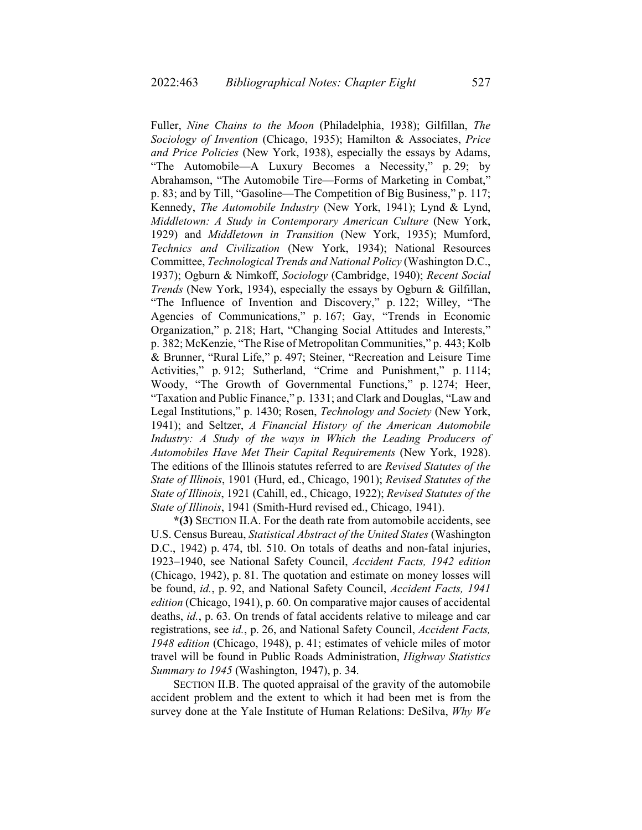Fuller, *Nine Chains to the Moon* (Philadelphia, 1938); Gilfillan, *The Sociology of Invention* (Chicago, 1935); Hamilton & Associates, *Price and Price Policies* (New York, 1938), especially the essays by Adams, "The Automobile—A Luxury Becomes a Necessity," p. 29; by Abrahamson, "The Automobile Tire—Forms of Marketing in Combat," p. 83; and by Till, "Gasoline—The Competition of Big Business," p. 117; Kennedy, *The Automobile Industry* (New York, 1941); Lynd & Lynd, *Middletown: A Study in Contemporary American Culture* (New York, 1929) and *Middletown in Transition* (New York, 1935); Mumford, *Technics and Civilization* (New York, 1934); National Resources Committee, *Technological Trends and National Policy* (Washington D.C., 1937); Ogburn & Nimkoff, *Sociology* (Cambridge, 1940); *Recent Social Trends* (New York, 1934), especially the essays by Ogburn & Gilfillan, "The Influence of Invention and Discovery," p. 122; Willey, "The Agencies of Communications," p. 167; Gay, "Trends in Economic Organization," p. 218; Hart, "Changing Social Attitudes and Interests," p. 382; McKenzie, "The Rise of Metropolitan Communities," p. 443; Kolb & Brunner, "Rural Life," p. 497; Steiner, "Recreation and Leisure Time Activities," p. 912; Sutherland, "Crime and Punishment," p. 1114; Woody, "The Growth of Governmental Functions," p. 1274; Heer, "Taxation and Public Finance," p. 1331; and Clark and Douglas, "Law and Legal Institutions," p. 1430; Rosen, *Technology and Society* (New York, 1941); and Seltzer, *A Financial History of the American Automobile Industry: A Study of the ways in Which the Leading Producers of Automobiles Have Met Their Capital Requirements* (New York, 1928). The editions of the Illinois statutes referred to are *Revised Statutes of the State of Illinois*, 1901 (Hurd, ed., Chicago, 1901); *Revised Statutes of the State of Illinois*, 1921 (Cahill, ed., Chicago, 1922); *Revised Statutes of the State of Illinois*, 1941 (Smith-Hurd revised ed., Chicago, 1941).

**\*(3)** SECTION II.A. For the death rate from automobile accidents, see U.S. Census Bureau, *Statistical Abstract of the United States* (Washington D.C., 1942) p. 474, tbl. 510. On totals of deaths and non-fatal injuries, 1923–1940, see National Safety Council, *Accident Facts, 1942 edition* (Chicago, 1942), p. 81. The quotation and estimate on money losses will be found, *id.*, p. 92, and National Safety Council, *Accident Facts, 1941 edition* (Chicago, 1941), p. 60. On comparative major causes of accidental deaths, *id.*, p. 63. On trends of fatal accidents relative to mileage and car registrations, see *id.*, p. 26, and National Safety Council, *Accident Facts, 1948 edition* (Chicago, 1948), p. 41; estimates of vehicle miles of motor travel will be found in Public Roads Administration, *Highway Statistics Summary to 1945* (Washington, 1947), p. 34.

SECTION II.B. The quoted appraisal of the gravity of the automobile accident problem and the extent to which it had been met is from the survey done at the Yale Institute of Human Relations: DeSilva, *Why We*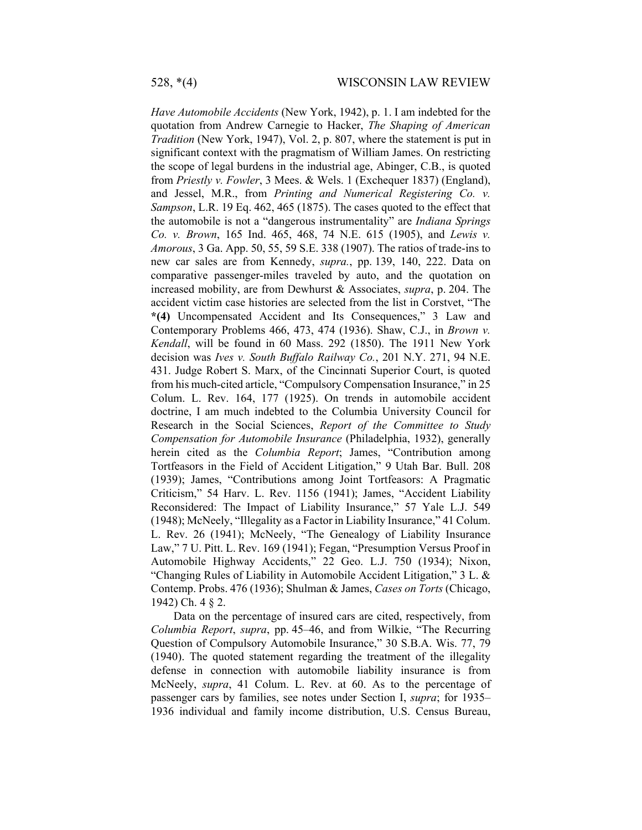*Have Automobile Accidents* (New York, 1942), p. 1. I am indebted for the quotation from Andrew Carnegie to Hacker, *The Shaping of American Tradition* (New York, 1947), Vol. 2, p. 807, where the statement is put in significant context with the pragmatism of William James. On restricting the scope of legal burdens in the industrial age, Abinger, C.B., is quoted from *Priestly v. Fowler*, 3 Mees. & Wels. 1 (Exchequer 1837) (England), and Jessel, M.R., from *Printing and Numerical Registering Co. v. Sampson*, L.R. 19 Eq. 462, 465 (1875). The cases quoted to the effect that the automobile is not a "dangerous instrumentality" are *Indiana Springs Co. v. Brown*, 165 Ind. 465, 468, 74 N.E. 615 (1905), and *Lewis v. Amorous*, 3 Ga. App. 50, 55, 59 S.E. 338 (1907). The ratios of trade-ins to new car sales are from Kennedy, *supra.*, pp. 139, 140, 222. Data on comparative passenger-miles traveled by auto, and the quotation on increased mobility, are from Dewhurst & Associates, *supra*, p. 204. The accident victim case histories are selected from the list in Corstvet, "The **\*(4)** Uncompensated Accident and Its Consequences," 3 Law and Contemporary Problems 466, 473, 474 (1936). Shaw, C.J., in *Brown v. Kendall*, will be found in 60 Mass. 292 (1850). The 1911 New York decision was *Ives v. South Buffalo Railway Co.*, 201 N.Y. 271, 94 N.E. 431. Judge Robert S. Marx, of the Cincinnati Superior Court, is quoted from his much-cited article, "Compulsory Compensation Insurance," in 25 Colum. L. Rev. 164, 177 (1925). On trends in automobile accident doctrine, I am much indebted to the Columbia University Council for Research in the Social Sciences, *Report of the Committee to Study Compensation for Automobile Insurance* (Philadelphia, 1932), generally herein cited as the *Columbia Report*; James, "Contribution among Tortfeasors in the Field of Accident Litigation," 9 Utah Bar. Bull. 208 (1939); James, "Contributions among Joint Tortfeasors: A Pragmatic Criticism," 54 Harv. L. Rev. 1156 (1941); James, "Accident Liability Reconsidered: The Impact of Liability Insurance," 57 Yale L.J. 549 (1948); McNeely, "Illegality as a Factor in Liability Insurance," 41 Colum. L. Rev. 26 (1941); McNeely, "The Genealogy of Liability Insurance Law," 7 U. Pitt. L. Rev. 169 (1941); Fegan, "Presumption Versus Proof in Automobile Highway Accidents," 22 Geo. L.J. 750 (1934); Nixon, "Changing Rules of Liability in Automobile Accident Litigation," 3 L. & Contemp. Probs. 476 (1936); Shulman & James, *Cases on Torts* (Chicago, 1942) Ch. 4 § 2.

Data on the percentage of insured cars are cited, respectively, from *Columbia Report*, *supra*, pp. 45–46, and from Wilkie, "The Recurring Question of Compulsory Automobile Insurance," 30 S.B.A. Wis. 77, 79 (1940). The quoted statement regarding the treatment of the illegality defense in connection with automobile liability insurance is from McNeely, *supra*, 41 Colum. L. Rev. at 60. As to the percentage of passenger cars by families, see notes under Section I, *supra*; for 1935– 1936 individual and family income distribution, U.S. Census Bureau,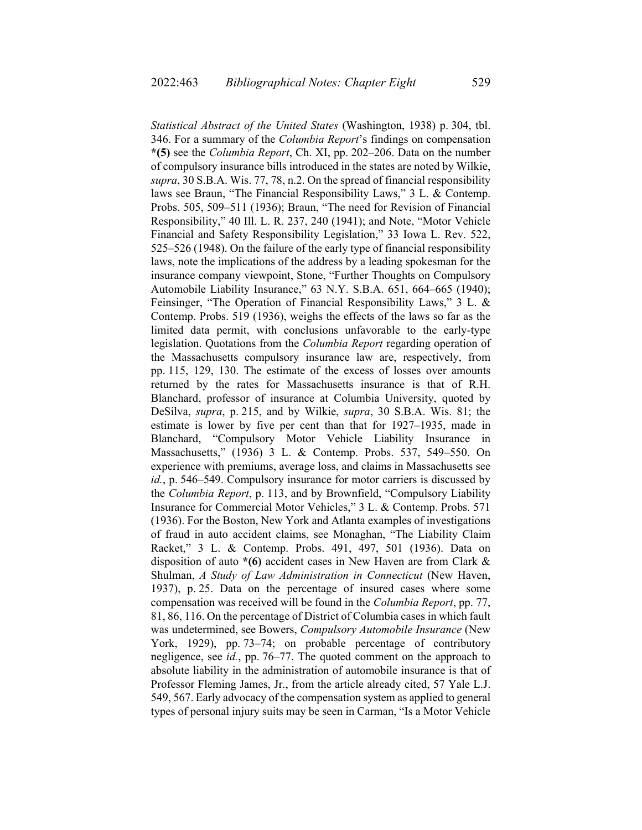*Statistical Abstract of the United States* (Washington, 1938) p. 304, tbl. 346. For a summary of the *Columbia Report*'s findings on compensation **\*(5)** see the *Columbia Report*, Ch. XI, pp. 202–206. Data on the number of compulsory insurance bills introduced in the states are noted by Wilkie, *supra*, 30 S.B.A. Wis. 77, 78, n.2. On the spread of financial responsibility laws see Braun, "The Financial Responsibility Laws," 3 L. & Contemp. Probs. 505, 509–511 (1936); Braun, "The need for Revision of Financial Responsibility," 40 Ill. L. R. 237, 240 (1941); and Note, "Motor Vehicle Financial and Safety Responsibility Legislation," 33 Iowa L. Rev. 522, 525–526 (1948). On the failure of the early type of financial responsibility laws, note the implications of the address by a leading spokesman for the insurance company viewpoint, Stone, "Further Thoughts on Compulsory Automobile Liability Insurance," 63 N.Y. S.B.A. 651, 664–665 (1940); Feinsinger, "The Operation of Financial Responsibility Laws," 3 L. & Contemp. Probs. 519 (1936), weighs the effects of the laws so far as the limited data permit, with conclusions unfavorable to the early-type legislation. Quotations from the *Columbia Report* regarding operation of the Massachusetts compulsory insurance law are, respectively, from pp. 115, 129, 130. The estimate of the excess of losses over amounts returned by the rates for Massachusetts insurance is that of R.H. Blanchard, professor of insurance at Columbia University, quoted by DeSilva, *supra*, p. 215, and by Wilkie, *supra*, 30 S.B.A. Wis. 81; the estimate is lower by five per cent than that for 1927–1935, made in Blanchard, "Compulsory Motor Vehicle Liability Insurance in Massachusetts," (1936) 3 L. & Contemp. Probs. 537, 549–550. On experience with premiums, average loss, and claims in Massachusetts see *id.*, p. 546–549. Compulsory insurance for motor carriers is discussed by the *Columbia Report*, p. 113, and by Brownfield, "Compulsory Liability Insurance for Commercial Motor Vehicles," 3 L. & Contemp. Probs. 571 (1936). For the Boston, New York and Atlanta examples of investigations of fraud in auto accident claims, see Monaghan, "The Liability Claim Racket," 3 L. & Contemp. Probs. 491, 497, 501 (1936). Data on disposition of auto **\*(6)** accident cases in New Haven are from Clark & Shulman, *A Study of Law Administration in Connecticut* (New Haven, 1937), p. 25. Data on the percentage of insured cases where some compensation was received will be found in the *Columbia Report*, pp. 77, 81, 86, 116. On the percentage of District of Columbia cases in which fault was undetermined, see Bowers, *Compulsory Automobile Insurance* (New York, 1929), pp. 73–74; on probable percentage of contributory negligence, see *id.*, pp. 76–77. The quoted comment on the approach to absolute liability in the administration of automobile insurance is that of Professor Fleming James, Jr., from the article already cited, 57 Yale L.J. 549, 567. Early advocacy of the compensation system as applied to general types of personal injury suits may be seen in Carman, "Is a Motor Vehicle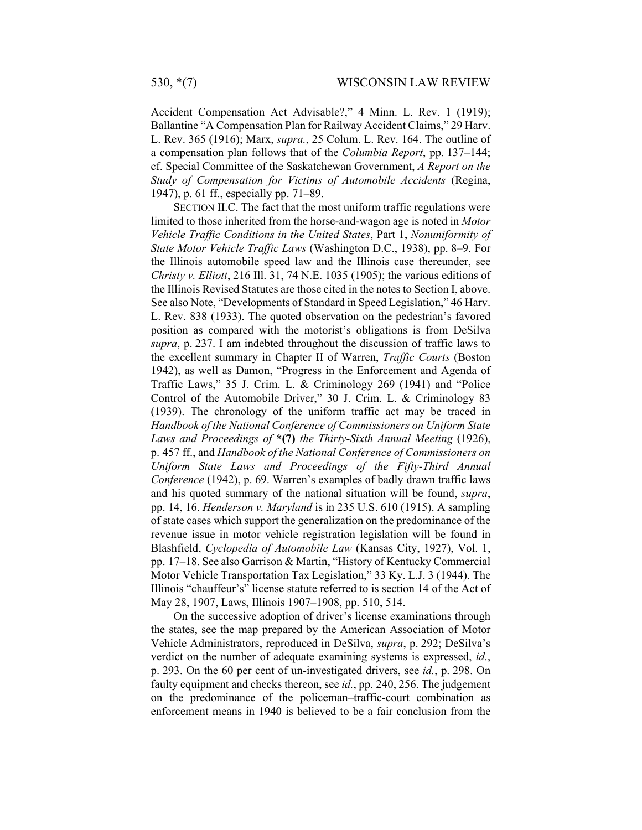Accident Compensation Act Advisable?," 4 Minn. L. Rev. 1 (1919); Ballantine "A Compensation Plan for Railway Accident Claims," 29 Harv. L. Rev. 365 (1916); Marx, *supra.*, 25 Colum. L. Rev. 164. The outline of a compensation plan follows that of the *Columbia Report*, pp. 137–144; cf. Special Committee of the Saskatchewan Government, *A Report on the Study of Compensation for Victims of Automobile Accidents* (Regina, 1947), p. 61 ff., especially pp. 71–89.

SECTION II.C. The fact that the most uniform traffic regulations were limited to those inherited from the horse-and-wagon age is noted in *Motor Vehicle Traffic Conditions in the United States*, Part 1, *Nonuniformity of State Motor Vehicle Traffic Laws* (Washington D.C., 1938), pp. 8–9. For the Illinois automobile speed law and the Illinois case thereunder, see *Christy v. Elliott*, 216 Ill. 31, 74 N.E. 1035 (1905); the various editions of the Illinois Revised Statutes are those cited in the notes to Section I, above. See also Note, "Developments of Standard in Speed Legislation," 46 Harv. L. Rev. 838 (1933). The quoted observation on the pedestrian's favored position as compared with the motorist's obligations is from DeSilva *supra*, p. 237. I am indebted throughout the discussion of traffic laws to the excellent summary in Chapter II of Warren, *Traffic Courts* (Boston 1942), as well as Damon, "Progress in the Enforcement and Agenda of Traffic Laws," 35 J. Crim. L. & Criminology 269 (1941) and "Police Control of the Automobile Driver," 30 J. Crim. L. & Criminology 83 (1939). The chronology of the uniform traffic act may be traced in *Handbook of the National Conference of Commissioners on Uniform State Laws and Proceedings of* **\*(7)** *the Thirty-Sixth Annual Meeting* (1926), p. 457 ff., and *Handbook of the National Conference of Commissioners on Uniform State Laws and Proceedings of the Fifty-Third Annual Conference* (1942), p. 69. Warren's examples of badly drawn traffic laws and his quoted summary of the national situation will be found, *supra*, pp. 14, 16. *Henderson v. Maryland* is in 235 U.S. 610 (1915). A sampling of state cases which support the generalization on the predominance of the revenue issue in motor vehicle registration legislation will be found in Blashfield, *Cyclopedia of Automobile Law* (Kansas City, 1927), Vol. 1, pp. 17–18. See also Garrison & Martin, "History of Kentucky Commercial Motor Vehicle Transportation Tax Legislation," 33 Ky. L.J. 3 (1944). The Illinois "chauffeur's" license statute referred to is section 14 of the Act of May 28, 1907, Laws, Illinois 1907–1908, pp. 510, 514.

On the successive adoption of driver's license examinations through the states, see the map prepared by the American Association of Motor Vehicle Administrators, reproduced in DeSilva, *supra*, p. 292; DeSilva's verdict on the number of adequate examining systems is expressed, *id.*, p. 293. On the 60 per cent of un-investigated drivers, see *id.*, p. 298. On faulty equipment and checks thereon, see *id.*, pp. 240, 256. The judgement on the predominance of the policeman–traffic-court combination as enforcement means in 1940 is believed to be a fair conclusion from the